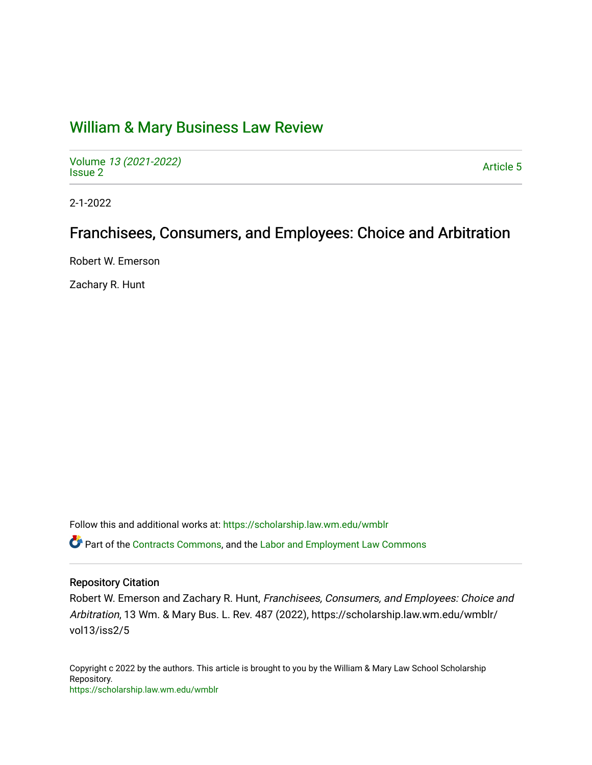# [William & Mary Business Law Review](https://scholarship.law.wm.edu/wmblr)

Volume [13 \(2021-2022\)](https://scholarship.law.wm.edu/wmblr/vol13)  volume 15 (2021-2022)<br>[Issue 2](https://scholarship.law.wm.edu/wmblr/vol13/iss2)

2-1-2022

# Franchisees, Consumers, and Employees: Choice and Arbitration

Robert W. Emerson

Zachary R. Hunt

Follow this and additional works at: [https://scholarship.law.wm.edu/wmblr](https://scholarship.law.wm.edu/wmblr?utm_source=scholarship.law.wm.edu%2Fwmblr%2Fvol13%2Fiss2%2F5&utm_medium=PDF&utm_campaign=PDFCoverPages) 

Part of the [Contracts Commons](http://network.bepress.com/hgg/discipline/591?utm_source=scholarship.law.wm.edu%2Fwmblr%2Fvol13%2Fiss2%2F5&utm_medium=PDF&utm_campaign=PDFCoverPages), and the [Labor and Employment Law Commons](http://network.bepress.com/hgg/discipline/909?utm_source=scholarship.law.wm.edu%2Fwmblr%2Fvol13%2Fiss2%2F5&utm_medium=PDF&utm_campaign=PDFCoverPages)

#### Repository Citation

Robert W. Emerson and Zachary R. Hunt, Franchisees, Consumers, and Employees: Choice and Arbitration, 13 Wm. & Mary Bus. L. Rev. 487 (2022), https://scholarship.law.wm.edu/wmblr/ vol13/iss2/5

Copyright c 2022 by the authors. This article is brought to you by the William & Mary Law School Scholarship Repository. <https://scholarship.law.wm.edu/wmblr>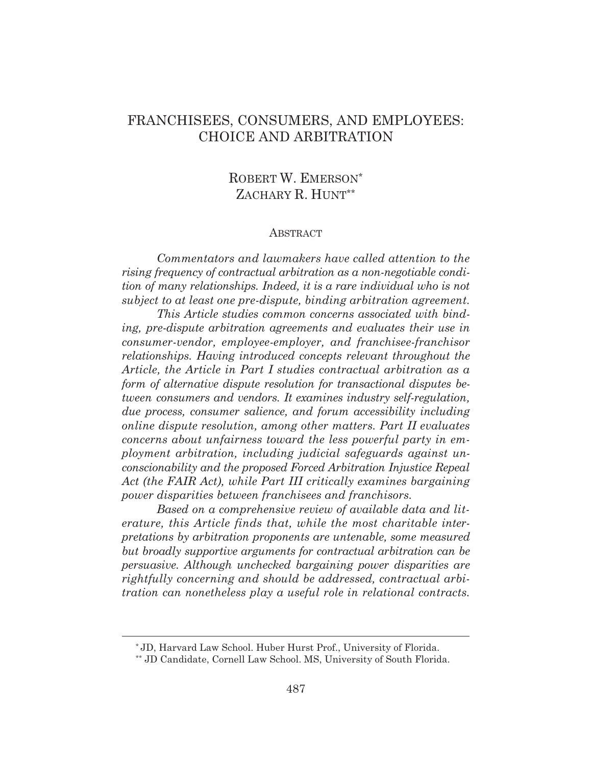# FRANCHISEES, CONSUMERS, AND EMPLOYEES: CHOICE AND ARBITRATION

# ROBERT W. EMERSON\* ZACHARY R. HUNT\*\*

#### ABSTRACT

 *Commentators and lawmakers have called attention to the rising frequency of contractual arbitration as a non-negotiable condition of many relationships. Indeed, it is a rare individual who is not subject to at least one pre-dispute, binding arbitration agreement.* 

 *This Article studies common concerns associated with binding, pre-dispute arbitration agreements and evaluates their use in consumer-vendor, employee-employer, and franchisee-franchisor relationships. Having introduced concepts relevant throughout the Article, the Article in Part I studies contractual arbitration as a form of alternative dispute resolution for transactional disputes between consumers and vendors. It examines industry self-regulation, due process, consumer salience, and forum accessibility including online dispute resolution, among other matters. Part II evaluates concerns about unfairness toward the less powerful party in employment arbitration, including judicial safeguards against unconscionability and the proposed Forced Arbitration Injustice Repeal Act (the FAIR Act), while Part III critically examines bargaining power disparities between franchisees and franchisors.* 

 *Based on a comprehensive review of available data and literature, this Article finds that, while the most charitable interpretations by arbitration proponents are untenable, some measured but broadly supportive arguments for contractual arbitration can be persuasive. Although unchecked bargaining power disparities are rightfully concerning and should be addressed, contractual arbitration can nonetheless play a useful role in relational contracts.*

<sup>\*</sup> JD, Harvard Law School. Huber Hurst Prof., University of Florida.

<sup>\*\*</sup> JD Candidate, Cornell Law School. MS, University of South Florida.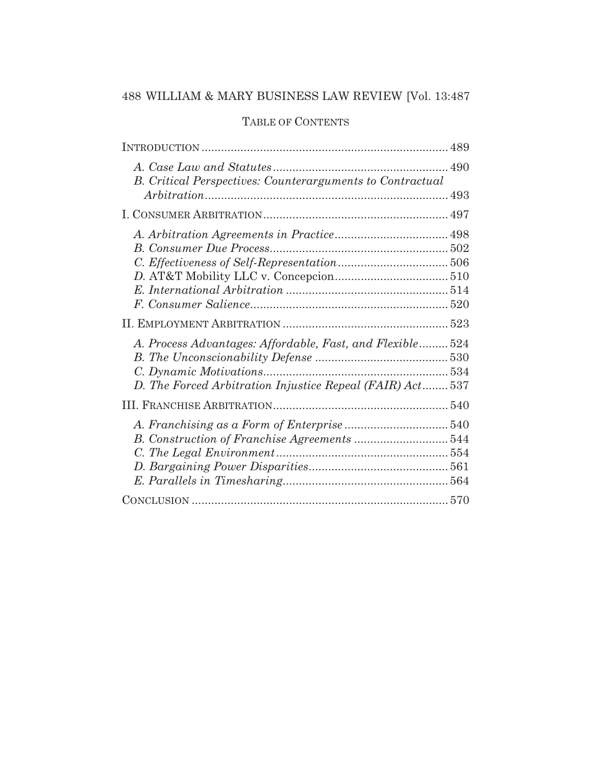# TABLE OF CONTENTS

| B. Critical Perspectives: Counterarguments to Contractual |  |
|-----------------------------------------------------------|--|
|                                                           |  |
|                                                           |  |
|                                                           |  |
|                                                           |  |
|                                                           |  |
|                                                           |  |
|                                                           |  |
|                                                           |  |
|                                                           |  |
| A. Process Advantages: Affordable, Fast, and Flexible 524 |  |
|                                                           |  |
|                                                           |  |
| D. The Forced Arbitration Injustice Repeal (FAIR) Act 537 |  |
|                                                           |  |
|                                                           |  |
| B. Construction of Franchise Agreements 544               |  |
|                                                           |  |
|                                                           |  |
|                                                           |  |
|                                                           |  |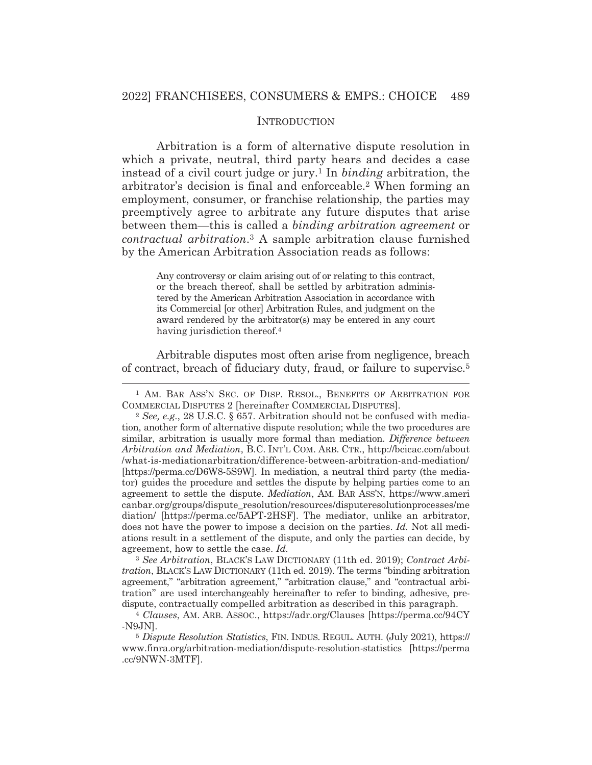#### **INTRODUCTION**

 Arbitration is a form of alternative dispute resolution in which a private, neutral, third party hears and decides a case instead of a civil court judge or jury.1 In *binding* arbitration, the arbitrator's decision is final and enforceable.2 When forming an employment, consumer, or franchise relationship, the parties may preemptively agree to arbitrate any future disputes that arise between them—this is called a *binding arbitration agreement* or *contractual arbitration*.3 A sample arbitration clause furnished by the American Arbitration Association reads as follows:

Any controversy or claim arising out of or relating to this contract, or the breach thereof, shall be settled by arbitration administered by the American Arbitration Association in accordance with its Commercial [or other] Arbitration Rules, and judgment on the award rendered by the arbitrator(s) may be entered in any court having jurisdiction thereof.<sup>4</sup>

 Arbitrable disputes most often arise from negligence, breach of contract, breach of fiduciary duty, fraud, or failure to supervise.5

<sup>1</sup> AM. BAR ASS'N SEC. OF DISP. RESOL., BENEFITS OF ARBITRATION FOR COMMERCIAL DISPUTES 2 [hereinafter COMMERCIAL DISPUTES].

<sup>2</sup> *See, e.g.*, 28 U.S.C. § 657. Arbitration should not be confused with mediation, another form of alternative dispute resolution; while the two procedures are similar, arbitration is usually more formal than mediation. *Difference between Arbitration and Mediation*, B.C. INT'L COM. ARB. CTR., http://bcicac.com/about /what-is-mediationarbitration/difference-between-arbitration-and-mediation/ [https://perma.cc/D6W8-5S9W]. In mediation, a neutral third party (the mediator) guides the procedure and settles the dispute by helping parties come to an agreement to settle the dispute. *Mediation*, AM. BAR ASS'N, https://www.ameri canbar.org/groups/dispute\_resolution/resources/disputeresolutionprocesses/me diation/ [https://perma.cc/5APT-2HSF]. The mediator, unlike an arbitrator, does not have the power to impose a decision on the parties. *Id.* Not all mediations result in a settlement of the dispute, and only the parties can decide, by agreement, how to settle the case. *Id.*

<sup>3</sup> *See Arbitration*, BLACK'S LAW DICTIONARY (11th ed. 2019); *Contract Arbitration*, BLACK'S LAW DICTIONARY (11th ed. 2019). The terms "binding arbitration agreement," "arbitration agreement," "arbitration clause," and "contractual arbitration" are used interchangeably hereinafter to refer to binding, adhesive, pre-

dispute, contractually compelled arbitration as described in this paragraph. 4 *Clauses*, AM. ARB. ASSOC., https://adr.org/Clauses [https://perma.cc/94CY -N9JN].

<sup>5</sup> *Dispute Resolution Statistics*, FIN. INDUS. REGUL. AUTH. (July 2021), https:// www.finra.org/arbitration-mediation/dispute-resolution-statistics [https://perma .cc/9NWN-3MTF].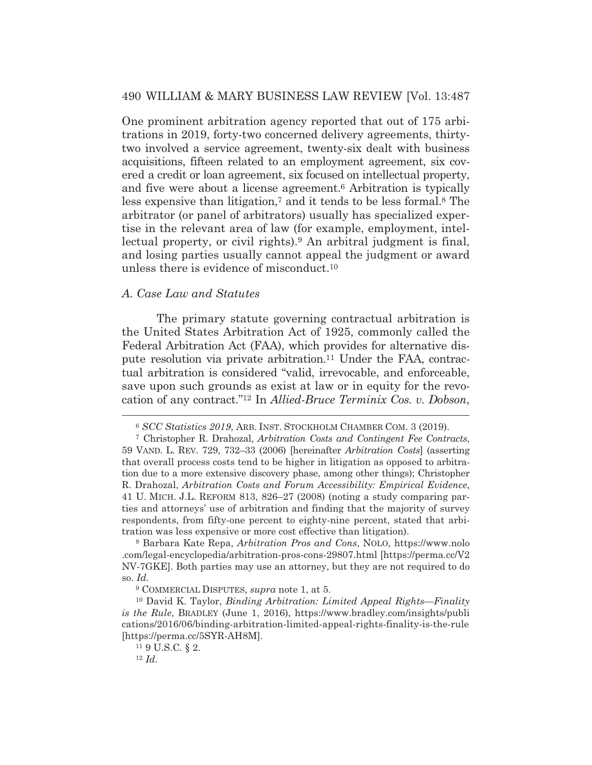One prominent arbitration agency reported that out of 175 arbitrations in 2019, forty-two concerned delivery agreements, thirtytwo involved a service agreement, twenty-six dealt with business acquisitions, fifteen related to an employment agreement, six covered a credit or loan agreement, six focused on intellectual property, and five were about a license agreement.6 Arbitration is typically less expensive than litigation,7 and it tends to be less formal.8 The arbitrator (or panel of arbitrators) usually has specialized expertise in the relevant area of law (for example, employment, intellectual property, or civil rights).9 An arbitral judgment is final, and losing parties usually cannot appeal the judgment or award unless there is evidence of misconduct.10

#### *A. Case Law and Statutes*

 The primary statute governing contractual arbitration is the United States Arbitration Act of 1925, commonly called the Federal Arbitration Act (FAA), which provides for alternative dispute resolution via private arbitration.11 Under the FAA, contractual arbitration is considered "valid, irrevocable, and enforceable, save upon such grounds as exist at law or in equity for the revocation of any contract."12 In *Allied-Bruce Terminix Cos. v. Dobson*,

8 Barbara Kate Repa, *Arbitration Pros and Cons*, NOLO, https://www.nolo .com/legal-encyclopedia/arbitration-pros-cons-29807.html [https://perma.cc/V2 NV-7GKE]. Both parties may use an attorney, but they are not required to do so. *Id.*

<sup>6</sup> *SCC Statistics 2019*, ARB. INST. STOCKHOLM CHAMBER COM. 3 (2019).

<sup>7</sup> Christopher R. Drahozal, *Arbitration Costs and Contingent Fee Contracts*, 59 VAND. L. REV. 729, 732–33 (2006) [hereinafter *Arbitration Costs*] (asserting that overall process costs tend to be higher in litigation as opposed to arbitration due to a more extensive discovery phase, among other things); Christopher R. Drahozal, *Arbitration Costs and Forum Accessibility: Empirical Evidence*, 41 U. MICH. J.L. REFORM 813, 826–27 (2008) (noting a study comparing parties and attorneys' use of arbitration and finding that the majority of survey respondents, from fifty-one percent to eighty-nine percent, stated that arbitration was less expensive or more cost effective than litigation).

<sup>9</sup> COMMERCIAL DISPUTES, *supra* note 1, at 5.

<sup>10</sup> David K. Taylor, *Binding Arbitration: Limited Appeal Rights*—*Finality is the Rule*, BRADLEY (June 1, 2016), https://www.bradley.com/insights/publi cations/2016/06/binding-arbitration-limited-appeal-rights-finality-is-the-rule [https://perma.cc/5SYR-AH8M]. 11 9 U.S.C*.* § 2. 12 *Id.*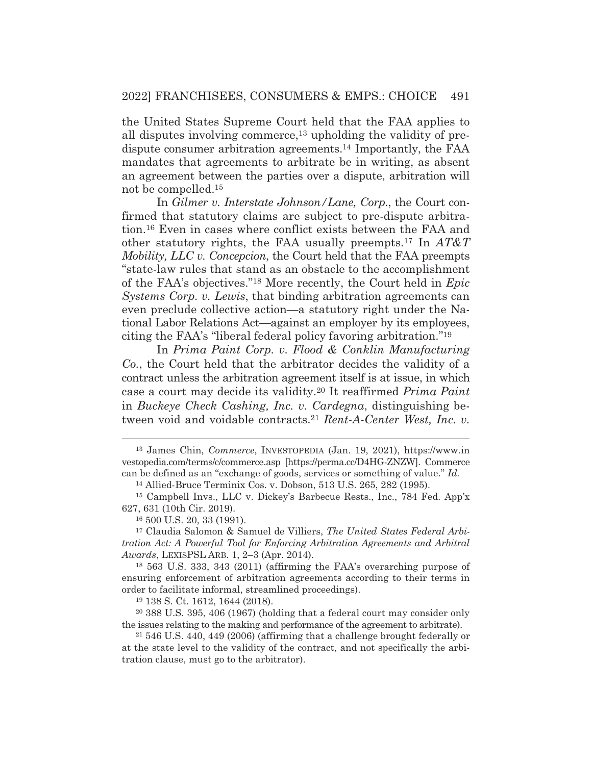the United States Supreme Court held that the FAA applies to all disputes involving commerce,13 upholding the validity of predispute consumer arbitration agreements.14 Importantly, the FAA mandates that agreements to arbitrate be in writing, as absent an agreement between the parties over a dispute, arbitration will not be compelled.15

 In *Gilmer v. Interstate Johnson/Lane, Corp.*, the Court confirmed that statutory claims are subject to pre-dispute arbitration.16 Even in cases where conflict exists between the FAA and other statutory rights, the FAA usually preempts.17 In *AT&T Mobility, LLC v. Concepcion*, the Court held that the FAA preempts "state-law rules that stand as an obstacle to the accomplishment of the FAA's objectives."18 More recently, the Court held in *Epic Systems Corp. v. Lewis*, that binding arbitration agreements can even preclude collective action—a statutory right under the National Labor Relations Act—against an employer by its employees, citing the FAA's "liberal federal policy favoring arbitration."19

 In *Prima Paint Corp. v. Flood & Conklin Manufacturing Co.*, the Court held that the arbitrator decides the validity of a contract unless the arbitration agreement itself is at issue, in which case a court may decide its validity.20 It reaffirmed *Prima Paint* in *Buckeye Check Cashing, Inc. v. Cardegna*, distinguishing between void and voidable contracts.21 *Rent-A-Center West, Inc. v.* 

18 563 U.S. 333, 343 (2011) (affirming the FAA's overarching purpose of ensuring enforcement of arbitration agreements according to their terms in order to facilitate informal, streamlined proceedings).

19 138 S. Ct. 1612, 1644 (2018).

20 388 U.S. 395, 406 (1967) (holding that a federal court may consider only the issues relating to the making and performance of the agreement to arbitrate).<br><sup>21</sup> 546 U.S. 440, 449 (2006) (affirming that a challenge brought federally or

at the state level to the validity of the contract, and not specifically the arbitration clause, must go to the arbitrator).

<sup>13</sup> James Chin, *Commerce*, INVESTOPEDIA (Jan. 19, 2021), https://www.in vestopedia.com/terms/c/commerce.asp [https://perma.cc/D4HG-ZNZW]. Commerce can be defined as an "exchange of goods, services or something of value." *Id.* 

<sup>14</sup> Allied-Bruce Terminix Cos. v. Dobson, 513 U.S. 265, 282 (1995).

<sup>15</sup> Campbell Invs., LLC v. Dickey's Barbecue Rests., Inc., 784 Fed. App'x 627, 631 (10th Cir. 2019).

<sup>16 500</sup> U.S. 20, 33 (1991).

<sup>17</sup> Claudia Salomon & Samuel de Villiers, *The United States Federal Arbitration Act: A Powerful Tool for Enforcing Arbitration Agreements and Arbitral Awards*, LEXISPSL ARB. 1, 2–3 (Apr. 2014).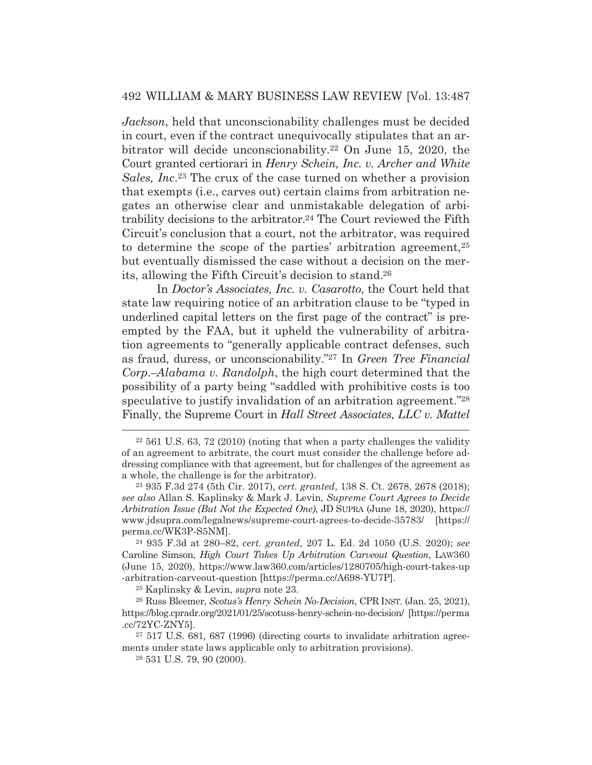*Jackson*, held that unconscionability challenges must be decided in court, even if the contract unequivocally stipulates that an arbitrator will decide unconscionability.<sup>22</sup> On June 15, 2020, the Court granted certiorari in *Henry Schein, Inc. v. Archer and White Sales, Inc*.23 The crux of the case turned on whether a provision that exempts (i.e., carves out) certain claims from arbitration negates an otherwise clear and unmistakable delegation of arbitrability decisions to the arbitrator.<sup>24</sup> The Court reviewed the Fifth Circuit's conclusion that a court, not the arbitrator, was required to determine the scope of the parties' arbitration agreement,<sup>25</sup> but eventually dismissed the case without a decision on the merits, allowing the Fifth Circuit's decision to stand.26

 In *Doctor's Associates, Inc. v. Casarotto*, the Court held that state law requiring notice of an arbitration clause to be "typed in underlined capital letters on the first page of the contract" is preempted by the FAA, but it upheld the vulnerability of arbitration agreements to "generally applicable contract defenses, such as fraud, duress, or unconscionability."27 In *Green Tree Financial Corp.–Alabama v. Randolph*, the high court determined that the possibility of a party being "saddled with prohibitive costs is too speculative to justify invalidation of an arbitration agreement."28 Finally, the Supreme Court in *Hall Street Associates, LLC v. Mattel*

Caroline Simson, *High Court Takes Up Arbitration Carveout Question*, LAW360 (June 15, 2020), https://www.law360.com/articles/1280705/high-court-takes-up -arbitration-carveout-question [https://perma.cc/A698-YU7P].

25 Kaplinsky & Levin, *supra* note 23.

26 Russ Bleemer, *Scotus's Henry Schein No-Decision*, CPR INST. (Jan. 25, 2021), https://blog.cpradr.org/2021/01/25/scotuss-henry-schein-no-decision/ [https://perma .cc/72YC-ZNY5].

27 517 U.S. 681, 687 (1996) (directing courts to invalidate arbitration agreements under state laws applicable only to arbitration provisions).

28 531 U.S. 79, 90 (2000).

 $22\,561$  U.S. 63, 72 (2010) (noting that when a party challenges the validity of an agreement to arbitrate, the court must consider the challenge before addressing compliance with that agreement, but for challenges of the agreement as a whole, the challenge is for the arbitrator).

<sup>23 935</sup> F.3d 274 (5th Cir. 2017), *cert. granted*, 138 S. Ct. 2678, 2678 (2018); *see also* Allan S. Kaplinsky & Mark J. Levin, *Supreme Court Agrees to Decide Arbitration Issue (But Not the Expected One)*, JD SUPRA (June 18, 2020), https:// www.jdsupra.com/legalnews/supreme-court-agrees-to-decide-35783/ [https:// perma.cc/WK3P-S5NM]. 24 935 F.3d at 280–82, *cert. granted*, 207 L. Ed. 2d 1050 (U.S. 2020); *see*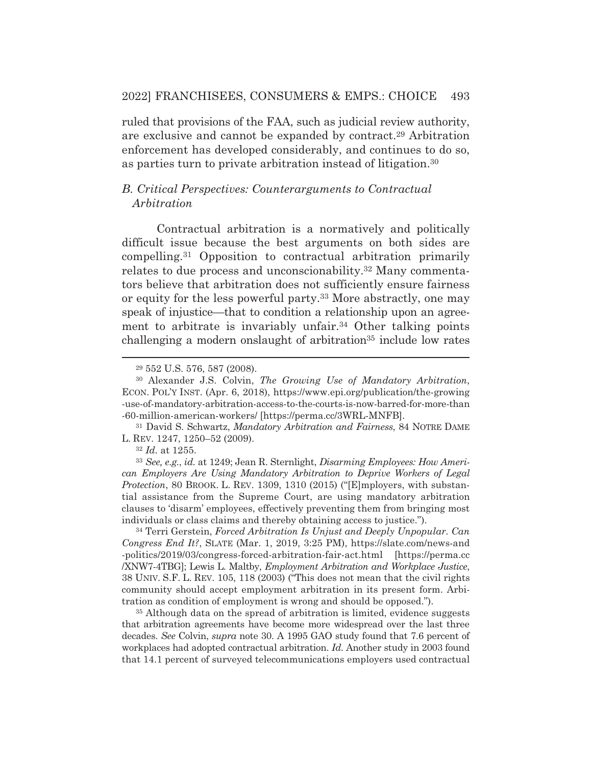ruled that provisions of the FAA, such as judicial review authority, are exclusive and cannot be expanded by contract.29 Arbitration enforcement has developed considerably, and continues to do so, as parties turn to private arbitration instead of litigation.30

# *B. Critical Perspectives: Counterarguments to Contractual Arbitration*

 Contractual arbitration is a normatively and politically difficult issue because the best arguments on both sides are compelling.31 Opposition to contractual arbitration primarily relates to due process and unconscionability.32 Many commentators believe that arbitration does not sufficiently ensure fairness or equity for the less powerful party.33 More abstractly, one may speak of injustice—that to condition a relationship upon an agreement to arbitrate is invariably unfair.<sup>34</sup> Other talking points challenging a modern onslaught of arbitration<sup>35</sup> include low rates

31 David S. Schwartz, *Mandatory Arbitration and Fairness*, 84 NOTRE DAME L. REV. 1247, 1250–52 (2009).

<sup>32</sup> *Id.* at 1255.

<sup>33</sup> *See, e.g.*, *id.* at 1249; Jean R. Sternlight, *Disarming Employees: How American Employers Are Using Mandatory Arbitration to Deprive Workers of Legal Protection*, 80 BROOK. L. REV. 1309, 1310 (2015) ("[E]mployers, with substantial assistance from the Supreme Court, are using mandatory arbitration clauses to 'disarm' employees, effectively preventing them from bringing most individuals or class claims and thereby obtaining access to justice.").

34 Terri Gerstein, *Forced Arbitration Is Unjust and Deeply Unpopular. Can Congress End It?*, SLATE (Mar. 1, 2019, 3:25 PM), https://slate.com/news-and -politics/2019/03/congress-forced-arbitration-fair-act.html [https://perma.cc /XNW7-4TBG]; Lewis L. Maltby, *Employment Arbitration and Workplace Justice*, 38 UNIV. S.F. L. REV. 105, 118 (2003) ("This does not mean that the civil rights community should accept employment arbitration in its present form. Arbitration as condition of employment is wrong and should be opposed.").

<sup>35</sup> Although data on the spread of arbitration is limited, evidence suggests that arbitration agreements have become more widespread over the last three decades. *See* Colvin, *supra* note 30. A 1995 GAO study found that 7.6 percent of workplaces had adopted contractual arbitration. *Id.* Another study in 2003 found that 14.1 percent of surveyed telecommunications employers used contractual

<sup>29 552</sup> U.S. 576, 587 (2008).

<sup>30</sup> Alexander J.S. Colvin, *The Growing Use of Mandatory Arbitration*, ECON. POL'Y INST. (Apr. 6, 2018), https://www.epi.org/publication/the-growing -use-of-mandatory-arbitration-access-to-the-courts-is-now-barred-for-more-than -60-million-american-workers/ [https://perma.cc/3WRL-MNFB].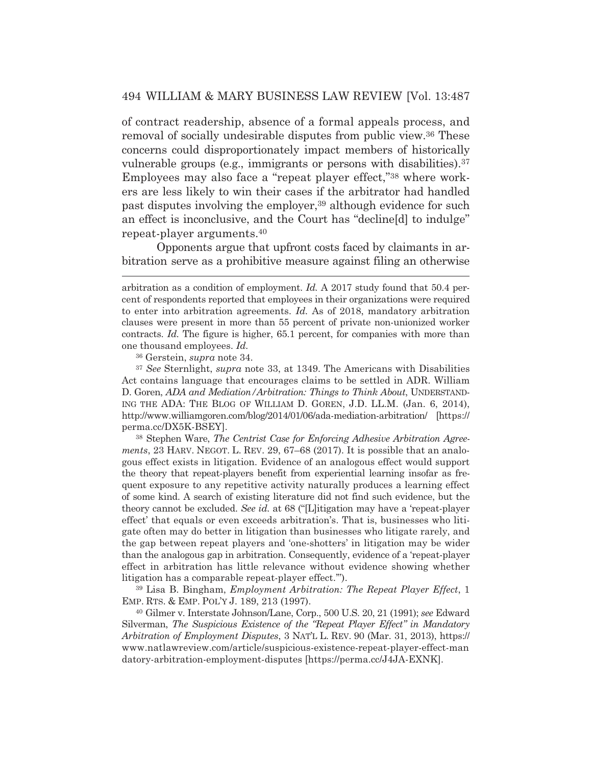of contract readership, absence of a formal appeals process, and removal of socially undesirable disputes from public view.36 These concerns could disproportionately impact members of historically vulnerable groups (e.g., immigrants or persons with disabilities).<sup>37</sup> Employees may also face a "repeat player effect,"38 where workers are less likely to win their cases if the arbitrator had handled past disputes involving the employer,<sup>39</sup> although evidence for such an effect is inconclusive, and the Court has "decline[d] to indulge" repeat-player arguments.40

 Opponents argue that upfront costs faced by claimants in arbitration serve as a prohibitive measure against filing an otherwise

36 Gerstein, *supra* note 34.

<sup>37</sup> *See* Sternlight, *supra* note 33, at 1349. The Americans with Disabilities Act contains language that encourages claims to be settled in ADR. William D. Goren, *ADA and Mediation/Arbitration: Things to Think About*, UNDERSTAND-ING THE ADA: THE BLOG OF WILLIAM D. GOREN, J.D. LL.M. (Jan. 6, 2014), http://www.williamgoren.com/blog/2014/01/06/ada-mediation-arbitration/ [https:// perma.cc/DX5K-BSEY].

38 Stephen Ware, *The Centrist Case for Enforcing Adhesive Arbitration Agreements*, 23 HARV. NEGOT. L. REV. 29, 67–68 (2017). It is possible that an analogous effect exists in litigation. Evidence of an analogous effect would support the theory that repeat-players benefit from experiential learning insofar as frequent exposure to any repetitive activity naturally produces a learning effect of some kind. A search of existing literature did not find such evidence, but the theory cannot be excluded. *See id.* at 68 ("[L]itigation may have a 'repeat-player effect' that equals or even exceeds arbitration's. That is, businesses who litigate often may do better in litigation than businesses who litigate rarely, and the gap between repeat players and 'one-shotters' in litigation may be wider than the analogous gap in arbitration. Consequently, evidence of a 'repeat-player effect in arbitration has little relevance without evidence showing whether litigation has a comparable repeat-player effect.'").

39 Lisa B. Bingham, *Employment Arbitration: The Repeat Player Effect*, 1 EMP. RTS.&EMP. POL'Y J. 189, 213 (1997).

40 Gilmer v. Interstate Johnson/Lane, Corp., 500 U.S. 20, 21 (1991); *see* Edward Silverman, *The Suspicious Existence of the "Repeat Player Effect" in Mandatory Arbitration of Employment Disputes*, 3 NAT'L L. REV. 90 (Mar. 31, 2013), https:// www.natlawreview.com/article/suspicious-existence-repeat-player-effect-man datory-arbitration-employment-disputes [https://perma.cc/J4JA-EXNK].

arbitration as a condition of employment. *Id.* A 2017 study found that 50.4 percent of respondents reported that employees in their organizations were required to enter into arbitration agreements. *Id.* As of 2018, mandatory arbitration clauses were present in more than 55 percent of private non-unionized worker contracts. *Id.* The figure is higher, 65.1 percent, for companies with more than one thousand employees. *Id.*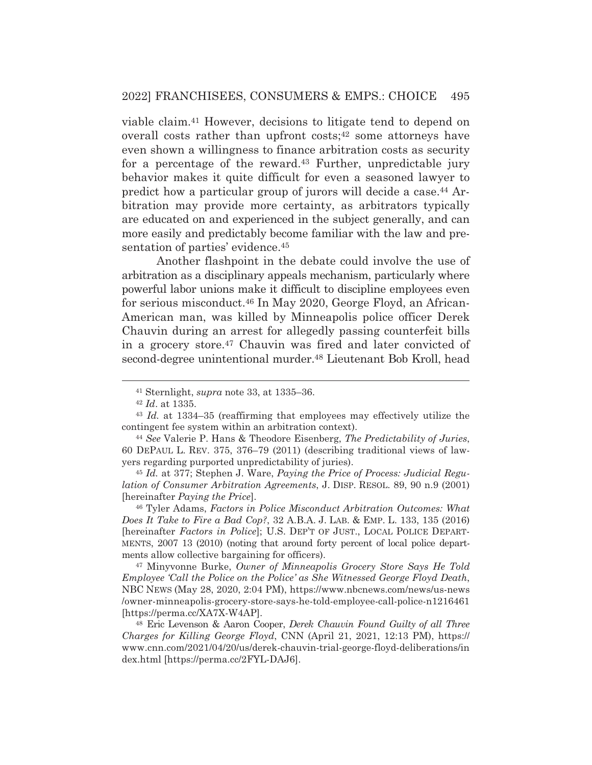viable claim.41 However, decisions to litigate tend to depend on overall costs rather than upfront costs;<sup>42</sup> some attorneys have even shown a willingness to finance arbitration costs as security for a percentage of the reward.<sup>43</sup> Further, unpredictable jury behavior makes it quite difficult for even a seasoned lawyer to predict how a particular group of jurors will decide a case.44 Arbitration may provide more certainty, as arbitrators typically are educated on and experienced in the subject generally, and can more easily and predictably become familiar with the law and presentation of parties' evidence.<sup>45</sup>

 Another flashpoint in the debate could involve the use of arbitration as a disciplinary appeals mechanism, particularly where powerful labor unions make it difficult to discipline employees even for serious misconduct.46 In May 2020, George Floyd, an African-American man, was killed by Minneapolis police officer Derek Chauvin during an arrest for allegedly passing counterfeit bills in a grocery store.47 Chauvin was fired and later convicted of second-degree unintentional murder.48 Lieutenant Bob Kroll, head

<sup>45</sup> *Id.* at 377; Stephen J. Ware, *Paying the Price of Process: Judicial Regulation of Consumer Arbitration Agreements*, J. DISP. RESOL. 89, 90 n.9 (2001) [hereinafter *Paying the Price*].

46 Tyler Adams, *Factors in Police Misconduct Arbitration Outcomes: What Does It Take to Fire a Bad Cop?*, 32 A.B.A. J. LAB.&EMP. L. 133, 135 (2016) [hereinafter *Factors in Police*]; U.S. DEP'T OF JUST., LOCAL POLICE DEPART-MENTS, 2007 13 (2010) (noting that around forty percent of local police departments allow collective bargaining for officers).

47 Minyvonne Burke, *Owner of Minneapolis Grocery Store Says He Told Employee 'Call the Police on the Police' as She Witnessed George Floyd Death*, NBC NEWS (May 28, 2020, 2:04 PM), https://www.nbcnews.com/news/us-news /owner-minneapolis-grocery-store-says-he-told-employee-call-police-n1216461 [https://perma.cc/XA7X-W4AP].

48 Eric Levenson & Aaron Cooper, *Derek Chauvin Found Guilty of all Three Charges for Killing George Floyd*, CNN (April 21, 2021, 12:13 PM), https:// www.cnn.com/2021/04/20/us/derek-chauvin-trial-george-floyd-deliberations/in dex.html [https://perma.cc/2FYL-DAJ6].

<sup>41</sup> Sternlight, *supra* note 33, at 1335–36. 42 *Id*. at 1335.

<sup>43</sup> *Id.* at 1334–35 (reaffirming that employees may effectively utilize the contingent fee system within an arbitration context). 44 *See* Valerie P. Hans & Theodore Eisenberg, *The Predictability of Juries*,

<sup>60</sup> DEPAUL L. REV. 375, 376–79 (2011) (describing traditional views of lawyers regarding purported unpredictability of juries).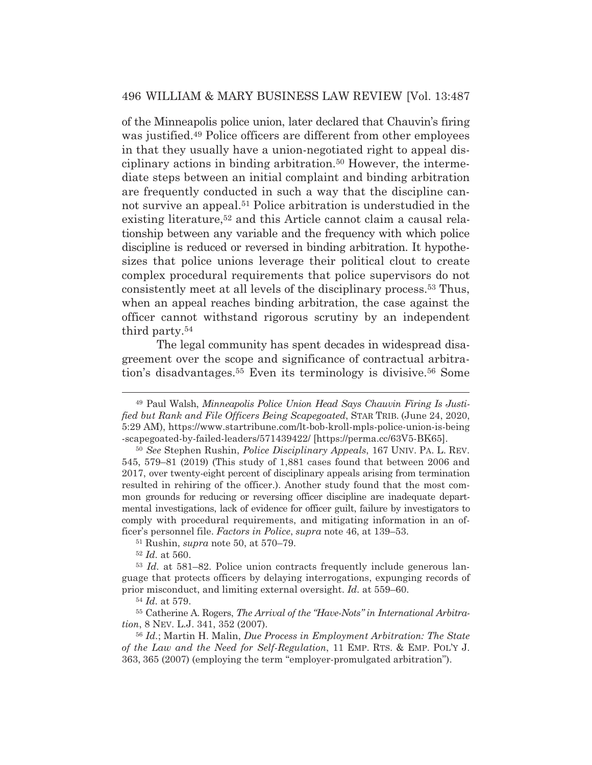of the Minneapolis police union, later declared that Chauvin's firing was justified.49 Police officers are different from other employees in that they usually have a union-negotiated right to appeal disciplinary actions in binding arbitration.50 However, the intermediate steps between an initial complaint and binding arbitration are frequently conducted in such a way that the discipline cannot survive an appeal.<sup>51</sup> Police arbitration is understudied in the existing literature,<sup>52</sup> and this Article cannot claim a causal relationship between any variable and the frequency with which police discipline is reduced or reversed in binding arbitration. It hypothesizes that police unions leverage their political clout to create complex procedural requirements that police supervisors do not consistently meet at all levels of the disciplinary process.53 Thus, when an appeal reaches binding arbitration, the case against the officer cannot withstand rigorous scrutiny by an independent third party.54

 The legal community has spent decades in widespread disagreement over the scope and significance of contractual arbitration's disadvantages.55 Even its terminology is divisive.56 Some

<sup>49</sup> Paul Walsh, *Minneapolis Police Union Head Says Chauvin Firing Is Justified but Rank and File Officers Being Scapegoated*, STAR TRIB. (June 24, 2020, 5:29 AM), https://www.startribune.com/lt-bob-kroll-mpls-police-union-is-being -scapegoated-by-failed-leaders/571439422/ [https://perma.cc/63V5-BK65].

<sup>50</sup> *See* Stephen Rushin, *Police Disciplinary Appeals*, 167 UNIV. PA. L. REV. 545, 579–81 (2019) (This study of 1,881 cases found that between 2006 and 2017, over twenty-eight percent of disciplinary appeals arising from termination resulted in rehiring of the officer.). Another study found that the most common grounds for reducing or reversing officer discipline are inadequate departmental investigations, lack of evidence for officer guilt, failure by investigators to comply with procedural requirements, and mitigating information in an officer's personnel file. *Factors in Police*, *supra* note 46, at 139–53.

<sup>51</sup> Rushin, *supra* note 50, at 570–79.

<sup>52</sup> *Id.* at 560.

<sup>53</sup> *Id.* at 581–82. Police union contracts frequently include generous language that protects officers by delaying interrogations, expunging records of prior misconduct, and limiting external oversight. *Id.* at 559–60.

<sup>54</sup> *Id.* at 579.

<sup>55</sup> Catherine A. Rogers, *The Arrival of the "Have-Nots" in International Arbitration*, 8 NEV. L.J. 341, 352 (2007).

<sup>56</sup> *Id.*; Martin H. Malin, *Due Process in Employment Arbitration: The State of the Law and the Need for Self-Regulation*, 11 EMP. RTS.&EMP. POL'Y J. 363, 365 (2007) (employing the term "employer-promulgated arbitration").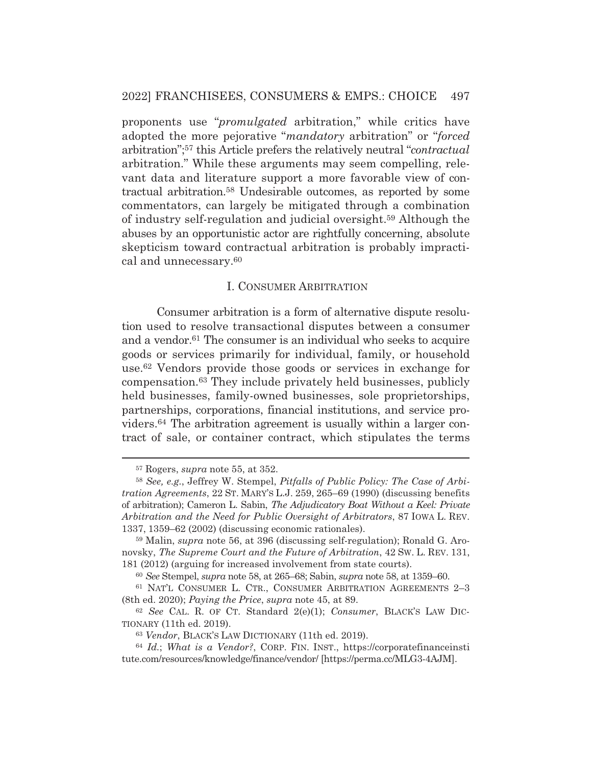proponents use "*promulgated* arbitration," while critics have adopted the more pejorative "*mandatory* arbitration" or "*forced* arbitration";57 this Article prefers the relatively neutral "*contractual*  arbitration." While these arguments may seem compelling, relevant data and literature support a more favorable view of contractual arbitration.58 Undesirable outcomes, as reported by some commentators, can largely be mitigated through a combination of industry self-regulation and judicial oversight.59 Although the abuses by an opportunistic actor are rightfully concerning, absolute skepticism toward contractual arbitration is probably impractical and unnecessary.60

#### I. CONSUMER ARBITRATION

 Consumer arbitration is a form of alternative dispute resolution used to resolve transactional disputes between a consumer and a vendor.<sup>61</sup> The consumer is an individual who seeks to acquire goods or services primarily for individual, family, or household use.62 Vendors provide those goods or services in exchange for compensation.63 They include privately held businesses, publicly held businesses, family-owned businesses, sole proprietorships, partnerships, corporations, financial institutions, and service providers.64 The arbitration agreement is usually within a larger contract of sale, or container contract, which stipulates the terms

<sup>57</sup> Rogers, *supra* note 55, at 352.

<sup>58</sup> *See, e.g.*, Jeffrey W. Stempel, *Pitfalls of Public Policy: The Case of Arbitration Agreements*, 22 ST. MARY'S L.J. 259, 265–69 (1990) (discussing benefits of arbitration); Cameron L. Sabin, *The Adjudicatory Boat Without a Keel: Private Arbitration and the Need for Public Oversight of Arbitrators*, 87 IOWA L. REV. 1337, 1359–62 (2002) (discussing economic rationales).

<sup>59</sup> Malin, *supra* note 56, at 396 (discussing self-regulation); Ronald G. Aronovsky, *The Supreme Court and the Future of Arbitration*, 42 SW. L. REV. 131, 181 (2012) (arguing for increased involvement from state courts).

<sup>60</sup> *See* Stempel, *supra* note 58, at 265–68; Sabin, *supra* note 58, at 1359–60.

<sup>61</sup> NAT'L CONSUMER L. CTR., CONSUMER ARBITRATION AGREEMENTS 2–3 (8th ed. 2020); *Paying the Price*, *supra* note 45, at 89.

<sup>62</sup> *See* CAL. R. OF CT. Standard 2(e)(1); *Consumer*, BLACK'S LAW DIC-TIONARY (11th ed. 2019).

<sup>63</sup> *Vendor*, BLACK'S LAW DICTIONARY (11th ed. 2019).

<sup>64</sup> *Id.*; *What is a Vendor?*, CORP. FIN. INST., https://corporatefinanceinsti tute.com/resources/knowledge/finance/vendor/ [https://perma.cc/MLG3-4AJM].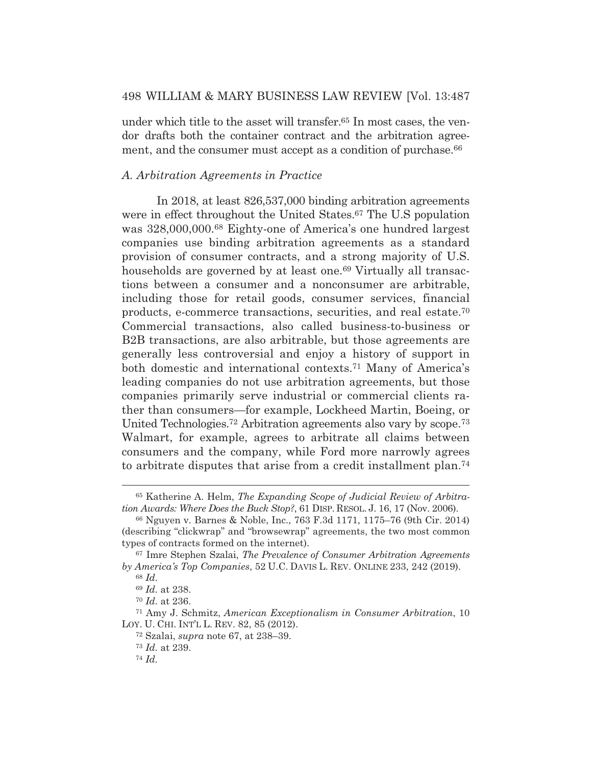under which title to the asset will transfer.65 In most cases, the vendor drafts both the container contract and the arbitration agreement, and the consumer must accept as a condition of purchase.<sup>66</sup>

#### *A. Arbitration Agreements in Practice*

 In 2018, at least 826,537,000 binding arbitration agreements were in effect throughout the United States.<sup>67</sup> The U.S population was 328,000,000.68 Eighty-one of America's one hundred largest companies use binding arbitration agreements as a standard provision of consumer contracts, and a strong majority of U.S. households are governed by at least one.<sup>69</sup> Virtually all transactions between a consumer and a nonconsumer are arbitrable, including those for retail goods, consumer services, financial products, e-commerce transactions, securities, and real estate.70 Commercial transactions, also called business-to-business or B2B transactions, are also arbitrable, but those agreements are generally less controversial and enjoy a history of support in both domestic and international contexts.71 Many of America's leading companies do not use arbitration agreements, but those companies primarily serve industrial or commercial clients rather than consumers—for example, Lockheed Martin, Boeing, or United Technologies.72 Arbitration agreements also vary by scope.73 Walmart, for example, agrees to arbitrate all claims between consumers and the company, while Ford more narrowly agrees to arbitrate disputes that arise from a credit installment plan.74

<sup>65</sup> Katherine A. Helm, *The Expanding Scope of Judicial Review of Arbitration Awards: Where Does the Buck Stop?*, 61 DISP. RESOL. J. 16, 17 (Nov. 2006).

<sup>66</sup> Nguyen v. Barnes & Noble, Inc., 763 F.3d 1171, 1175–76 (9th Cir. 2014) (describing "clickwrap" and "browsewrap" agreements, the two most common types of contracts formed on the internet).

<sup>67</sup> Imre Stephen Szalai, *The Prevalence of Consumer Arbitration Agreements by America's Top Companies*, 52 U.C. DAVIS L. REV. ONLINE 233, 242 (2019).

<sup>68</sup> *Id.*

<sup>69</sup> *Id.* at 238.

<sup>70</sup> *Id.* at 236.

<sup>71</sup> Amy J. Schmitz, *American Exceptionalism in Consumer Arbitration*, 10 LOY. U. CHI. INT'L L. REV. 82, 85 (2012).

<sup>72</sup> Szalai, *supra* note 67, at 238–39.

<sup>73</sup> *Id.* at 239.

<sup>74</sup> *Id.*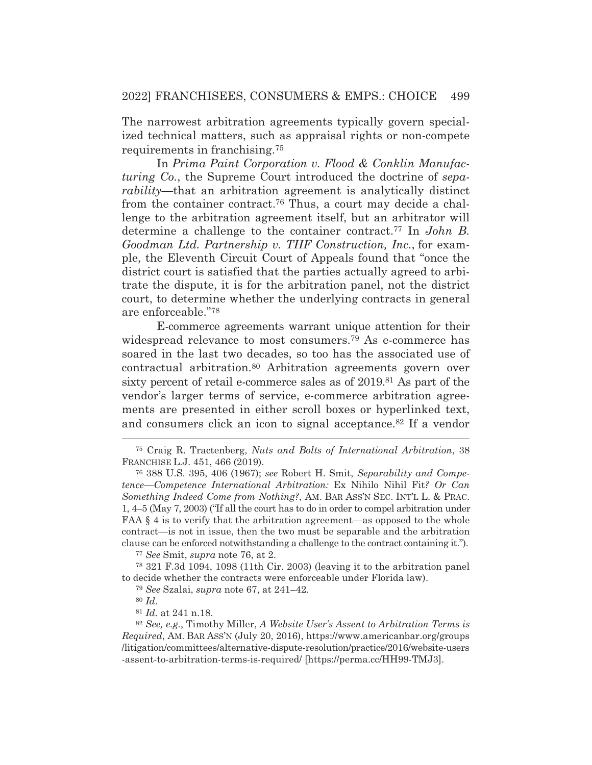The narrowest arbitration agreements typically govern specialized technical matters, such as appraisal rights or non-compete requirements in franchising.75

 In *Prima Paint Corporation v. Flood & Conklin Manufacturing Co.*, the Supreme Court introduced the doctrine of *separability*—that an arbitration agreement is analytically distinct from the container contract.76 Thus, a court may decide a challenge to the arbitration agreement itself, but an arbitrator will determine a challenge to the container contract.77 In *John B. Goodman Ltd. Partnership v. THF Construction, Inc.*, for example, the Eleventh Circuit Court of Appeals found that "once the district court is satisfied that the parties actually agreed to arbitrate the dispute, it is for the arbitration panel, not the district court, to determine whether the underlying contracts in general are enforceable."78

 E-commerce agreements warrant unique attention for their widespread relevance to most consumers.79 As e-commerce has soared in the last two decades, so too has the associated use of contractual arbitration.80 Arbitration agreements govern over sixty percent of retail e-commerce sales as of 2019.<sup>81</sup> As part of the vendor's larger terms of service, e-commerce arbitration agreements are presented in either scroll boxes or hyperlinked text, and consumers click an icon to signal acceptance.82 If a vendor

<sup>77</sup> *See* Smit, *supra* note 76, at 2.

78 321 F.3d 1094, 1098 (11th Cir. 2003) (leaving it to the arbitration panel to decide whether the contracts were enforceable under Florida law).

<sup>79</sup> *See* Szalai, *supra* note 67, at 241–42.

<sup>80</sup> *Id.*

<sup>81</sup> *Id.* at 241 n.18.

<sup>75</sup> Craig R. Tractenberg, *Nuts and Bolts of International Arbitration*, 38 FRANCHISE L.J. 451, 466 (2019).

<sup>76 388</sup> U.S. 395, 406 (1967); *see* Robert H. Smit, *Separability and Competence—Competence International Arbitration:* Ex Nihilo Nihil Fit*? Or Can Something Indeed Come from Nothing?*, AM. BAR ASS'N SEC. INT'L L. & PRAC. 1, 4–5 (May 7, 2003) ("If all the court has to do in order to compel arbitration under FAA  $\S$  4 is to verify that the arbitration agreement—as opposed to the whole contract—is not in issue, then the two must be separable and the arbitration clause can be enforced notwithstanding a challenge to the contract containing it.").

<sup>82</sup> *See, e.g.*, Timothy Miller, *A Website User's Assent to Arbitration Terms is Required*, AM. BAR ASS'N (July 20, 2016), https://www.americanbar.org/groups /litigation/committees/alternative-dispute-resolution/practice/2016/website-users -assent-to-arbitration-terms-is-required/ [https://perma.cc/HH99-TMJ3].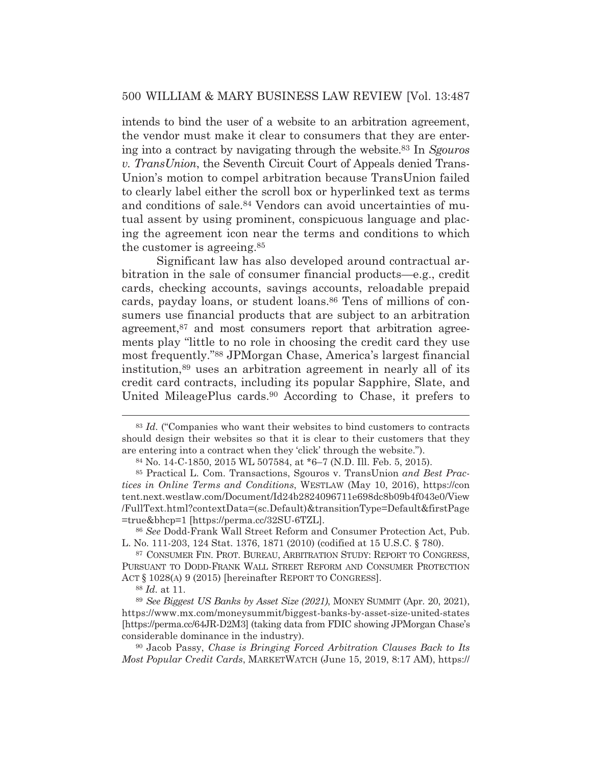intends to bind the user of a website to an arbitration agreement, the vendor must make it clear to consumers that they are entering into a contract by navigating through the website.83 In *Sgouros v. TransUnion*, the Seventh Circuit Court of Appeals denied Trans-Union's motion to compel arbitration because TransUnion failed to clearly label either the scroll box or hyperlinked text as terms and conditions of sale.84 Vendors can avoid uncertainties of mutual assent by using prominent, conspicuous language and placing the agreement icon near the terms and conditions to which the customer is agreeing.85

 Significant law has also developed around contractual arbitration in the sale of consumer financial products—e.g., credit cards, checking accounts, savings accounts, reloadable prepaid cards, payday loans, or student loans.<sup>86</sup> Tens of millions of consumers use financial products that are subject to an arbitration agreement,<sup>87</sup> and most consumers report that arbitration agreements play "little to no role in choosing the credit card they use most frequently."88 JPMorgan Chase, America's largest financial institution,89 uses an arbitration agreement in nearly all of its credit card contracts, including its popular Sapphire, Slate, and United MileagePlus cards.90 According to Chase, it prefers to

<sup>86</sup> *See* Dodd-Frank Wall Street Reform and Consumer Protection Act, Pub. L. No. 111-203, 124 Stat. 1376, 1871 (2010) (codified at 15 U.S.C. § 780).

87 CONSUMER FIN. PROT. BUREAU, ARBITRATION STUDY: REPORT TO CONGRESS, PURSUANT TO DODD-FRANK WALL STREET REFORM AND CONSUMER PROTECTION ACT § 1028(A) 9 (2015) [hereinafter REPORT TO CONGRESS].

<sup>88</sup> *Id.* at 11.

<sup>89</sup> *See Biggest US Banks by Asset Size (2021)*, MONEY SUMMIT (Apr. 20, 2021), https://www.mx.com/moneysummit/biggest-banks-by-asset-size-united-states [https://perma.cc/64JR-D2M3] (taking data from FDIC showing JPMorgan Chase's considerable dominance in the industry).

90 Jacob Passy, *Chase is Bringing Forced Arbitration Clauses Back to Its Most Popular Credit Cards*, MARKETWATCH (June 15, 2019, 8:17 AM), https://

<sup>83</sup> *Id.* ("Companies who want their websites to bind customers to contracts should design their websites so that it is clear to their customers that they are entering into a contract when they 'click' through the website.").

<sup>84</sup> No. 14-C-1850, 2015 WL 507584, at \*6–7 (N.D. Ill. Feb. 5, 2015).

<sup>85</sup> Practical L. Com. Transactions, Sgouros v. TransUnion *and Best Practices in Online Terms and Conditions*, WESTLAW (May 10, 2016), https://con tent.next.westlaw.com/Document/Id24b2824096711e698dc8b09b4f043e0/View /FullText.html?contextData=(sc.Default)&transitionType=Default&firstPage =true&bhcp=1 [https://perma.cc/32SU-6TZL].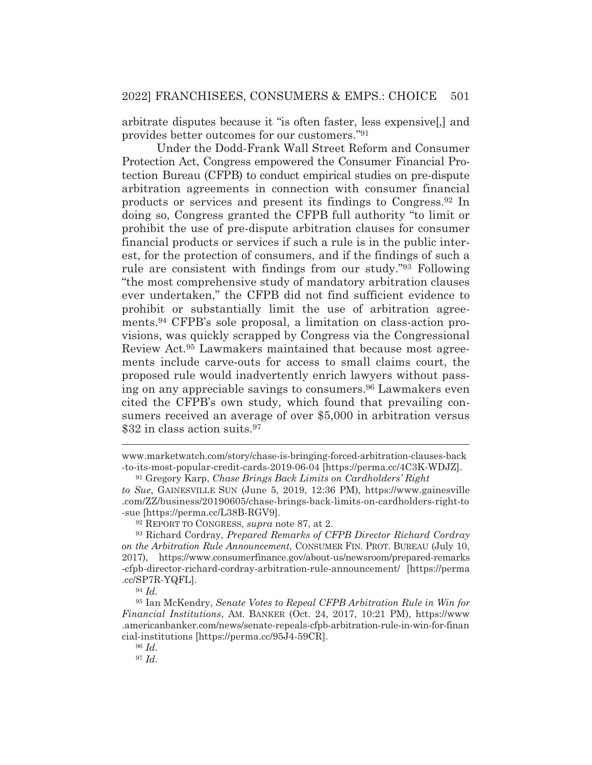arbitrate disputes because it "is often faster, less expensive[,] and provides better outcomes for our customers."91

 Under the Dodd-Frank Wall Street Reform and Consumer Protection Act, Congress empowered the Consumer Financial Protection Bureau (CFPB) to conduct empirical studies on pre-dispute arbitration agreements in connection with consumer financial products or services and present its findings to Congress.92 In doing so, Congress granted the CFPB full authority "to limit or prohibit the use of pre-dispute arbitration clauses for consumer financial products or services if such a rule is in the public interest, for the protection of consumers, and if the findings of such a rule are consistent with findings from our study."93 Following "the most comprehensive study of mandatory arbitration clauses ever undertaken," the CFPB did not find sufficient evidence to prohibit or substantially limit the use of arbitration agreements.94 CFPB's sole proposal, a limitation on class-action provisions, was quickly scrapped by Congress via the Congressional Review Act.95 Lawmakers maintained that because most agreements include carve-outs for access to small claims court, the proposed rule would inadvertently enrich lawyers without passing on any appreciable savings to consumers.96 Lawmakers even cited the CFPB's own study, which found that prevailing consumers received an average of over \$5,000 in arbitration versus \$32 in class action suits.<sup>97</sup>

www.marketwatch.com/story/chase-is-bringing-forced-arbitration-clauses-back -to-its-most-popular-credit-cards-2019-06-04 [https://perma.cc/4C3K-WDJZ].

<sup>91</sup> Gregory Karp, *Chase Brings Back Limits on Cardholders' Right to Sue*, GAINESVILLE SUN (June 5, 2019, 12:36 PM), https://www.gainesville .com/ZZ/business/20190605/chase-brings-back-limits-on-cardholders-right-to -sue [https://perma.cc/L38B-RGV9].

<sup>92</sup> REPORT TO CONGRESS, *supra* note 87, at 2.

<sup>93</sup> Richard Cordray, *Prepared Remarks of CFPB Director Richard Cordray on the Arbitration Rule Announcement*, CONSUMER FIN. PROT. BUREAU (July 10, 2017), https://www.consumerfinance.gov/about-us/newsroom/prepared-remarks -cfpb-director-richard-cordray-arbitration-rule-announcement/ [https://perma .cc/SP7R-YQFL].

<sup>94</sup> *Id.*

<sup>95</sup> Ian McKendry, *Senate Votes to Repeal CFPB Arbitration Rule in Win for Financial Institutions*, AM. BANKER (Oct. 24, 2017, 10:21 PM), https://www .americanbanker.com/news/senate-repeals-cfpb-arbitration-rule-in-win-for-finan cial-institutions [https://perma.cc/95J4-59CR].

<sup>96</sup> *Id.*

<sup>97</sup> *Id.*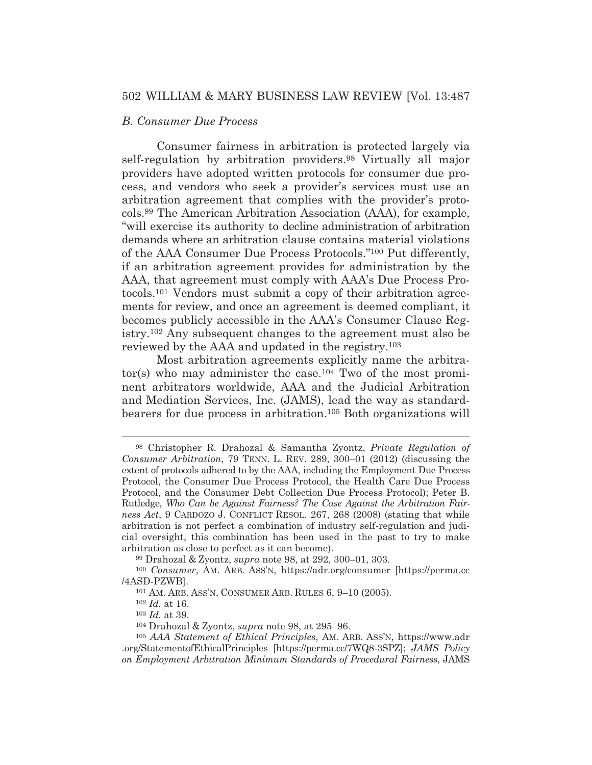#### *B. Consumer Due Process*

 Consumer fairness in arbitration is protected largely via self-regulation by arbitration providers.<sup>98</sup> Virtually all major providers have adopted written protocols for consumer due process, and vendors who seek a provider's services must use an arbitration agreement that complies with the provider's protocols.99 The American Arbitration Association (AAA), for example, "will exercise its authority to decline administration of arbitration demands where an arbitration clause contains material violations of the AAA Consumer Due Process Protocols."100 Put differently, if an arbitration agreement provides for administration by the AAA, that agreement must comply with AAA's Due Process Protocols.101 Vendors must submit a copy of their arbitration agreements for review, and once an agreement is deemed compliant, it becomes publicly accessible in the AAA's Consumer Clause Registry.102 Any subsequent changes to the agreement must also be reviewed by the AAA and updated in the registry.103

 Most arbitration agreements explicitly name the arbitrator(s) who may administer the case.104 Two of the most prominent arbitrators worldwide, AAA and the Judicial Arbitration and Mediation Services, Inc. (JAMS), lead the way as standardbearers for due process in arbitration.105 Both organizations will

<sup>98</sup> Christopher R. Drahozal & Samantha Zyontz, *Private Regulation of Consumer Arbitration*, 79 TENN. L. REV. 289, 300–01 (2012) (discussing the extent of protocols adhered to by the AAA, including the Employment Due Process Protocol, the Consumer Due Process Protocol, the Health Care Due Process Protocol, and the Consumer Debt Collection Due Process Protocol); Peter B. Rutledge, *Who Can be Against Fairness? The Case Against the Arbitration Fairness Act*, 9 CARDOZO J. CONFLICT RESOL. 267, 268 (2008) (stating that while arbitration is not perfect a combination of industry self-regulation and judicial oversight, this combination has been used in the past to try to make arbitration as close to perfect as it can become).

<sup>99</sup> Drahozal & Zyontz, *supra* note 98, at 292, 300–01, 303.

<sup>100</sup> *Consumer*, AM. ARB. ASS'N, https://adr.org/consumer [https://perma.cc /4ASD-PZWB].

<sup>101</sup> AM. ARB. ASS'N, CONSUMER ARB. RULES 6, 9–10 (2005).

<sup>102</sup> *Id.* at 16.

<sup>103</sup> *Id.* at 39.

<sup>104</sup> Drahozal & Zyontz, *supra* note 98, at 295–96.

<sup>105</sup> *AAA Statement of Ethical Principles*, AM. ARB. ASS'N, https://www.adr .org/StatementofEthicalPrinciples [https://perma.cc/7WQ8-3SPZ]; *JAMS Policy on Employment Arbitration Minimum Standards of Procedural Fairness*, JAMS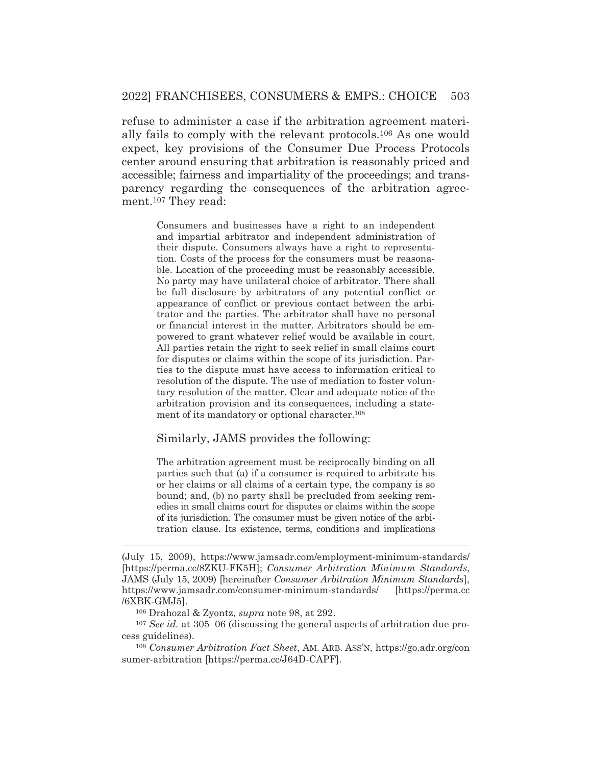refuse to administer a case if the arbitration agreement materially fails to comply with the relevant protocols.106 As one would expect, key provisions of the Consumer Due Process Protocols center around ensuring that arbitration is reasonably priced and accessible; fairness and impartiality of the proceedings; and transparency regarding the consequences of the arbitration agreement.107 They read:

> Consumers and businesses have a right to an independent and impartial arbitrator and independent administration of their dispute. Consumers always have a right to representation. Costs of the process for the consumers must be reasonable. Location of the proceeding must be reasonably accessible. No party may have unilateral choice of arbitrator. There shall be full disclosure by arbitrators of any potential conflict or appearance of conflict or previous contact between the arbitrator and the parties. The arbitrator shall have no personal or financial interest in the matter. Arbitrators should be empowered to grant whatever relief would be available in court. All parties retain the right to seek relief in small claims court for disputes or claims within the scope of its jurisdiction. Parties to the dispute must have access to information critical to resolution of the dispute. The use of mediation to foster voluntary resolution of the matter. Clear and adequate notice of the arbitration provision and its consequences, including a statement of its mandatory or optional character.108

#### Similarly, JAMS provides the following:

The arbitration agreement must be reciprocally binding on all parties such that (a) if a consumer is required to arbitrate his or her claims or all claims of a certain type, the company is so bound; and, (b) no party shall be precluded from seeking remedies in small claims court for disputes or claims within the scope of its jurisdiction. The consumer must be given notice of the arbitration clause. Its existence, terms, conditions and implications

<sup>107</sup> *See id.* at 305–06 (discussing the general aspects of arbitration due process guidelines).

<sup>108</sup> *Consumer Arbitration Fact Sheet*, AM. ARB. ASS'N, https://go.adr.org/con sumer-arbitration [https://perma.cc/J64D-CAPF].

<sup>(</sup>July 15, 2009), https://www.jamsadr.com/employment-minimum-standards/ [https://perma.cc/8ZKU-FK5H]; *Consumer Arbitration Minimum Standards*, JAMS (July 15, 2009) [hereinafter *Consumer Arbitration Minimum Standards*], https://www.jamsadr.com/consumer-minimum-standards/ [https://perma.cc /6XBK-GMJ5].

<sup>106</sup> Drahozal & Zyontz, *supra* note 98, at 292.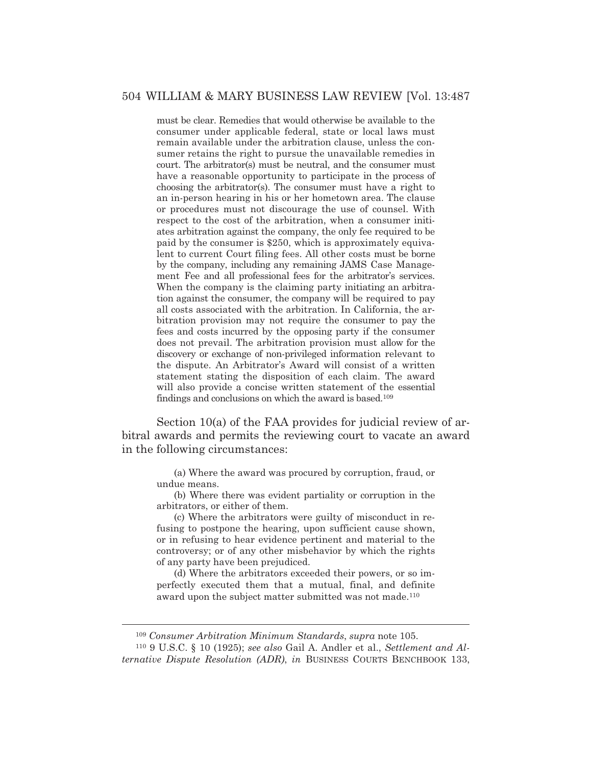must be clear. Remedies that would otherwise be available to the consumer under applicable federal, state or local laws must remain available under the arbitration clause, unless the consumer retains the right to pursue the unavailable remedies in court. The arbitrator(s) must be neutral, and the consumer must have a reasonable opportunity to participate in the process of choosing the arbitrator(s). The consumer must have a right to an in-person hearing in his or her hometown area. The clause or procedures must not discourage the use of counsel. With respect to the cost of the arbitration, when a consumer initiates arbitration against the company, the only fee required to be paid by the consumer is \$250, which is approximately equivalent to current Court filing fees. All other costs must be borne by the company, including any remaining JAMS Case Management Fee and all professional fees for the arbitrator's services. When the company is the claiming party initiating an arbitration against the consumer, the company will be required to pay all costs associated with the arbitration. In California, the arbitration provision may not require the consumer to pay the fees and costs incurred by the opposing party if the consumer does not prevail. The arbitration provision must allow for the discovery or exchange of non-privileged information relevant to the dispute. An Arbitrator's Award will consist of a written statement stating the disposition of each claim. The award will also provide a concise written statement of the essential findings and conclusions on which the award is based.109

 Section 10(a) of the FAA provides for judicial review of arbitral awards and permits the reviewing court to vacate an award in the following circumstances:

> (a) Where the award was procured by corruption, fraud, or undue means.

> (b) Where there was evident partiality or corruption in the arbitrators, or either of them.

> (c) Where the arbitrators were guilty of misconduct in refusing to postpone the hearing, upon sufficient cause shown, or in refusing to hear evidence pertinent and material to the controversy; or of any other misbehavior by which the rights of any party have been prejudiced.

> (d) Where the arbitrators exceeded their powers, or so imperfectly executed them that a mutual, final, and definite award upon the subject matter submitted was not made.<sup>110</sup>

<sup>109</sup> *Consumer Arbitration Minimum Standards*, *supra* note 105.

<sup>110 9</sup> U.S.C. § 10 (1925); *see also* Gail A. Andler et al., *Settlement and Alternative Dispute Resolution (ADR)*, *in* BUSINESS COURTS BENCHBOOK 133,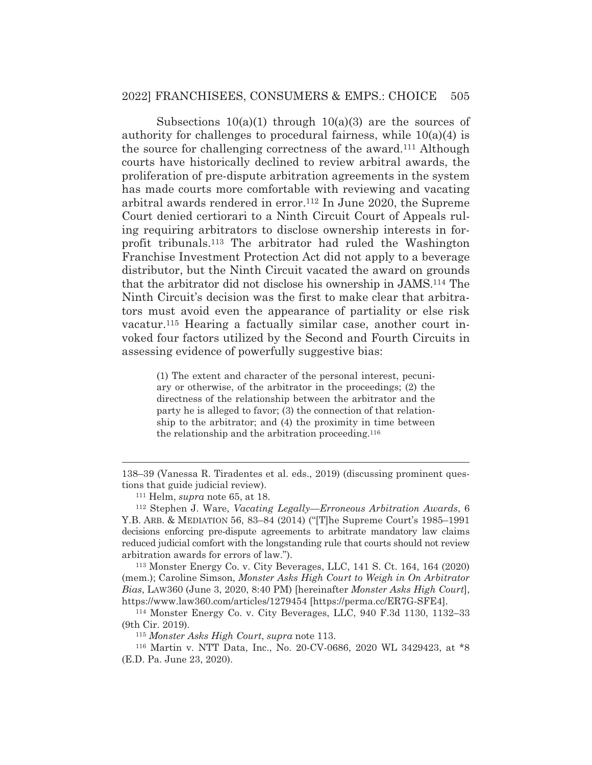#### 2022] FRANCHISEES, CONSUMERS & EMPS.: CHOICE 505

Subsections  $10(a)(1)$  through  $10(a)(3)$  are the sources of authority for challenges to procedural fairness, while 10(a)(4) is the source for challenging correctness of the award.111 Although courts have historically declined to review arbitral awards, the proliferation of pre-dispute arbitration agreements in the system has made courts more comfortable with reviewing and vacating arbitral awards rendered in error.<sup>112</sup> In June 2020, the Supreme Court denied certiorari to a Ninth Circuit Court of Appeals ruling requiring arbitrators to disclose ownership interests in forprofit tribunals.113 The arbitrator had ruled the Washington Franchise Investment Protection Act did not apply to a beverage distributor, but the Ninth Circuit vacated the award on grounds that the arbitrator did not disclose his ownership in JAMS.114 The Ninth Circuit's decision was the first to make clear that arbitrators must avoid even the appearance of partiality or else risk vacatur.115 Hearing a factually similar case, another court invoked four factors utilized by the Second and Fourth Circuits in assessing evidence of powerfully suggestive bias:

> (1) The extent and character of the personal interest, pecuniary or otherwise, of the arbitrator in the proceedings; (2) the directness of the relationship between the arbitrator and the party he is alleged to favor; (3) the connection of that relationship to the arbitrator; and (4) the proximity in time between the relationship and the arbitration proceeding.116

113 Monster Energy Co. v. City Beverages, LLC, 141 S. Ct. 164, 164 (2020) (mem.); Caroline Simson, *Monster Asks High Court to Weigh in On Arbitrator Bias*, LAW360 (June 3, 2020, 8:40 PM) [hereinafter *Monster Asks High Court*], https://www.law360.com/articles/1279454 [https://perma.cc/ER7G-SFE4]. 114 Monster Energy Co. v. City Beverages, LLC, 940 F.3d 1130, 1132–33

(9th Cir. 2019).

<sup>115</sup> *Monster Asks High Court*, *supra* note 113.

116 Martin v. NTT Data, Inc., No. 20-CV-0686, 2020 WL 3429423, at \*8 (E.D. Pa. June 23, 2020).

<sup>138–39 (</sup>Vanessa R. Tiradentes et al. eds., 2019) (discussing prominent questions that guide judicial review).<br><sup>111</sup> Helm, *supra* note 65, at 18.<br><sup>112</sup> Stephen J. Ware, *Vacating Legally—Erroneous Arbitration Awards*, 6

Y.B. ARB. & MEDIATION 56, 83-84 (2014) ("[T]he Supreme Court's 1985-1991 decisions enforcing pre-dispute agreements to arbitrate mandatory law claims reduced judicial comfort with the longstanding rule that courts should not review arbitration awards for errors of law.").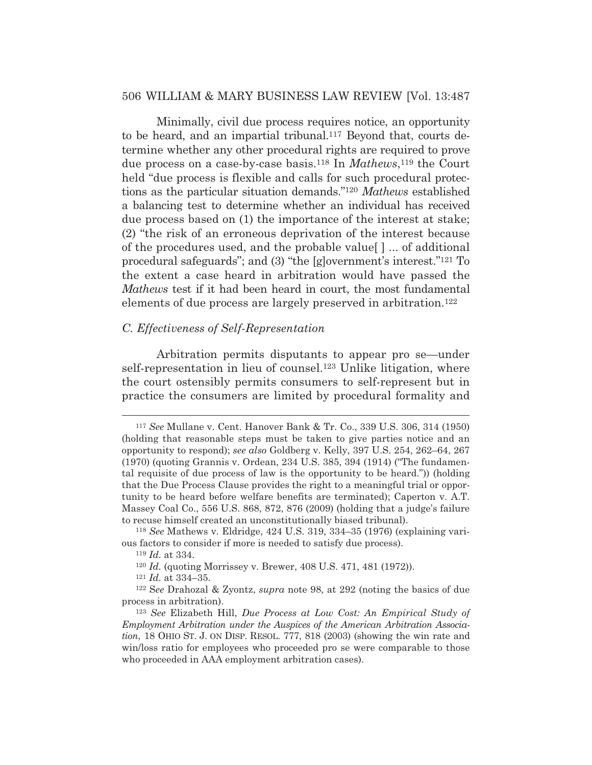Minimally, civil due process requires notice, an opportunity to be heard, and an impartial tribunal.117 Beyond that, courts determine whether any other procedural rights are required to prove due process on a case-by-case basis.118 In *Mathews*,119 the Court held "due process is flexible and calls for such procedural protections as the particular situation demands."120 *Mathews* established a balancing test to determine whether an individual has received due process based on (1) the importance of the interest at stake; (2) "the risk of an erroneous deprivation of the interest because of the procedures used, and the probable value[ ] ... of additional procedural safeguards"; and (3) "the [g]overnment's interest."121 To the extent a case heard in arbitration would have passed the *Mathews* test if it had been heard in court, the most fundamental elements of due process are largely preserved in arbitration.122

#### *C. Effectiveness of Self-Representation*

 Arbitration permits disputants to appear pro se—under self-representation in lieu of counsel.123 Unlike litigation, where the court ostensibly permits consumers to self-represent but in practice the consumers are limited by procedural formality and

<sup>117</sup> *See* Mullane v. Cent. Hanover Bank & Tr. Co., 339 U.S. 306, 314 (1950) (holding that reasonable steps must be taken to give parties notice and an opportunity to respond); *see also* Goldberg v. Kelly, 397 U.S. 254, 262–64, 267 (1970) (quoting Grannis v. Ordean, 234 U.S. 385, 394 (1914) ("The fundamental requisite of due process of law is the opportunity to be heard.")) (holding that the Due Process Clause provides the right to a meaningful trial or opportunity to be heard before welfare benefits are terminated); Caperton v. A.T. Massey Coal Co., 556 U.S. 868, 872, 876 (2009) (holding that a judge's failure to recuse himself created an unconstitutionally biased tribunal).

<sup>118</sup> *See* Mathews v. Eldridge, 424 U.S. 319, 334–35 (1976) (explaining various factors to consider if more is needed to satisfy due process).

<sup>119</sup> *Id.* at 334.

<sup>120</sup> *Id.* (quoting Morrissey v. Brewer, 408 U.S. 471, 481 (1972)). 121 *Id.* at 334–35. 122 S*ee* Drahozal & Zyontz, *supra* note 98, at 292 (noting the basics of due process in arbitration).

<sup>123</sup> *See* Elizabeth Hill, *Due Process at Low Cost: An Empirical Study of Employment Arbitration under the Auspices of the American Arbitration Association*, 18 OHIO ST. J. ON DISP. RESOL. 777, 818 (2003) (showing the win rate and win/loss ratio for employees who proceeded pro se were comparable to those who proceeded in AAA employment arbitration cases).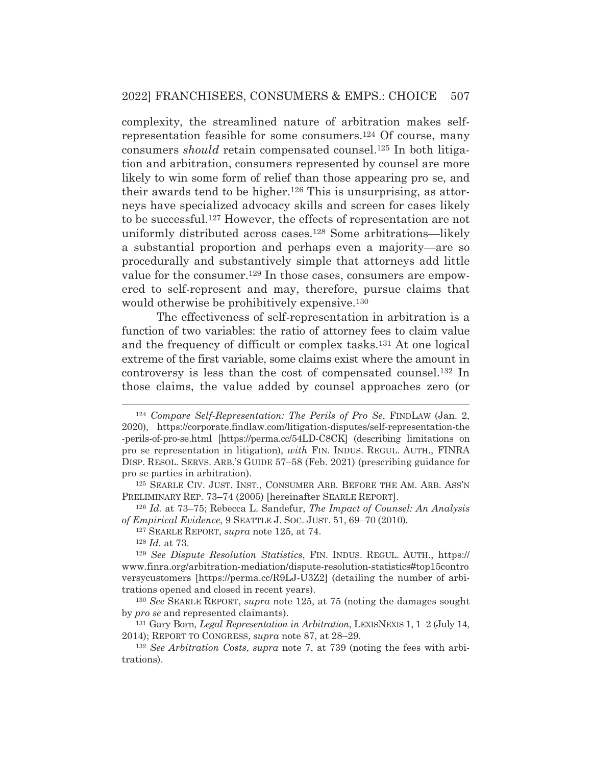complexity, the streamlined nature of arbitration makes selfrepresentation feasible for some consumers.124 Of course, many consumers *should* retain compensated counsel.125 In both litigation and arbitration, consumers represented by counsel are more likely to win some form of relief than those appearing pro se, and their awards tend to be higher.126 This is unsurprising, as attorneys have specialized advocacy skills and screen for cases likely to be successful.127 However, the effects of representation are not uniformly distributed across cases.128 Some arbitrations—likely a substantial proportion and perhaps even a majority—are so procedurally and substantively simple that attorneys add little value for the consumer.129 In those cases, consumers are empowered to self-represent and may, therefore, pursue claims that would otherwise be prohibitively expensive.<sup>130</sup>

 The effectiveness of self-representation in arbitration is a function of two variables: the ratio of attorney fees to claim value and the frequency of difficult or complex tasks.131 At one logical extreme of the first variable, some claims exist where the amount in controversy is less than the cost of compensated counsel.132 In those claims, the value added by counsel approaches zero (or

<sup>126</sup> *Id.* at 73–75; Rebecca L. Sandefur, *The Impact of Counsel: An Analysis of Empirical Evidence*, 9 SEATTLE J. SOC. JUST. 51, 69–70 (2010)*.*

<sup>130</sup> *See* SEARLE REPORT, *supra* note 125, at 75 (noting the damages sought by *pro se* and represented claimants).

131 Gary Born, *Legal Representation in Arbitration*, LEXISNEXIS 1, 1–2 (July 14, 2014); REPORT TO CONGRESS, *supra* note 87, at 28–29.

<sup>132</sup> *See Arbitration Costs*, *supra* note 7, at 739 (noting the fees with arbitrations).

<sup>124</sup> *Compare Self-Representation: The Perils of Pro Se*, FINDLAW (Jan. 2, 2020), https://corporate.findlaw.com/litigation-disputes/self-representation-the -perils-of-pro-se.html [https://perma.cc/54LD-C8CK] (describing limitations on pro se representation in litigation), *with* FIN. INDUS. REGUL. AUTH., FINRA DISP. RESOL. SERVS. ARB.'S GUIDE 57–58 (Feb. 2021) (prescribing guidance for pro se parties in arbitration).

<sup>125</sup> SEARLE CIV. JUST. INST., CONSUMER ARB. BEFORE THE AM. ARB. ASS'N PRELIMINARY REP. 73–74 (2005) [hereinafter SEARLE REPORT].

<sup>127</sup> SEARLE REPORT, *supra* note 125, at 74.

<sup>128</sup> *Id.* at 73.

<sup>129</sup> *See Dispute Resolution Statistics*, FIN. INDUS. REGUL. AUTH., https:// www.finra.org/arbitration-mediation/dispute-resolution-statistics#top15contro versycustomers [https://perma.cc/R9LJ-U3Z2] (detailing the number of arbitrations opened and closed in recent years).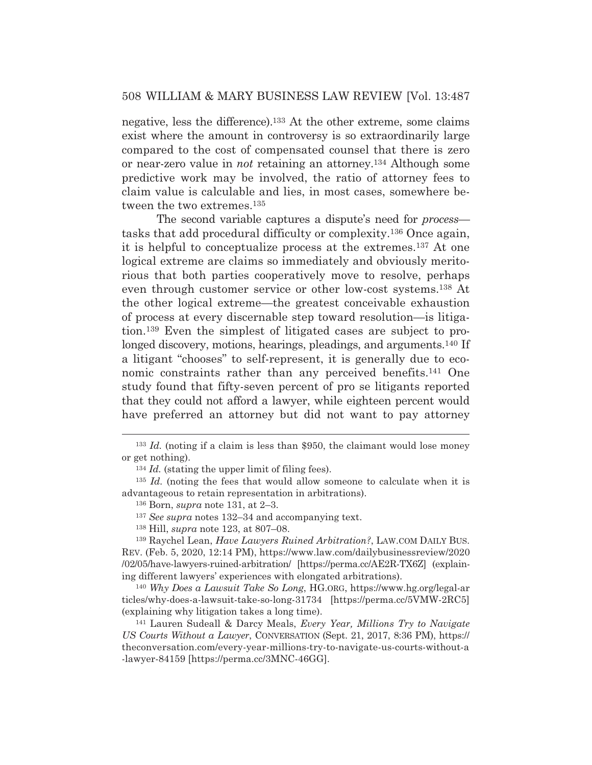negative, less the difference).133 At the other extreme, some claims exist where the amount in controversy is so extraordinarily large compared to the cost of compensated counsel that there is zero or near-zero value in *not* retaining an attorney.134 Although some predictive work may be involved, the ratio of attorney fees to claim value is calculable and lies, in most cases, somewhere between the two extremes.135

 The second variable captures a dispute's need for *process* tasks that add procedural difficulty or complexity.136 Once again, it is helpful to conceptualize process at the extremes.137 At one logical extreme are claims so immediately and obviously meritorious that both parties cooperatively move to resolve, perhaps even through customer service or other low-cost systems.138 At the other logical extreme—the greatest conceivable exhaustion of process at every discernable step toward resolution—is litigation.139 Even the simplest of litigated cases are subject to prolonged discovery, motions, hearings, pleadings, and arguments.<sup>140</sup> If a litigant "chooses" to self-represent, it is generally due to economic constraints rather than any perceived benefits.<sup>141</sup> One study found that fifty-seven percent of pro se litigants reported that they could not afford a lawyer, while eighteen percent would have preferred an attorney but did not want to pay attorney

<sup>140</sup> *Why Does a Lawsuit Take So Long*, HG.ORG, https://www.hg.org/legal-ar ticles/why-does-a-lawsuit-take-so-long-31734 [https://perma.cc/5VMW-2RC5] (explaining why litigation takes a long time). 141 Lauren Sudeall & Darcy Meals, *Every Year, Millions Try to Navigate* 

*US Courts Without a Lawyer*, CONVERSATION (Sept. 21, 2017, 8:36 PM), https:// theconversation.com/every-year-millions-try-to-navigate-us-courts-without-a -lawyer-84159 [https://perma.cc/3MNC-46GG].

<sup>133</sup> *Id.* (noting if a claim is less than \$950, the claimant would lose money or get nothing).

<sup>134</sup> *Id.* (stating the upper limit of filing fees).

<sup>&</sup>lt;sup>135</sup> *Id.* (noting the fees that would allow someone to calculate when it is advantageous to retain representation in arbitrations).

<sup>136</sup> Born, *supra* note 131, at 2–3.

<sup>137</sup> *See supra* notes 132–34 and accompanying text.

<sup>138</sup> Hill, *supra* note 123, at 807–08.

<sup>139</sup> Raychel Lean, *Have Lawyers Ruined Arbitration?*, LAW.COM DAILY BUS. REV. (Feb. 5, 2020, 12:14 PM), https://www.law.com/dailybusinessreview/2020 /02/05/have-lawyers-ruined-arbitration/ [https://perma.cc/AE2R-TX6Z] (explaining different lawyers' experiences with elongated arbitrations).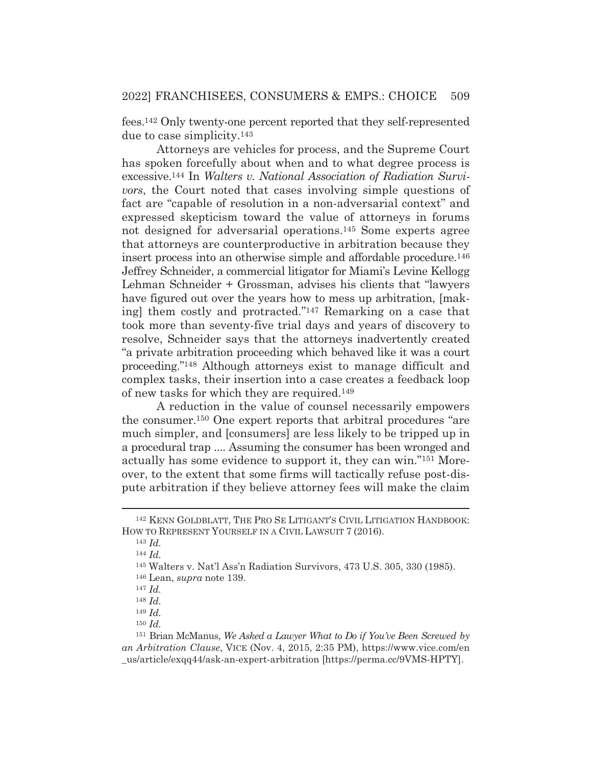fees.142 Only twenty-one percent reported that they self-represented due to case simplicity.143

 Attorneys are vehicles for process, and the Supreme Court has spoken forcefully about when and to what degree process is excessive.144 In *Walters v. National Association of Radiation Survivors*, the Court noted that cases involving simple questions of fact are "capable of resolution in a non-adversarial context" and expressed skepticism toward the value of attorneys in forums not designed for adversarial operations.145 Some experts agree that attorneys are counterproductive in arbitration because they insert process into an otherwise simple and affordable procedure.<sup>146</sup> Jeffrey Schneider, a commercial litigator for Miami's Levine Kellogg Lehman Schneider + Grossman, advises his clients that "lawyers have figured out over the years how to mess up arbitration, [making] them costly and protracted."147 Remarking on a case that took more than seventy-five trial days and years of discovery to resolve, Schneider says that the attorneys inadvertently created "a private arbitration proceeding which behaved like it was a court proceeding."148 Although attorneys exist to manage difficult and complex tasks, their insertion into a case creates a feedback loop of new tasks for which they are required.149

 A reduction in the value of counsel necessarily empowers the consumer.150 One expert reports that arbitral procedures "are much simpler, and [consumers] are less likely to be tripped up in a procedural trap .... Assuming the consumer has been wronged and actually has some evidence to support it, they can win."151 Moreover, to the extent that some firms will tactically refuse post-dispute arbitration if they believe attorney fees will make the claim

<sup>142</sup> KENN GOLDBLATT, THE PRO SE LITIGANT'S CIVIL LITIGATION HANDBOOK: HOW TO REPRESENT YOURSELF IN A CIVIL LAWSUIT 7 (2016).

<sup>143</sup> *Id.*

<sup>144</sup> *Id.*

<sup>145</sup> Walters v. Nat'l Ass'n Radiation Survivors, 473 U.S. 305, 330 (1985).

<sup>146</sup> Lean, *supra* note 139.

<sup>147</sup> *Id.*

<sup>148</sup> *Id.*

<sup>149</sup> *Id.*

<sup>150</sup> *Id.*

<sup>151</sup> Brian McManus, *We Asked a Lawyer What to Do if You've Been Screwed by an Arbitration Clause*, VICE (Nov. 4, 2015, 2:35 PM), https://www.vice.com/en \_us/article/exqq44/ask-an-expert-arbitration [https://perma.cc/9VMS-HPTY].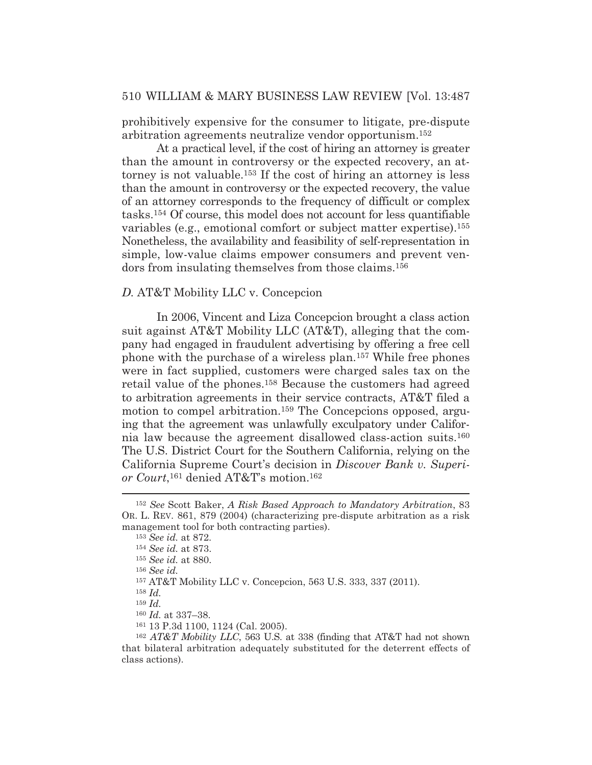prohibitively expensive for the consumer to litigate, pre-dispute arbitration agreements neutralize vendor opportunism.152

At a practical level, if the cost of hiring an attorney is greater than the amount in controversy or the expected recovery, an attorney is not valuable.153 If the cost of hiring an attorney is less than the amount in controversy or the expected recovery, the value of an attorney corresponds to the frequency of difficult or complex tasks.154 Of course, this model does not account for less quantifiable variables (e.g., emotional comfort or subject matter expertise).155 Nonetheless, the availability and feasibility of self-representation in simple, low-value claims empower consumers and prevent vendors from insulating themselves from those claims.156

#### *D.* AT&T Mobility LLC v. Concepcion

 In 2006, Vincent and Liza Concepcion brought a class action suit against AT&T Mobility LLC (AT&T), alleging that the company had engaged in fraudulent advertising by offering a free cell phone with the purchase of a wireless plan.157 While free phones were in fact supplied, customers were charged sales tax on the retail value of the phones.158 Because the customers had agreed to arbitration agreements in their service contracts, AT&T filed a motion to compel arbitration.<sup>159</sup> The Concepcions opposed, arguing that the agreement was unlawfully exculpatory under California law because the agreement disallowed class-action suits.160 The U.S. District Court for the Southern California, relying on the California Supreme Court's decision in *Discover Bank v. Superior Court*,161 denied AT&T's motion.162

157 AT&T Mobility LLC v. Concepcion, 563 U.S. 333, 337 (2011).

<sup>152</sup> *See* Scott Baker, *A Risk Based Approach to Mandatory Arbitration*, 83 OR. L. REV. 861, 879 (2004) (characterizing pre-dispute arbitration as a risk management tool for both contracting parties).

<sup>153</sup> *See id.* at 872*.*

<sup>154</sup> *See id.* at 873.

<sup>155</sup> *See id.* at 880.

<sup>156</sup> *See id.*

<sup>158</sup> *Id.*

<sup>159</sup> *Id.*

<sup>160</sup> *Id.* at 337–38.

<sup>161 13</sup> P.3d 1100, 1124 (Cal. 2005).

<sup>162</sup> *AT&T Mobility LLC*, 563 U.S. at 338 (finding that AT&T had not shown that bilateral arbitration adequately substituted for the deterrent effects of class actions).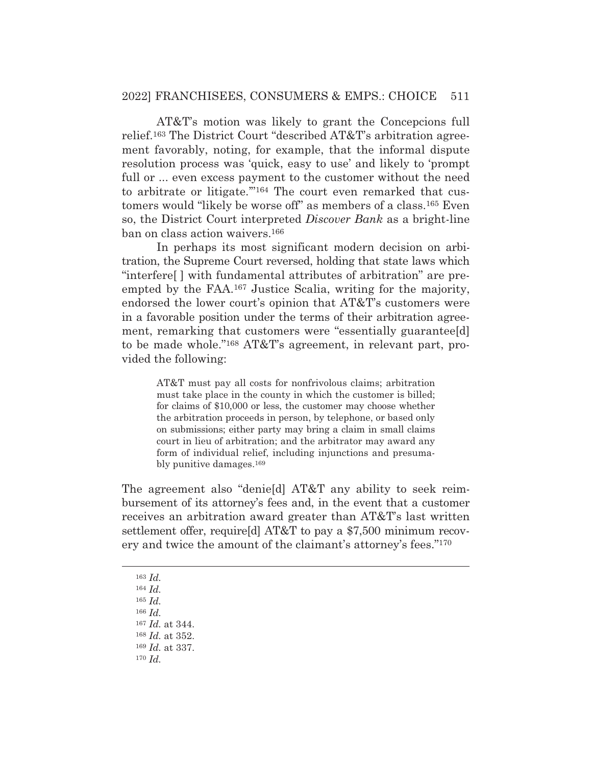## 2022] FRANCHISEES, CONSUMERS & EMPS.: CHOICE 511

 AT&T's motion was likely to grant the Concepcions full relief.163 The District Court "described AT&T's arbitration agreement favorably, noting, for example, that the informal dispute resolution process was 'quick, easy to use' and likely to 'prompt full or ... even excess payment to the customer without the need to arbitrate or litigate.'"164 The court even remarked that customers would "likely be worse off" as members of a class.165 Even so, the District Court interpreted *Discover Bank* as a bright-line ban on class action waivers.166

 In perhaps its most significant modern decision on arbitration, the Supreme Court reversed, holding that state laws which "interfere[ ] with fundamental attributes of arbitration" are preempted by the FAA.167 Justice Scalia, writing for the majority, endorsed the lower court's opinion that AT&T's customers were in a favorable position under the terms of their arbitration agreement, remarking that customers were "essentially guarantee[d] to be made whole."168 AT&T's agreement, in relevant part, provided the following:

AT&T must pay all costs for nonfrivolous claims; arbitration must take place in the county in which the customer is billed; for claims of \$10,000 or less, the customer may choose whether the arbitration proceeds in person, by telephone, or based only on submissions; either party may bring a claim in small claims court in lieu of arbitration; and the arbitrator may award any form of individual relief, including injunctions and presumably punitive damages.169

The agreement also "denie[d] AT&T any ability to seek reimbursement of its attorney's fees and, in the event that a customer receives an arbitration award greater than AT&T's last written settlement offer, require[d] AT&T to pay a \$7,500 minimum recovery and twice the amount of the claimant's attorney's fees."170

<sup>163</sup> *Id.* <sup>164</sup> *Id.* <sup>165</sup> *Id.* <sup>166</sup> *Id.* <sup>167</sup> *Id.* at 344. <sup>168</sup> *Id.* at 352. <sup>169</sup> *Id.* at 337. <sup>170</sup> *Id.*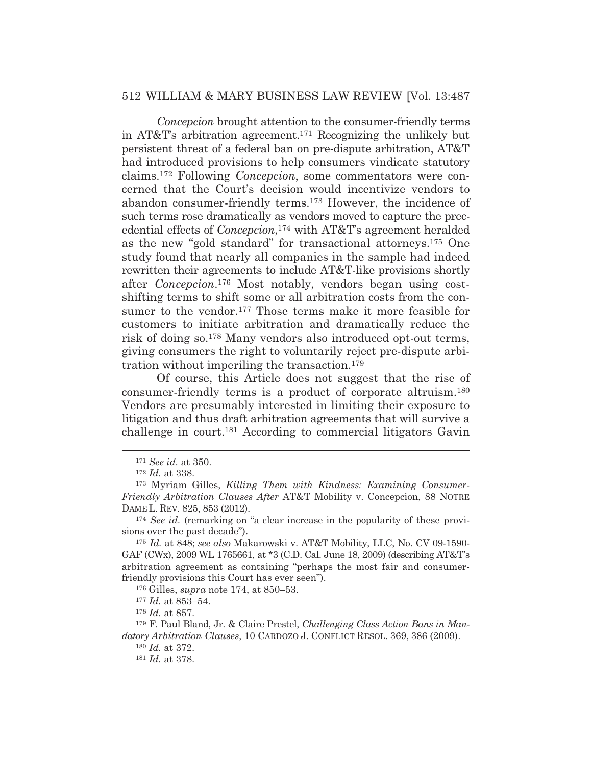*Concepcion* brought attention to the consumer-friendly terms in AT&T's arbitration agreement.171 Recognizing the unlikely but persistent threat of a federal ban on pre-dispute arbitration, AT&T had introduced provisions to help consumers vindicate statutory claims.172 Following *Concepcion*, some commentators were concerned that the Court's decision would incentivize vendors to abandon consumer-friendly terms.173 However, the incidence of such terms rose dramatically as vendors moved to capture the precedential effects of *Concepcion*,174 with AT&T's agreement heralded as the new "gold standard" for transactional attorneys.175 One study found that nearly all companies in the sample had indeed rewritten their agreements to include AT&T-like provisions shortly after *Concepcion*.176 Most notably, vendors began using costshifting terms to shift some or all arbitration costs from the consumer to the vendor.<sup>177</sup> Those terms make it more feasible for customers to initiate arbitration and dramatically reduce the risk of doing so.178 Many vendors also introduced opt-out terms, giving consumers the right to voluntarily reject pre-dispute arbitration without imperiling the transaction.179

 Of course, this Article does not suggest that the rise of consumer-friendly terms is a product of corporate altruism.180 Vendors are presumably interested in limiting their exposure to litigation and thus draft arbitration agreements that will survive a challenge in court.181 According to commercial litigators Gavin

176 Gilles, *supra* note 174, at 850–53.

<sup>177</sup> *Id.* at 853–54.

<sup>178</sup> *Id.* at 857.

<sup>180</sup> *Id.* at 372.

<sup>181</sup> *Id.* at 378.

<sup>171</sup> *See id.* at 350.

<sup>172</sup> *Id.* at 338.

<sup>173</sup> Myriam Gilles, *Killing Them with Kindness: Examining Consumer-Friendly Arbitration Clauses After* AT&T Mobility v. Concepcion, 88 NOTRE DAME L. REV. 825, 853 (2012).

<sup>&</sup>lt;sup>174</sup> *See id.* (remarking on "a clear increase in the popularity of these provisions over the past decade").

<sup>175</sup> *Id.* at 848; *see also* Makarowski v. AT&T Mobility, LLC, No. CV 09-1590- GAF (CWx), 2009 WL 1765661, at \*3 (C.D. Cal. June 18, 2009) (describing AT&T's arbitration agreement as containing "perhaps the most fair and consumerfriendly provisions this Court has ever seen").

<sup>179</sup> F. Paul Bland, Jr. & Claire Prestel, *Challenging Class Action Bans in Mandatory Arbitration Clauses*, 10 CARDOZO J. CONFLICT RESOL. 369, 386 (2009).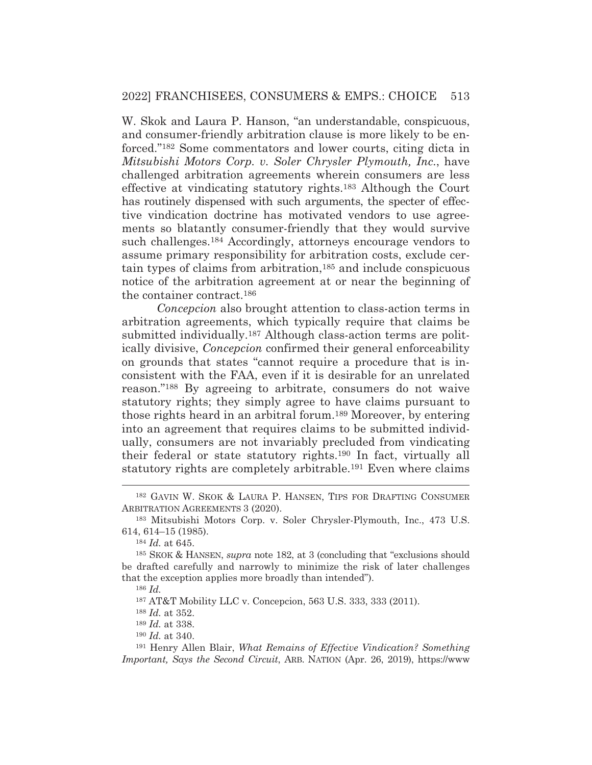W. Skok and Laura P. Hanson, "an understandable, conspicuous, and consumer-friendly arbitration clause is more likely to be enforced."182 Some commentators and lower courts, citing dicta in *Mitsubishi Motors Corp. v. Soler Chrysler Plymouth, Inc.*, have challenged arbitration agreements wherein consumers are less effective at vindicating statutory rights.183 Although the Court has routinely dispensed with such arguments, the specter of effective vindication doctrine has motivated vendors to use agreements so blatantly consumer-friendly that they would survive such challenges.184 Accordingly, attorneys encourage vendors to assume primary responsibility for arbitration costs, exclude certain types of claims from arbitration,185 and include conspicuous notice of the arbitration agreement at or near the beginning of the container contract.186

 *Concepcion* also brought attention to class-action terms in arbitration agreements, which typically require that claims be submitted individually.<sup>187</sup> Although class-action terms are politically divisive, *Concepcion* confirmed their general enforceability on grounds that states "cannot require a procedure that is inconsistent with the FAA, even if it is desirable for an unrelated reason."188 By agreeing to arbitrate, consumers do not waive statutory rights; they simply agree to have claims pursuant to those rights heard in an arbitral forum.189 Moreover, by entering into an agreement that requires claims to be submitted individually, consumers are not invariably precluded from vindicating their federal or state statutory rights.190 In fact, virtually all statutory rights are completely arbitrable.191 Even where claims

<sup>186</sup> *Id.*

<sup>182</sup> GAVIN W. SKOK & LAURA P. HANSEN, TIPS FOR DRAFTING CONSUMER ARBITRATION AGREEMENTS 3 (2020).

<sup>183</sup> Mitsubishi Motors Corp. v. Soler Chrysler-Plymouth, Inc., 473 U.S. 614, 614–15 (1985).

<sup>184</sup> *Id.* at 645.

<sup>185</sup> SKOK & HANSEN, *supra* note 182, at 3 (concluding that "exclusions should be drafted carefully and narrowly to minimize the risk of later challenges that the exception applies more broadly than intended").

<sup>187</sup> AT&T Mobility LLC v. Concepcion, 563 U.S. 333, 333 (2011).

<sup>188</sup> *Id.* at 352.

<sup>189</sup> *Id.* at 338.

<sup>190</sup> *Id.* at 340.

<sup>191</sup> Henry Allen Blair, *What Remains of Effective Vindication? Something Important, Says the Second Circuit*, ARB. NATION (Apr. 26, 2019), https://www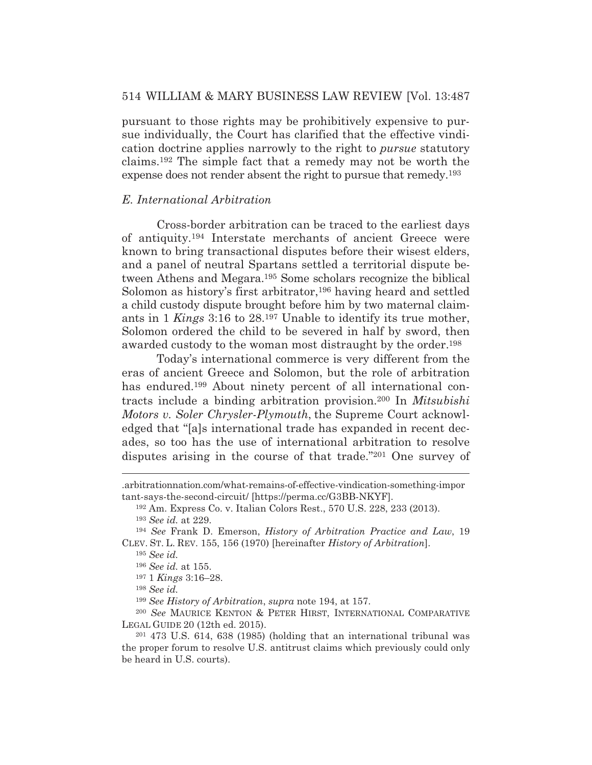pursuant to those rights may be prohibitively expensive to pursue individually, the Court has clarified that the effective vindication doctrine applies narrowly to the right to *pursue* statutory claims.192 The simple fact that a remedy may not be worth the expense does not render absent the right to pursue that remedy.193

#### *E. International Arbitration*

 Cross-border arbitration can be traced to the earliest days of antiquity.194 Interstate merchants of ancient Greece were known to bring transactional disputes before their wisest elders, and a panel of neutral Spartans settled a territorial dispute between Athens and Megara.195 Some scholars recognize the biblical Solomon as history's first arbitrator,<sup>196</sup> having heard and settled a child custody dispute brought before him by two maternal claimants in 1 *Kings* 3:16 to 28.197 Unable to identify its true mother, Solomon ordered the child to be severed in half by sword, then awarded custody to the woman most distraught by the order.<sup>198</sup>

 Today's international commerce is very different from the eras of ancient Greece and Solomon, but the role of arbitration has endured.<sup>199</sup> About ninety percent of all international contracts include a binding arbitration provision.200 In *Mitsubishi Motors v. Soler Chrysler-Plymouth*, the Supreme Court acknowledged that "[a]s international trade has expanded in recent decades, so too has the use of international arbitration to resolve disputes arising in the course of that trade."201 One survey of

<sup>198</sup> *See id.* 

<sup>199</sup> *See History of Arbitration*, *supra* note 194, at 157.

<sup>200</sup> *See* MAURICE KENTON & PETER HIRST, INTERNATIONAL COMPARATIVE LEGAL GUIDE 20 (12th ed. 2015).

<sup>.</sup>arbitrationnation.com/what-remains-of-effective-vindication-something-impor tant-says-the-second-circuit/ [https://perma.cc/G3BB-NKYF].

<sup>192</sup> Am. Express Co. v. Italian Colors Rest., 570 U.S. 228, 233 (2013). <sup>193</sup> *See id.* at 229.

<sup>194</sup> *See* Frank D. Emerson, *History of Arbitration Practice and Law*, 19 CLEV. ST. L. REV. 155, 156 (1970) [hereinafter *History of Arbitration*].

<sup>195</sup> *See id.*

<sup>196</sup> *See id.* at 155.

<sup>197 1</sup> *Kings* 3:16–28.

<sup>201 473</sup> U.S. 614, 638 (1985) (holding that an international tribunal was the proper forum to resolve U.S. antitrust claims which previously could only be heard in U.S. courts).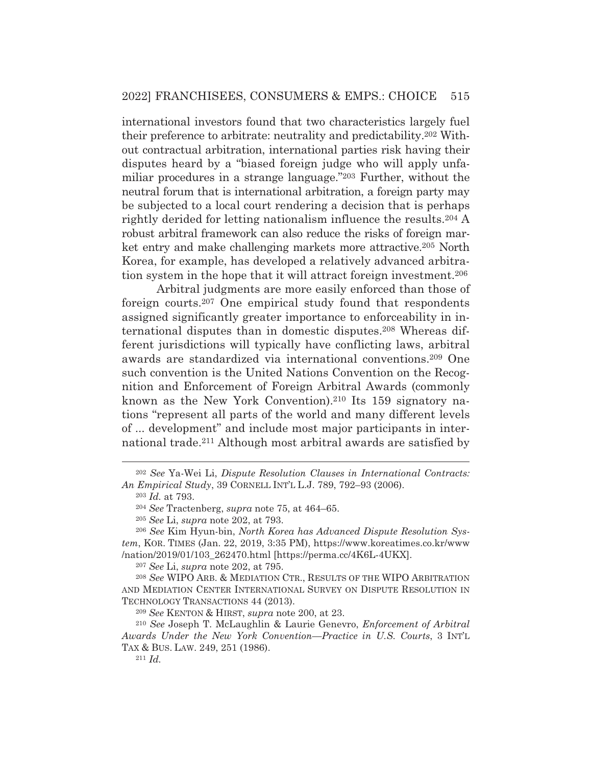international investors found that two characteristics largely fuel their preference to arbitrate: neutrality and predictability.202 Without contractual arbitration, international parties risk having their disputes heard by a "biased foreign judge who will apply unfamiliar procedures in a strange language."203 Further, without the neutral forum that is international arbitration, a foreign party may be subjected to a local court rendering a decision that is perhaps rightly derided for letting nationalism influence the results.204 A robust arbitral framework can also reduce the risks of foreign market entry and make challenging markets more attractive.205 North Korea, for example, has developed a relatively advanced arbitration system in the hope that it will attract foreign investment.206

 Arbitral judgments are more easily enforced than those of foreign courts.207 One empirical study found that respondents assigned significantly greater importance to enforceability in international disputes than in domestic disputes.208 Whereas different jurisdictions will typically have conflicting laws, arbitral awards are standardized via international conventions.209 One such convention is the United Nations Convention on the Recognition and Enforcement of Foreign Arbitral Awards (commonly known as the New York Convention).210 Its 159 signatory nations "represent all parts of the world and many different levels of ... development" and include most major participants in international trade.211 Although most arbitral awards are satisfied by

<sup>202</sup> *See* Ya-Wei Li, *Dispute Resolution Clauses in International Contracts: An Empirical Study*, 39 CORNELL INT'L L.J. 789, 792–93 (2006).

<sup>203</sup> *Id.* at 793.

<sup>204</sup> *See* Tractenberg, *supra* note 75, at 464–65.

<sup>205</sup> *See* Li, *supra* note 202, at 793.

<sup>206</sup> *See* Kim Hyun-bin, *North Korea has Advanced Dispute Resolution System*, KOR. TIMES (Jan. 22, 2019, 3:35 PM), https://www.koreatimes.co.kr/www /nation/2019/01/103\_262470.html [https://perma.cc/4K6L-4UKX].

<sup>207</sup> *See* Li, *supra* note 202, at 795.

<sup>208</sup> *See* WIPO ARB.&MEDIATION CTR., RESULTS OF THE WIPO ARBITRATION AND MEDIATION CENTER INTERNATIONAL SURVEY ON DISPUTE RESOLUTION IN TECHNOLOGY TRANSACTIONS 44 (2013).

<sup>209</sup> *See* KENTON & HIRST, *supra* note 200, at 23.

<sup>210</sup> *See* Joseph T. McLaughlin & Laurie Genevro, *Enforcement of Arbitral Awards Under the New York Convention—Practice in U.S. Courts*, 3 INT'L TAX & BUS. LAW. 249, 251 (1986). 211 *Id.*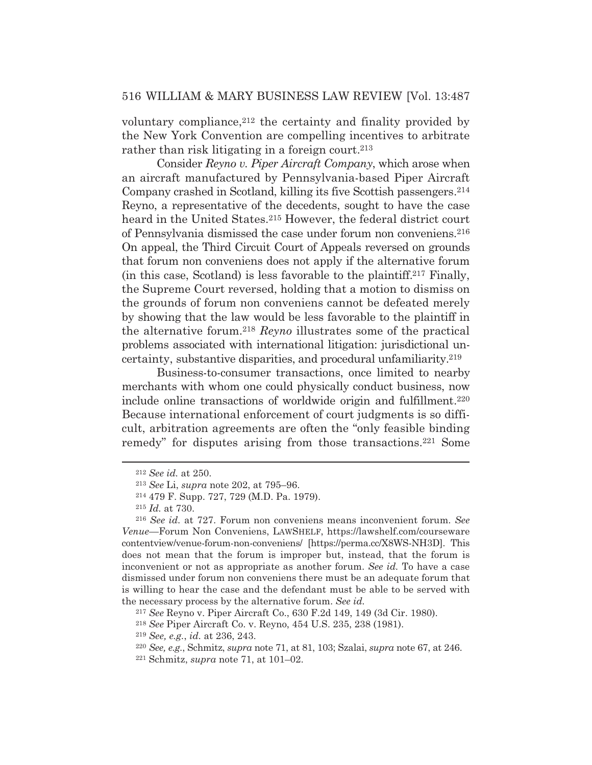voluntary compliance,<sup>212</sup> the certainty and finality provided by the New York Convention are compelling incentives to arbitrate rather than risk litigating in a foreign court.<sup>213</sup>

 Consider *Reyno v. Piper Aircraft Company*, which arose when an aircraft manufactured by Pennsylvania-based Piper Aircraft Company crashed in Scotland, killing its five Scottish passengers.214 Reyno, a representative of the decedents, sought to have the case heard in the United States.<sup>215</sup> However, the federal district court of Pennsylvania dismissed the case under forum non conveniens.216 On appeal, the Third Circuit Court of Appeals reversed on grounds that forum non conveniens does not apply if the alternative forum (in this case, Scotland) is less favorable to the plaintiff.217 Finally, the Supreme Court reversed, holding that a motion to dismiss on the grounds of forum non conveniens cannot be defeated merely by showing that the law would be less favorable to the plaintiff in the alternative forum.218 *Reyno* illustrates some of the practical problems associated with international litigation: jurisdictional uncertainty, substantive disparities, and procedural unfamiliarity.219

 Business-to-consumer transactions, once limited to nearby merchants with whom one could physically conduct business, now include online transactions of worldwide origin and fulfillment.220 Because international enforcement of court judgments is so difficult, arbitration agreements are often the "only feasible binding remedy" for disputes arising from those transactions.221 Some

<sup>212</sup> *See id.* at 250.

<sup>213</sup> *See* Li, *supra* note 202, at 795–96. 214 479 F. Supp. 727, 729 (M.D. Pa. 1979).

<sup>215</sup> *Id.* at 730.

<sup>216</sup> *See id.* at 727. Forum non conveniens means inconvenient forum. *See Venue—*Forum Non Conveniens, LAWSHELF, https://lawshelf.com/courseware contentview/venue-forum-non-conveniens/ [https://perma.cc/X8WS-NH3D]. This does not mean that the forum is improper but, instead, that the forum is inconvenient or not as appropriate as another forum. *See id.* To have a case dismissed under forum non conveniens there must be an adequate forum that is willing to hear the case and the defendant must be able to be served with the necessary process by the alternative forum. *See id.*

<sup>217</sup> *See* Reyno v. Piper Aircraft Co., 630 F.2d 149, 149 (3d Cir. 1980).

<sup>218</sup> *See* Piper Aircraft Co. v. Reyno, 454 U.S. 235, 238 (1981).

<sup>219</sup> *See, e.g.*, *id.* at 236, 243.

<sup>220</sup> *See, e.g.*, Schmitz, *supra* note 71, at 81, 103; Szalai, *supra* note 67, at 246. 221 Schmitz, *supra* note 71, at 101–02.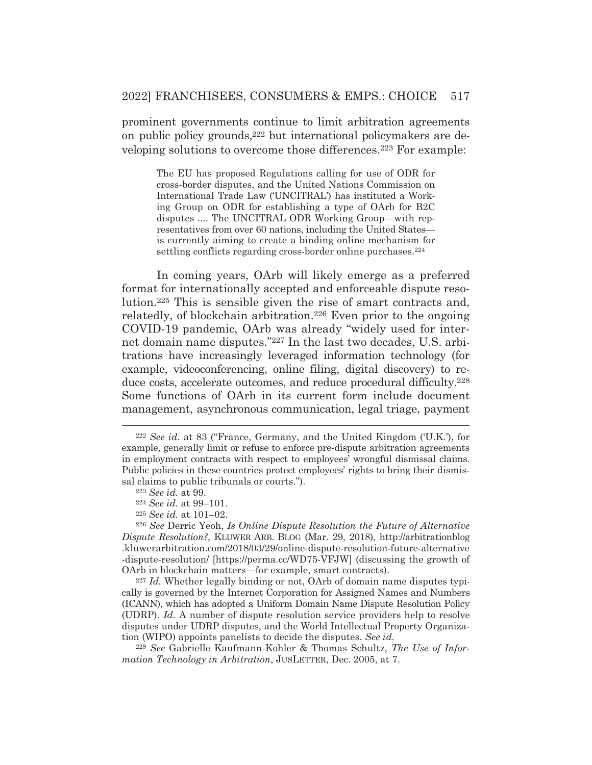prominent governments continue to limit arbitration agreements on public policy grounds,222 but international policymakers are developing solutions to overcome those differences.223 For example:

The EU has proposed Regulations calling for use of ODR for cross-border disputes, and the United Nations Commission on International Trade Law ('UNCITRAL') has instituted a Working Group on ODR for establishing a type of OArb for B2C disputes .... The UNCITRAL ODR Working Group*—*with representatives from over 60 nations, including the United States is currently aiming to create a binding online mechanism for settling conflicts regarding cross-border online purchases.<sup>224</sup>

 In coming years, OArb will likely emerge as a preferred format for internationally accepted and enforceable dispute resolution.225 This is sensible given the rise of smart contracts and, relatedly, of blockchain arbitration.226 Even prior to the ongoing COVID-19 pandemic, OArb was already "widely used for internet domain name disputes."227 In the last two decades, U.S. arbitrations have increasingly leveraged information technology (for example, videoconferencing, online filing, digital discovery) to reduce costs, accelerate outcomes, and reduce procedural difficulty.228 Some functions of OArb in its current form include document management, asynchronous communication, legal triage, payment

<sup>227</sup> *Id.* Whether legally binding or not, OArb of domain name disputes typically is governed by the Internet Corporation for Assigned Names and Numbers (ICANN), which has adopted a Uniform Domain Name Dispute Resolution Policy (UDRP). *Id.* A number of dispute resolution service providers help to resolve disputes under UDRP disputes, and the World Intellectual Property Organization (WIPO) appoints panelists to decide the disputes. *See id.*

<sup>228</sup> *See* Gabrielle Kaufmann-Kohler & Thomas Schultz, *The Use of Information Technology in Arbitration*, JUSLETTER, Dec. 2005, at 7.

<sup>222</sup> *See id.* at 83 ("France, Germany, and the United Kingdom ('U.K.'), for example, generally limit or refuse to enforce pre-dispute arbitration agreements in employment contracts with respect to employees' wrongful dismissal claims. Public policies in these countries protect employees' rights to bring their dismissal claims to public tribunals or courts.").

<sup>223</sup> *See id.* at 99. 224 *See id.* at 99–101.

<sup>225</sup> *See id.* at 101–02.

<sup>226</sup> *See* Derric Yeoh, *Is Online Dispute Resolution the Future of Alternative Dispute Resolution?*, KLUWER ARB. BLOG (Mar. 29, 2018), http://arbitrationblog .kluwerarbitration.com/2018/03/29/online-dispute-resolution-future-alternative -dispute-resolution/ [https://perma.cc/WD75-VFJW] (discussing the growth of OArb in blockchain matters*—*for example, smart contracts).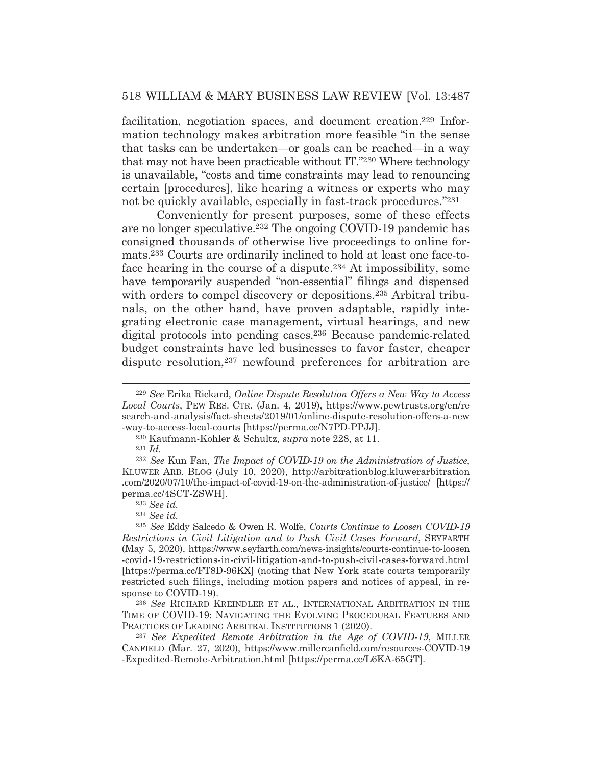facilitation, negotiation spaces, and document creation.229 Information technology makes arbitration more feasible "in the sense that tasks can be undertaken—or goals can be reached—in a way that may not have been practicable without IT."230 Where technology is unavailable, "costs and time constraints may lead to renouncing certain [procedures], like hearing a witness or experts who may not be quickly available, especially in fast-track procedures."231

 Conveniently for present purposes, some of these effects are no longer speculative.232 The ongoing COVID-19 pandemic has consigned thousands of otherwise live proceedings to online formats.233 Courts are ordinarily inclined to hold at least one face-toface hearing in the course of a dispute.234 At impossibility, some have temporarily suspended "non-essential" filings and dispensed with orders to compel discovery or depositions.<sup>235</sup> Arbitral tribunals, on the other hand, have proven adaptable, rapidly integrating electronic case management, virtual hearings, and new digital protocols into pending cases.236 Because pandemic-related budget constraints have led businesses to favor faster, cheaper dispute resolution,<sup>237</sup> newfound preferences for arbitration are

<sup>229</sup> *See* Erika Rickard, *Online Dispute Resolution Offers a New Way to Access Local Courts*, PEW RES. CTR. (Jan. 4, 2019), https://www.pewtrusts.org/en/re search-and-analysis/fact-sheets/2019/01/online-dispute-resolution-offers-a-new -way-to-access-local-courts [https://perma.cc/N7PD-PPJJ].

<sup>230</sup> Kaufmann-Kohler & Schultz, *supra* note 228, at 11.

<sup>231</sup> *Id.*

<sup>232</sup> *See* Kun Fan, *The Impact of COVID-19 on the Administration of Justice*, KLUWER ARB. BLOG (July 10, 2020), http://arbitrationblog.kluwerarbitration .com/2020/07/10/the-impact-of-covid-19-on-the-administration-of-justice/ [https:// perma.cc/4SCT-ZSWH].

<sup>233</sup> *See id.* 

<sup>234</sup> *See id.*

<sup>235</sup> *See* Eddy Salcedo & Owen R. Wolfe, *Courts Continue to Loosen COVID-19 Restrictions in Civil Litigation and to Push Civil Cases Forward*, SEYFARTH (May 5, 2020), https://www.seyfarth.com/news-insights/courts-continue-to-loosen -covid-19-restrictions-in-civil-litigation-and-to-push-civil-cases-forward.html [https://perma.cc/FT8D-96KX] (noting that New York state courts temporarily restricted such filings, including motion papers and notices of appeal, in response to COVID-19).

<sup>236</sup> *See* RICHARD KREINDLER ET AL., INTERNATIONAL ARBITRATION IN THE TIME OF COVID-19: NAVIGATING THE EVOLVING PROCEDURAL FEATURES AND PRACTICES OF LEADING ARBITRAL INSTITUTIONS 1 (2020).

<sup>237</sup> *See Expedited Remote Arbitration in the Age of COVID-19*, MILLER CANFIELD (Mar. 27, 2020), https://www.millercanfield.com/resources-COVID-19 -Expedited-Remote-Arbitration.html [https://perma.cc/L6KA-65GT].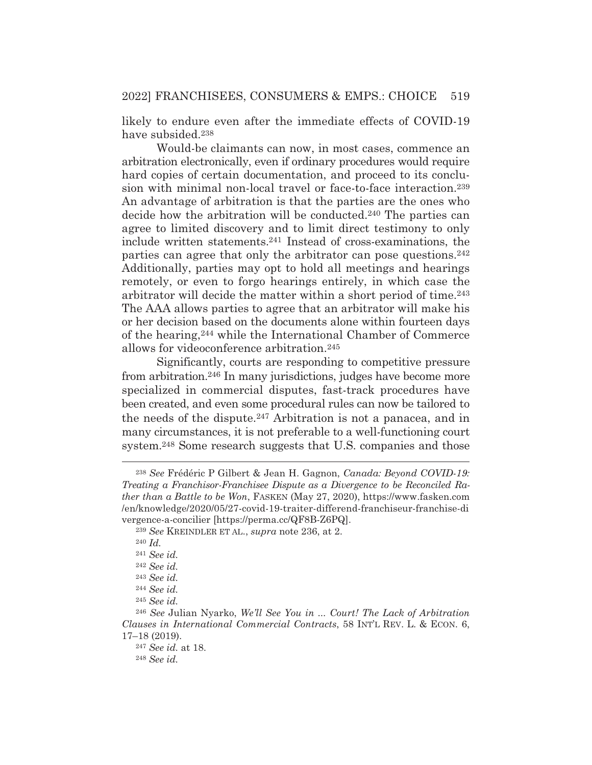likely to endure even after the immediate effects of COVID-19 have subsided.238

 Would-be claimants can now, in most cases, commence an arbitration electronically, even if ordinary procedures would require hard copies of certain documentation, and proceed to its conclusion with minimal non-local travel or face-to-face interaction.239 An advantage of arbitration is that the parties are the ones who decide how the arbitration will be conducted.240 The parties can agree to limited discovery and to limit direct testimony to only include written statements.241 Instead of cross-examinations, the parties can agree that only the arbitrator can pose questions.242 Additionally, parties may opt to hold all meetings and hearings remotely, or even to forgo hearings entirely, in which case the arbitrator will decide the matter within a short period of time.<sup>243</sup> The AAA allows parties to agree that an arbitrator will make his or her decision based on the documents alone within fourteen days of the hearing,244 while the International Chamber of Commerce allows for videoconference arbitration.245

 Significantly, courts are responding to competitive pressure from arbitration.246 In many jurisdictions, judges have become more specialized in commercial disputes, fast-track procedures have been created, and even some procedural rules can now be tailored to the needs of the dispute.247 Arbitration is not a panacea, and in many circumstances, it is not preferable to a well-functioning court system.248 Some research suggests that U.S. companies and those

<sup>238</sup> *See* Frédéric P Gilbert & Jean H. Gagnon, *Canada: Beyond COVID-19: Treating a Franchisor-Franchisee Dispute as a Divergence to be Reconciled Rather than a Battle to be Won*, FASKEN (May 27, 2020), https://www.fasken.com /en/knowledge/2020/05/27-covid-19-traiter-differend-franchiseur-franchise-di vergence-a-concilier [https://perma.cc/QF8B-Z6PQ].

<sup>239</sup> *See* KREINDLER ET AL., *supra* note 236, at 2.

<sup>240</sup> *Id.*

<sup>241</sup> *See id.*

<sup>242</sup> *See id.*

<sup>243</sup> *See id.*

<sup>244</sup> *See id.*

<sup>245</sup> *See id.*

<sup>246</sup> *See* Julian Nyarko, *We'll See You in ... Court! The Lack of Arbitration Clauses in International Commercial Contracts*, 58 INT'L REV. L. & ECON. 6, 17–18 (2019).

<sup>247</sup> *See id.* at 18.

<sup>248</sup> *See id.*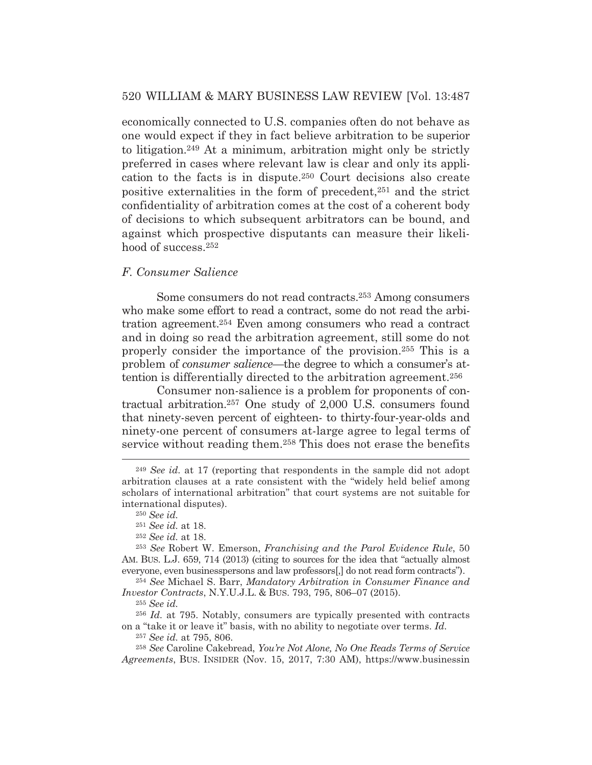economically connected to U.S. companies often do not behave as one would expect if they in fact believe arbitration to be superior to litigation.249 At a minimum, arbitration might only be strictly preferred in cases where relevant law is clear and only its application to the facts is in dispute.250 Court decisions also create positive externalities in the form of precedent,251 and the strict confidentiality of arbitration comes at the cost of a coherent body of decisions to which subsequent arbitrators can be bound, and against which prospective disputants can measure their likelihood of success.252

## *F. Consumer Salience*

 Some consumers do not read contracts.253 Among consumers who make some effort to read a contract, some do not read the arbitration agreement.254 Even among consumers who read a contract and in doing so read the arbitration agreement, still some do not properly consider the importance of the provision.255 This is a problem of *consumer salience*—the degree to which a consumer's attention is differentially directed to the arbitration agreement.256

 Consumer non-salience is a problem for proponents of contractual arbitration.257 One study of 2,000 U.S. consumers found that ninety-seven percent of eighteen- to thirty-four-year-olds and ninety-one percent of consumers at-large agree to legal terms of service without reading them.258 This does not erase the benefits

<sup>254</sup> *See* Michael S. Barr, *Mandatory Arbitration in Consumer Finance and Investor Contracts*, N.Y.U.J.L. & BUS. 793, 795, 806–07 (2015).

<sup>255</sup> *See id.*

<sup>256</sup> *Id.* at 795. Notably, consumers are typically presented with contracts on a "take it or leave it" basis, with no ability to negotiate over terms. *Id.*

<sup>257</sup> *See id.* at 795, 806.

<sup>258</sup> *See* Caroline Cakebread, *You're Not Alone, No One Reads Terms of Service Agreements*, BUS. INSIDER (Nov. 15, 2017, 7:30 AM), https://www.businessin

<sup>249</sup> *See id.* at 17 (reporting that respondents in the sample did not adopt arbitration clauses at a rate consistent with the "widely held belief among scholars of international arbitration" that court systems are not suitable for international disputes).

<sup>250</sup> *See id.*

<sup>251</sup> *See id.* at 18.

<sup>252</sup> *See id.* at 18.

<sup>253</sup> *See* Robert W. Emerson, *Franchising and the Parol Evidence Rule*, 50 AM. BUS. L.J. 659, 714 (2013) (citing to sources for the idea that "actually almost everyone, even businesspersons and law professors[,] do not read form contracts").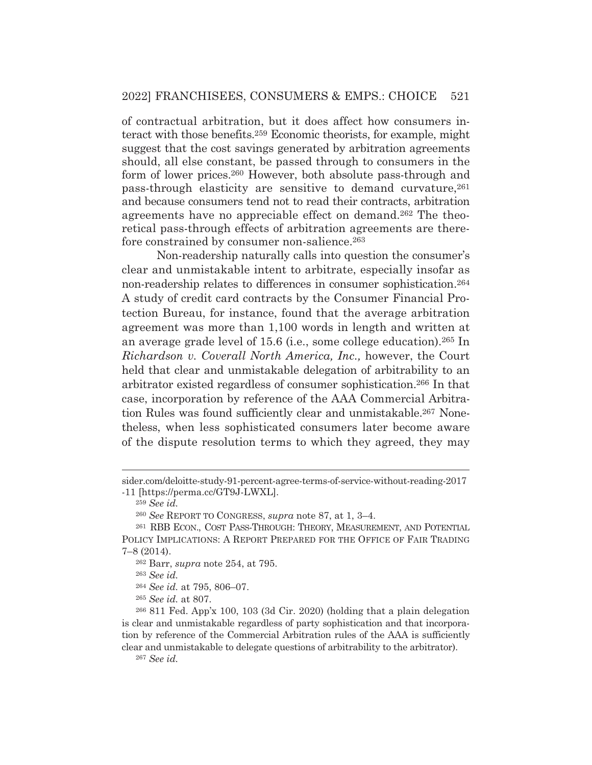of contractual arbitration, but it does affect how consumers interact with those benefits.259 Economic theorists, for example, might suggest that the cost savings generated by arbitration agreements should, all else constant, be passed through to consumers in the form of lower prices.260 However, both absolute pass-through and pass-through elasticity are sensitive to demand curvature, 261 and because consumers tend not to read their contracts, arbitration agreements have no appreciable effect on demand.262 The theoretical pass-through effects of arbitration agreements are therefore constrained by consumer non-salience.<sup>263</sup>

 Non-readership naturally calls into question the consumer's clear and unmistakable intent to arbitrate, especially insofar as non-readership relates to differences in consumer sophistication.264 A study of credit card contracts by the Consumer Financial Protection Bureau, for instance, found that the average arbitration agreement was more than 1,100 words in length and written at an average grade level of 15.6 (i.e., some college education).265 In *Richardson v. Coverall North America, Inc.,* however, the Court held that clear and unmistakable delegation of arbitrability to an arbitrator existed regardless of consumer sophistication.266 In that case, incorporation by reference of the AAA Commercial Arbitration Rules was found sufficiently clear and unmistakable.267 Nonetheless, when less sophisticated consumers later become aware of the dispute resolution terms to which they agreed, they may

<sup>263</sup> *See id.* 

<sup>267</sup> *See id.*

sider.com/deloitte-study-91-percent-agree-terms-of-service-without-reading-2017 -11 [https://perma.cc/GT9J-LWXL].

<sup>259</sup> *See id.*

<sup>260</sup> *See* REPORT TO CONGRESS, *supra* note 87, at 1, 3–4.

<sup>261</sup> RBB ECON., COST PASS-THROUGH: THEORY, MEASUREMENT, AND POTENTIAL POLICY IMPLICATIONS: A REPORT PREPARED FOR THE OFFICE OF FAIR TRADING 7–8 (2014).

<sup>262</sup> Barr, *supra* note 254, at 795.

<sup>264</sup> *See id.* at 795, 806–07.

<sup>265</sup> *See id.* at 807.

<sup>266 811</sup> Fed. App'x 100, 103 (3d Cir. 2020) (holding that a plain delegation is clear and unmistakable regardless of party sophistication and that incorporation by reference of the Commercial Arbitration rules of the AAA is sufficiently clear and unmistakable to delegate questions of arbitrability to the arbitrator).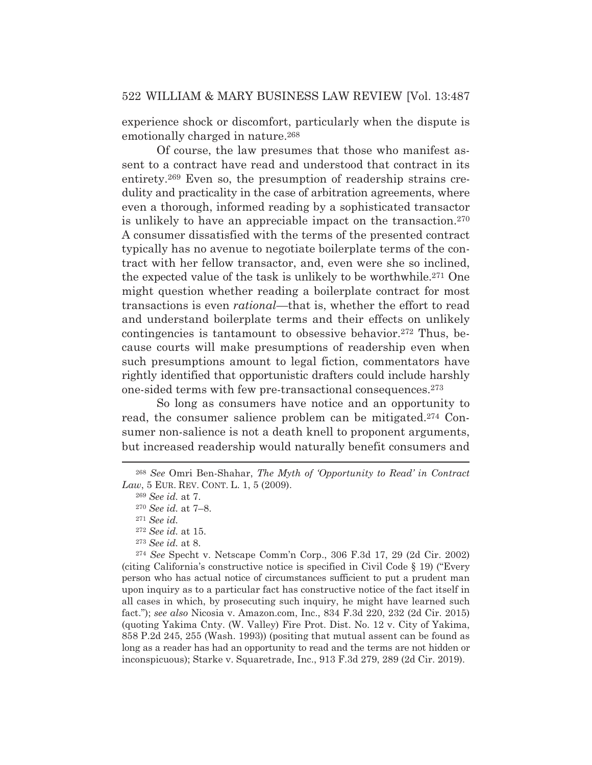experience shock or discomfort, particularly when the dispute is emotionally charged in nature.268

 Of course, the law presumes that those who manifest assent to a contract have read and understood that contract in its entirety.269 Even so, the presumption of readership strains credulity and practicality in the case of arbitration agreements, where even a thorough, informed reading by a sophisticated transactor is unlikely to have an appreciable impact on the transaction.270 A consumer dissatisfied with the terms of the presented contract typically has no avenue to negotiate boilerplate terms of the contract with her fellow transactor, and, even were she so inclined, the expected value of the task is unlikely to be worthwhile.271 One might question whether reading a boilerplate contract for most transactions is even *rational*—that is, whether the effort to read and understand boilerplate terms and their effects on unlikely contingencies is tantamount to obsessive behavior.272 Thus, because courts will make presumptions of readership even when such presumptions amount to legal fiction, commentators have rightly identified that opportunistic drafters could include harshly one-sided terms with few pre-transactional consequences.273

 So long as consumers have notice and an opportunity to read, the consumer salience problem can be mitigated.274 Consumer non-salience is not a death knell to proponent arguments, but increased readership would naturally benefit consumers and

<sup>268</sup> *See* Omri Ben-Shahar, *The Myth of 'Opportunity to Read' in Contract Law*, 5 EUR. REV. CONT. L. 1, 5 (2009).

<sup>269</sup> *See id.* at 7.

<sup>270</sup> *See id.* at 7–8.

<sup>271</sup> *See id.*

<sup>272</sup> *See id.* at 15.

<sup>273</sup> *See id.* at 8.

<sup>274</sup> *See* Specht v. Netscape Comm'n Corp., 306 F.3d 17, 29 (2d Cir. 2002) (citing California's constructive notice is specified in Civil Code § 19) ("Every person who has actual notice of circumstances sufficient to put a prudent man upon inquiry as to a particular fact has constructive notice of the fact itself in all cases in which, by prosecuting such inquiry, he might have learned such fact."); *see also* Nicosia v. Amazon.com, Inc., 834 F.3d 220, 232 (2d Cir. 2015) (quoting Yakima Cnty. (W. Valley) Fire Prot. Dist. No. 12 v. City of Yakima, 858 P.2d 245, 255 (Wash. 1993)) (positing that mutual assent can be found as long as a reader has had an opportunity to read and the terms are not hidden or inconspicuous); Starke v. Squaretrade, Inc., 913 F.3d 279, 289 (2d Cir. 2019).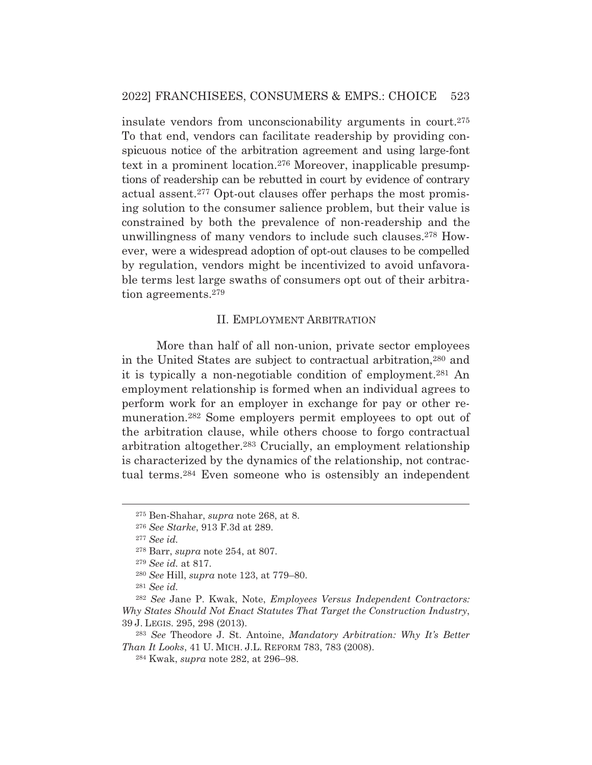insulate vendors from unconscionability arguments in court.275 To that end, vendors can facilitate readership by providing conspicuous notice of the arbitration agreement and using large-font text in a prominent location.276 Moreover, inapplicable presumptions of readership can be rebutted in court by evidence of contrary actual assent.277 Opt-out clauses offer perhaps the most promising solution to the consumer salience problem, but their value is constrained by both the prevalence of non-readership and the unwillingness of many vendors to include such clauses.278 However, were a widespread adoption of opt-out clauses to be compelled by regulation, vendors might be incentivized to avoid unfavorable terms lest large swaths of consumers opt out of their arbitration agreements.279

### II. EMPLOYMENT ARBITRATION

 More than half of all non-union, private sector employees in the United States are subject to contractual arbitration,280 and it is typically a non-negotiable condition of employment.281 An employment relationship is formed when an individual agrees to perform work for an employer in exchange for pay or other remuneration.282 Some employers permit employees to opt out of the arbitration clause, while others choose to forgo contractual arbitration altogether.283 Crucially, an employment relationship is characterized by the dynamics of the relationship, not contractual terms.284 Even someone who is ostensibly an independent

<sup>277</sup> *See id.*

<sup>281</sup> *See id.*

<sup>275</sup> Ben-Shahar, *supra* note 268, at 8.

<sup>276</sup> *See Starke*, 913 F.3d at 289.

<sup>278</sup> Barr, *supra* note 254, at 807.

<sup>279</sup> *See id.* at 817.

<sup>280</sup> *See* Hill, *supra* note 123, at 779–80.

<sup>282</sup> *See* Jane P. Kwak, Note, *Employees Versus Independent Contractors: Why States Should Not Enact Statutes That Target the Construction Industry*, 39 J. LEGIS. 295, 298 (2013).

<sup>283</sup> *See* Theodore J. St. Antoine, *Mandatory Arbitration: Why It's Better Than It Looks*, 41 U. MICH. J.L. REFORM 783, 783 (2008).

<sup>284</sup> Kwak, *supra* note 282, at 296–98.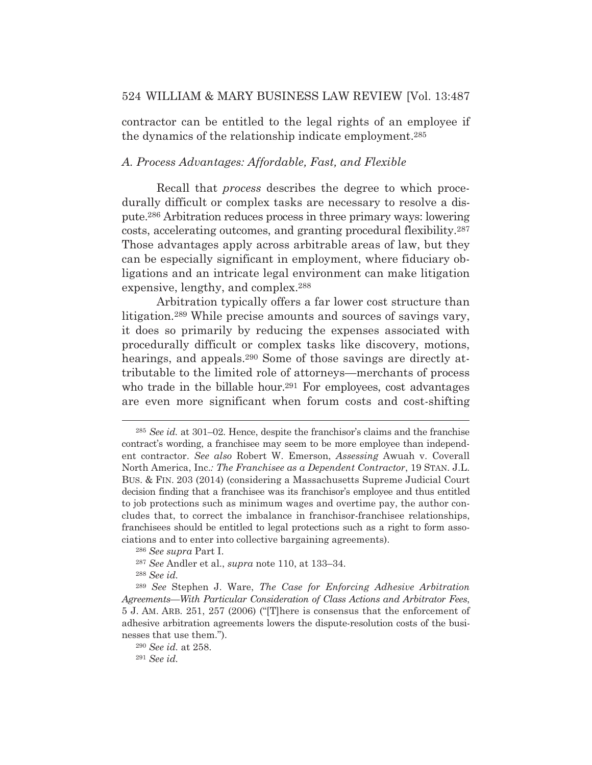contractor can be entitled to the legal rights of an employee if the dynamics of the relationship indicate employment.285

### *A. Process Advantages: Affordable, Fast, and Flexible*

 Recall that *process* describes the degree to which procedurally difficult or complex tasks are necessary to resolve a dispute.286 Arbitration reduces process in three primary ways: lowering costs, accelerating outcomes, and granting procedural flexibility.287 Those advantages apply across arbitrable areas of law, but they can be especially significant in employment, where fiduciary obligations and an intricate legal environment can make litigation expensive, lengthy, and complex.288

 Arbitration typically offers a far lower cost structure than litigation.289 While precise amounts and sources of savings vary, it does so primarily by reducing the expenses associated with procedurally difficult or complex tasks like discovery, motions, hearings, and appeals.<sup>290</sup> Some of those savings are directly attributable to the limited role of attorneys—merchants of process who trade in the billable hour.<sup>291</sup> For employees, cost advantages are even more significant when forum costs and cost-shifting

<sup>285</sup> *See id.* at 301–02. Hence, despite the franchisor's claims and the franchise contract's wording, a franchisee may seem to be more employee than independent contractor. *See also* Robert W. Emerson, *Assessing* Awuah v. Coverall North America, Inc.*: The Franchisee as a Dependent Contractor*, 19 STAN. J.L. BUS.&FIN. 203 (2014) (considering a Massachusetts Supreme Judicial Court decision finding that a franchisee was its franchisor's employee and thus entitled to job protections such as minimum wages and overtime pay, the author concludes that, to correct the imbalance in franchisor-franchisee relationships, franchisees should be entitled to legal protections such as a right to form associations and to enter into collective bargaining agreements).

<sup>286</sup> *See supra* Part I.

<sup>287</sup> *See* Andler et al., *supra* note 110, at 133–34.

<sup>288</sup> *See id.*

<sup>289</sup> *See* Stephen J. Ware, *The Case for Enforcing Adhesive Arbitration Agreements*—*With Particular Consideration of Class Actions and Arbitrator Fees*, 5 J. AM. ARB. 251, 257 (2006) ("[T]here is consensus that the enforcement of adhesive arbitration agreements lowers the dispute-resolution costs of the businesses that use them.").

<sup>290</sup> *See id.* at 258.

<sup>291</sup> *See id.*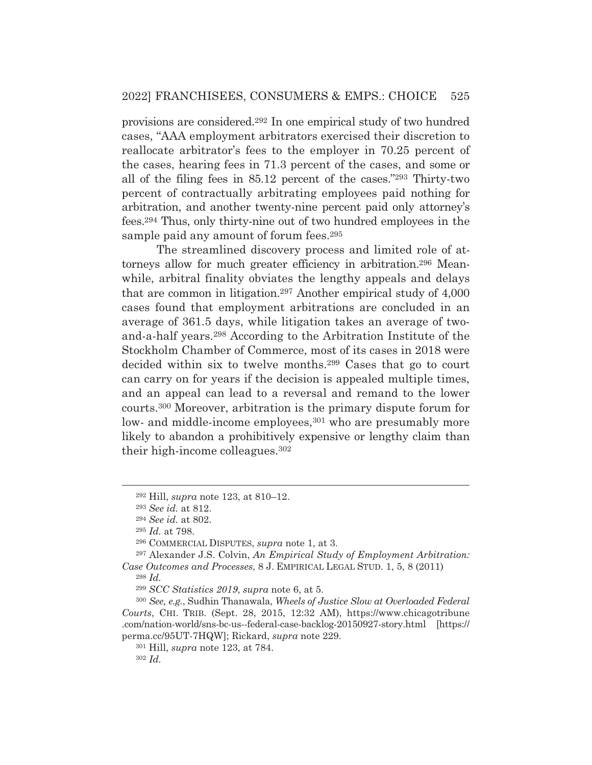provisions are considered.292 In one empirical study of two hundred cases, "AAA employment arbitrators exercised their discretion to reallocate arbitrator's fees to the employer in 70.25 percent of the cases, hearing fees in 71.3 percent of the cases, and some or all of the filing fees in 85.12 percent of the cases."293 Thirty-two percent of contractually arbitrating employees paid nothing for arbitration, and another twenty-nine percent paid only attorney's fees.294 Thus, only thirty-nine out of two hundred employees in the sample paid any amount of forum fees.<sup>295</sup>

 The streamlined discovery process and limited role of attorneys allow for much greater efficiency in arbitration.296 Meanwhile, arbitral finality obviates the lengthy appeals and delays that are common in litigation.297 Another empirical study of 4,000 cases found that employment arbitrations are concluded in an average of 361.5 days, while litigation takes an average of twoand-a-half years.298 According to the Arbitration Institute of the Stockholm Chamber of Commerce, most of its cases in 2018 were decided within six to twelve months.299 Cases that go to court can carry on for years if the decision is appealed multiple times, and an appeal can lead to a reversal and remand to the lower courts.300 Moreover, arbitration is the primary dispute forum for low- and middle-income employees,<sup>301</sup> who are presumably more likely to abandon a prohibitively expensive or lengthy claim than their high-income colleagues.302

<sup>298</sup> *Id.*

<sup>299</sup> *SCC Statistics 2019*, *supra* note 6, at 5.

301 Hill, *supra* note 123, at 784.

<sup>292</sup> Hill, *supra* note 123, at 810–12.

<sup>293</sup> *See id.* at 812.

<sup>294</sup> *See id.* at 802.

<sup>295</sup> *Id.* at 798.

<sup>296</sup> COMMERCIAL DISPUTES, *supra* note 1, at 3.

<sup>297</sup> Alexander J.S. Colvin, *An Empirical Study of Employment Arbitration: Case Outcomes and Processes*, 8 J. EMPIRICAL LEGAL STUD. 1, 5, 8 (2011)

<sup>300</sup> *See, e.g.*, Sudhin Thanawala, *Wheels of Justice Slow at Overloaded Federal Courts*, CHI. TRIB. (Sept. 28, 2015, 12:32 AM), https://www.chicagotribune .com/nation-world/sns-bc-us--federal-case-backlog-20150927-story.html [https:// perma.cc/95UT-7HQW]; Rickard, *supra* note 229.

<sup>302</sup> *Id.*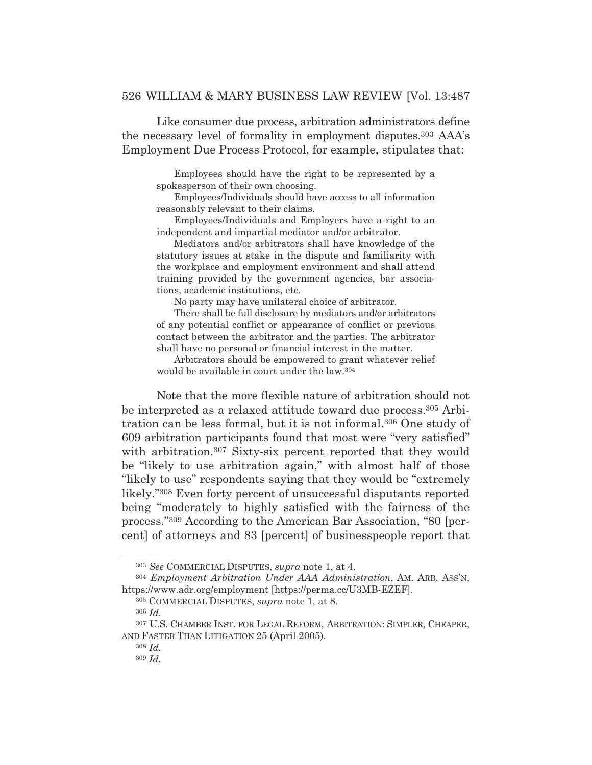Like consumer due process, arbitration administrators define the necessary level of formality in employment disputes.303 AAA's Employment Due Process Protocol, for example, stipulates that:

Employees should have the right to be represented by a spokesperson of their own choosing.

Employees/Individuals should have access to all information reasonably relevant to their claims.

Employees/Individuals and Employers have a right to an independent and impartial mediator and/or arbitrator.

Mediators and/or arbitrators shall have knowledge of the statutory issues at stake in the dispute and familiarity with the workplace and employment environment and shall attend training provided by the government agencies, bar associations, academic institutions, etc.

No party may have unilateral choice of arbitrator.

There shall be full disclosure by mediators and/or arbitrators of any potential conflict or appearance of conflict or previous contact between the arbitrator and the parties. The arbitrator shall have no personal or financial interest in the matter.

Arbitrators should be empowered to grant whatever relief would be available in court under the law.304

 Note that the more flexible nature of arbitration should not be interpreted as a relaxed attitude toward due process.305 Arbitration can be less formal, but it is not informal.306 One study of 609 arbitration participants found that most were "very satisfied" with arbitration.<sup>307</sup> Sixty-six percent reported that they would be "likely to use arbitration again," with almost half of those "likely to use" respondents saying that they would be "extremely likely."308 Even forty percent of unsuccessful disputants reported being "moderately to highly satisfied with the fairness of the process."309 According to the American Bar Association, "80 [percent] of attorneys and 83 [percent] of businesspeople report that

<sup>306</sup> *Id.*

<sup>303</sup> *See* COMMERCIAL DISPUTES, *supra* note 1, at 4.

<sup>304</sup> *Employment Arbitration Under AAA Administration*, AM. ARB. ASS'N, https://www.adr.org/employment [https://perma.cc/U3MB-EZEF].

<sup>305</sup> COMMERCIAL DISPUTES, *supra* note 1, at 8.

<sup>307</sup> U.S. CHAMBER INST. FOR LEGAL REFORM, ARBITRATION: SIMPLER, CHEAPER, AND FASTER THAN LITIGATION 25 (April 2005).

<sup>308</sup> *Id.*

<sup>309</sup> *Id.*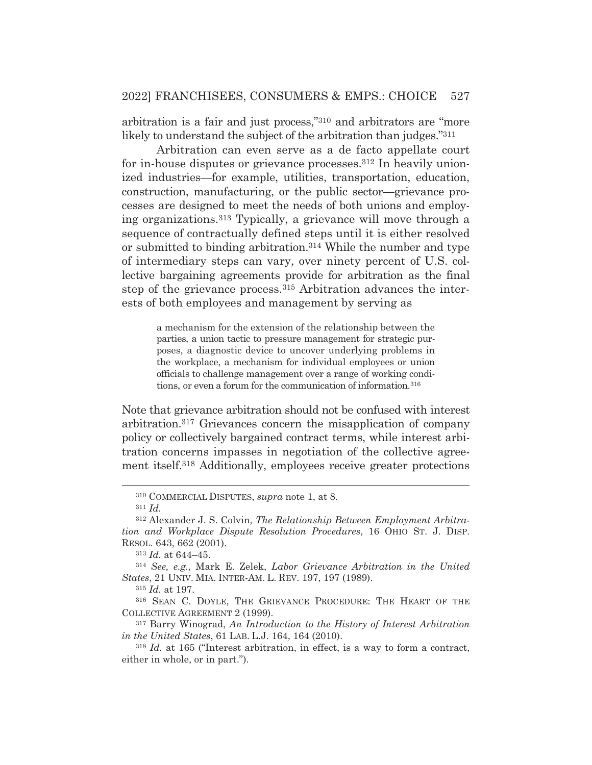arbitration is a fair and just process,"310 and arbitrators are "more likely to understand the subject of the arbitration than judges."<sup>311</sup>

 Arbitration can even serve as a de facto appellate court for in-house disputes or grievance processes.312 In heavily unionized industries—for example, utilities, transportation, education, construction, manufacturing, or the public sector—grievance processes are designed to meet the needs of both unions and employing organizations.313 Typically, a grievance will move through a sequence of contractually defined steps until it is either resolved or submitted to binding arbitration.314 While the number and type of intermediary steps can vary, over ninety percent of U.S. collective bargaining agreements provide for arbitration as the final step of the grievance process.315 Arbitration advances the interests of both employees and management by serving as

a mechanism for the extension of the relationship between the parties, a union tactic to pressure management for strategic purposes, a diagnostic device to uncover underlying problems in the workplace, a mechanism for individual employees or union officials to challenge management over a range of working conditions, or even a forum for the communication of information.316

Note that grievance arbitration should not be confused with interest arbitration.317 Grievances concern the misapplication of company policy or collectively bargained contract terms, while interest arbitration concerns impasses in negotiation of the collective agreement itself.318 Additionally, employees receive greater protections

<sup>313</sup> *Id.* at 644–45.

<sup>314</sup> *See, e.g.*, Mark E. Zelek, *Labor Grievance Arbitration in the United States*, 21 UNIV. MIA. INTER-AM. L. REV. 197, 197 (1989).

<sup>315</sup> *Id.* at 197.

316 SEAN C. DOYLE, THE GRIEVANCE PROCEDURE: THE HEART OF THE COLLECTIVE AGREEMENT 2 (1999).

317 Barry Winograd, *An Introduction to the History of Interest Arbitration in the United States*, 61 LAB. L.J. 164, 164 (2010).

<sup>310</sup> COMMERCIAL DISPUTES, *supra* note 1, at 8.

<sup>311</sup> *Id.*

<sup>312</sup> Alexander J. S. Colvin, *The Relationship Between Employment Arbitration and Workplace Dispute Resolution Procedures*, 16 OHIO ST. J. DISP. RESOL. 643, 662 (2001).

<sup>318</sup> *Id.* at 165 ("Interest arbitration, in effect, is a way to form a contract, either in whole, or in part.").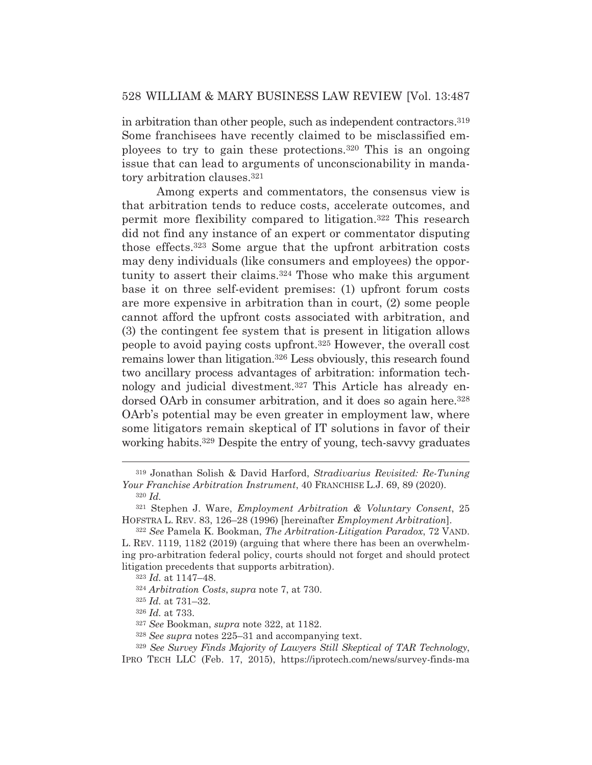in arbitration than other people, such as independent contractors.319 Some franchisees have recently claimed to be misclassified employees to try to gain these protections.320 This is an ongoing issue that can lead to arguments of unconscionability in mandatory arbitration clauses.321

 Among experts and commentators, the consensus view is that arbitration tends to reduce costs, accelerate outcomes, and permit more flexibility compared to litigation.322 This research did not find any instance of an expert or commentator disputing those effects.323 Some argue that the upfront arbitration costs may deny individuals (like consumers and employees) the opportunity to assert their claims.324 Those who make this argument base it on three self-evident premises: (1) upfront forum costs are more expensive in arbitration than in court, (2) some people cannot afford the upfront costs associated with arbitration, and (3) the contingent fee system that is present in litigation allows people to avoid paying costs upfront.325 However, the overall cost remains lower than litigation.326 Less obviously, this research found two ancillary process advantages of arbitration: information technology and judicial divestment.<sup>327</sup> This Article has already endorsed OArb in consumer arbitration, and it does so again here.<sup>328</sup> OArb's potential may be even greater in employment law, where some litigators remain skeptical of IT solutions in favor of their working habits.329 Despite the entry of young, tech-savvy graduates

<sup>319</sup> Jonathan Solish & David Harford, *Stradivarius Revisited: Re-Tuning Your Franchise Arbitration Instrument*, 40 FRANCHISE L.J. 69, 89 (2020). <sup>320</sup> *Id.*

<sup>321</sup> Stephen J. Ware, *Employment Arbitration & Voluntary Consent*, 25 HOFSTRA L. REV. 83, 126–28 (1996) [hereinafter *Employment Arbitration*].

<sup>322</sup> *See* Pamela K. Bookman, *The Arbitration-Litigation Paradox*, 72 VAND. L. REV. 1119, 1182 (2019) (arguing that where there has been an overwhelming pro-arbitration federal policy, courts should not forget and should protect litigation precedents that supports arbitration).

<sup>323</sup> *Id.* at 1147–48.

<sup>324</sup> *Arbitration Costs*, *supra* note 7, at 730.

<sup>325</sup> *Id.* at 731–32.

<sup>326</sup> *Id.* at 733.

<sup>327</sup> *See* Bookman, *supra* note 322, at 1182.

<sup>328</sup> *See supra* notes 225–31 and accompanying text.

<sup>329</sup> *See Survey Finds Majority of Lawyers Still Skeptical of TAR Technology*,

IPRO TECH LLC (Feb. 17, 2015), https://iprotech.com/news/survey-finds-ma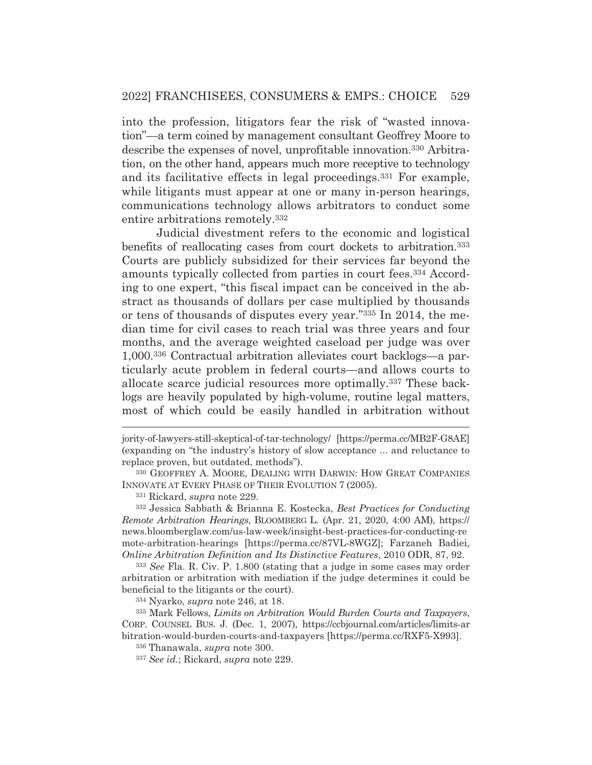into the profession, litigators fear the risk of "wasted innovation"—a term coined by management consultant Geoffrey Moore to describe the expenses of novel, unprofitable innovation.<sup>330</sup> Arbitration, on the other hand, appears much more receptive to technology and its facilitative effects in legal proceedings.331 For example, while litigants must appear at one or many in-person hearings, communications technology allows arbitrators to conduct some entire arbitrations remotely.332

 Judicial divestment refers to the economic and logistical benefits of reallocating cases from court dockets to arbitration.333 Courts are publicly subsidized for their services far beyond the amounts typically collected from parties in court fees.334 According to one expert, "this fiscal impact can be conceived in the abstract as thousands of dollars per case multiplied by thousands or tens of thousands of disputes every year."335 In 2014, the median time for civil cases to reach trial was three years and four months, and the average weighted caseload per judge was over 1,000.336 Contractual arbitration alleviates court backlogs—a particularly acute problem in federal courts—and allows courts to allocate scarce judicial resources more optimally.337 These backlogs are heavily populated by high-volume, routine legal matters, most of which could be easily handled in arbitration without

<sup>333</sup> *See* Fla. R. Civ. P. 1.800 (stating that a judge in some cases may order arbitration or arbitration with mediation if the judge determines it could be beneficial to the litigants or the court).

334 Nyarko, *supra* note 246, at 18.

335 Mark Fellows, *Limits on Arbitration Would Burden Courts and Taxpayers*, CORP. COUNSEL BUS. J. (Dec. 1, 2007), https://ccbjournal.com/articles/limits-ar bitration-would-burden-courts-and-taxpayers [https://perma.cc/RXF5-X993].

336 Thanawala, *supra* note 300.

<sup>337</sup> *See id.*; Rickard, *supra* note 229.

jority-of-lawyers-still-skeptical-of-tar-technology/ [https://perma.cc/MB2F-G8AE] (expanding on "the industry's history of slow acceptance ... and reluctance to replace proven, but outdated, methods").

<sup>330</sup> GEOFFREY A. MOORE, DEALING WITH DARWIN: HOW GREAT COMPANIES INNOVATE AT EVERY PHASE OF THEIR EVOLUTION 7 (2005).

<sup>331</sup> Rickard, *supra* note 229.

<sup>332</sup> Jessica Sabbath & Brianna E. Kostecka, *Best Practices for Conducting Remote Arbitration Hearings*, BLOOMBERG L. (Apr. 21, 2020, 4:00 AM), https:// news.bloomberglaw.com/us-law-week/insight-best-practices-for-conducting-re mote-arbitration-hearings [https://perma.cc/87VL-8WGZ]; Farzaneh Badiei, *Online Arbitration Definition and Its Distinctive Features*, 2010 ODR, 87, 92.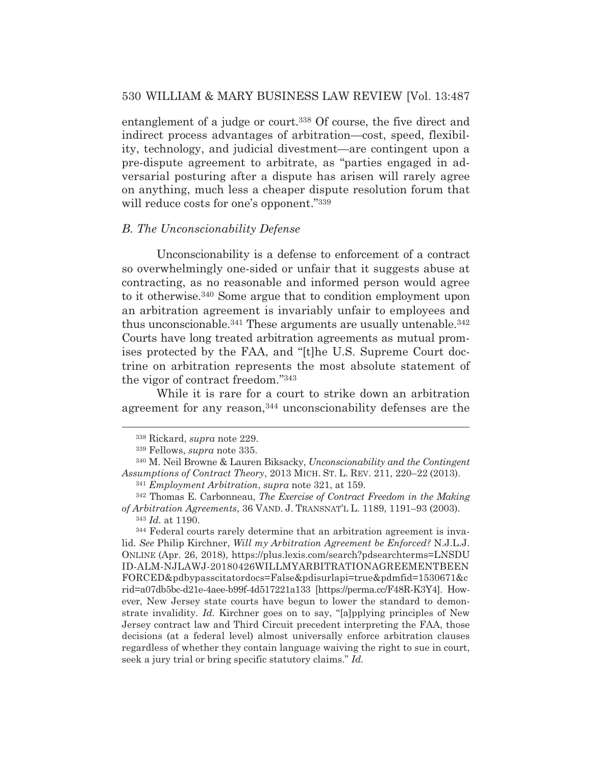entanglement of a judge or court.338 Of course, the five direct and indirect process advantages of arbitration—cost, speed, flexibility, technology, and judicial divestment—are contingent upon a pre-dispute agreement to arbitrate, as "parties engaged in adversarial posturing after a dispute has arisen will rarely agree on anything, much less a cheaper dispute resolution forum that will reduce costs for one's opponent."<sup>339</sup>

### *B. The Unconscionability Defense*

 Unconscionability is a defense to enforcement of a contract so overwhelmingly one-sided or unfair that it suggests abuse at contracting, as no reasonable and informed person would agree to it otherwise.340 Some argue that to condition employment upon an arbitration agreement is invariably unfair to employees and thus unconscionable.<sup>341</sup> These arguments are usually untenable.<sup>342</sup> Courts have long treated arbitration agreements as mutual promises protected by the FAA, and "[t]he U.S. Supreme Court doctrine on arbitration represents the most absolute statement of the vigor of contract freedom."343

 While it is rare for a court to strike down an arbitration agreement for any reason,344 unconscionability defenses are the

<sup>338</sup> Rickard, *supra* note 229.

<sup>339</sup> Fellows, *supra* note 335.

<sup>340</sup> M. Neil Browne & Lauren Biksacky, *Unconscionability and the Contingent Assumptions of Contract Theory*, 2013 MICH. ST. L. REV. 211, 220–22 (2013).

<sup>341</sup> *Employment Arbitration*, *supra* note 321, at 159.

<sup>342</sup> Thomas E. Carbonneau, *The Exercise of Contract Freedom in the Making of Arbitration Agreements*, 36 VAND. J. TRANSNAT'L L. 1189, 1191–93 (2003). <sup>343</sup> *Id.* at 1190.

<sup>344</sup> Federal courts rarely determine that an arbitration agreement is invalid. *See* Philip Kirchner, *Will my Arbitration Agreement be Enforced?* N.J.L.J. ONLINE (Apr. 26, 2018), https://plus.lexis.com/search?pdsearchterms=LNSDU ID-ALM-NJLAWJ-20180426WILLMYARBITRATIONAGREEMENTBEEN FORCED&pdbypasscitatordocs=False&pdisurlapi=true&pdmfid=1530671&c rid=a07db5bc-d21e-4aee-b99f-4d517221a133 [https://perma.cc/F48R-K3Y4]. However, New Jersey state courts have begun to lower the standard to demonstrate invalidity. *Id.* Kirchner goes on to say, "[a]pplying principles of New Jersey contract law and Third Circuit precedent interpreting the FAA, those decisions (at a federal level) almost universally enforce arbitration clauses regardless of whether they contain language waiving the right to sue in court, seek a jury trial or bring specific statutory claims." *Id.*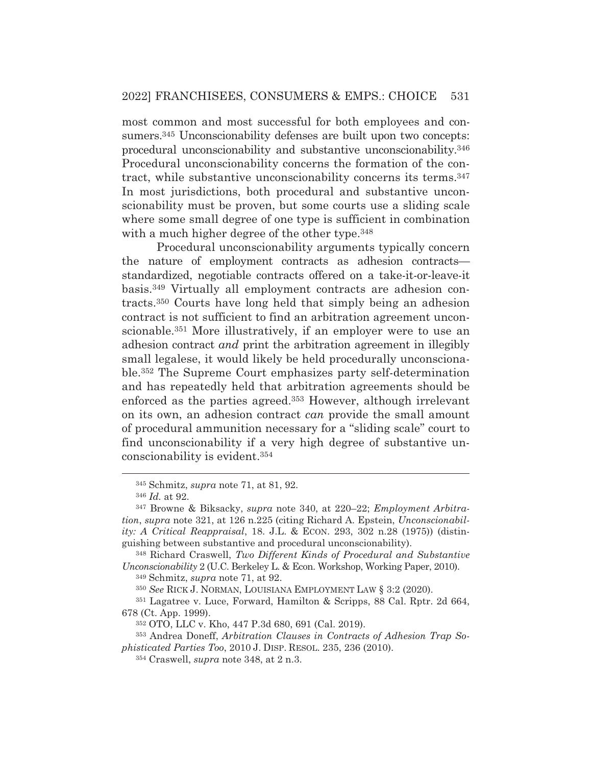most common and most successful for both employees and consumers.<sup>345</sup> Unconscionability defenses are built upon two concepts: procedural unconscionability and substantive unconscionability.346 Procedural unconscionability concerns the formation of the contract, while substantive unconscionability concerns its terms.347 In most jurisdictions, both procedural and substantive unconscionability must be proven, but some courts use a sliding scale where some small degree of one type is sufficient in combination with a much higher degree of the other type.<sup>348</sup>

 Procedural unconscionability arguments typically concern the nature of employment contracts as adhesion contracts standardized, negotiable contracts offered on a take-it-or-leave-it basis.349 Virtually all employment contracts are adhesion contracts.350 Courts have long held that simply being an adhesion contract is not sufficient to find an arbitration agreement unconscionable.351 More illustratively, if an employer were to use an adhesion contract *and* print the arbitration agreement in illegibly small legalese, it would likely be held procedurally unconscionable.352 The Supreme Court emphasizes party self-determination and has repeatedly held that arbitration agreements should be enforced as the parties agreed.353 However, although irrelevant on its own, an adhesion contract *can* provide the small amount of procedural ammunition necessary for a "sliding scale" court to find unconscionability if a very high degree of substantive unconscionability is evident.354

348 Richard Craswell, *Two Different Kinds of Procedural and Substantive Unconscionability* 2 (U.C. Berkeley L. & Econ. Workshop, Working Paper, 2010).

349 Schmitz, *supra* note 71, at 92.

<sup>350</sup> *See* RICK J. NORMAN, LOUISIANA EMPLOYMENT LAW § 3:2 (2020).

351 Lagatree v. Luce, Forward, Hamilton & Scripps, 88 Cal. Rptr. 2d 664, 678 (Ct. App. 1999).

352 OTO, LLC v. Kho, 447 P.3d 680, 691 (Cal. 2019).

<sup>345</sup> Schmitz, *supra* note 71, at 81, 92.

<sup>346</sup> *Id.* at 92.

<sup>347</sup> Browne & Biksacky, *supra* note 340, at 220–22; *Employment Arbitration*, *supra* note 321, at 126 n.225 (citing Richard A. Epstein, *Unconscionability: A Critical Reappraisal*, 18. J.L. & ECON. 293, 302 n.28 (1975)) (distinguishing between substantive and procedural unconscionability).

<sup>353</sup> Andrea Doneff, *Arbitration Clauses in Contracts of Adhesion Trap Sophisticated Parties Too*, 2010 J. DISP. RESOL. 235, 236 (2010).

<sup>354</sup> Craswell, *supra* note 348, at 2 n.3.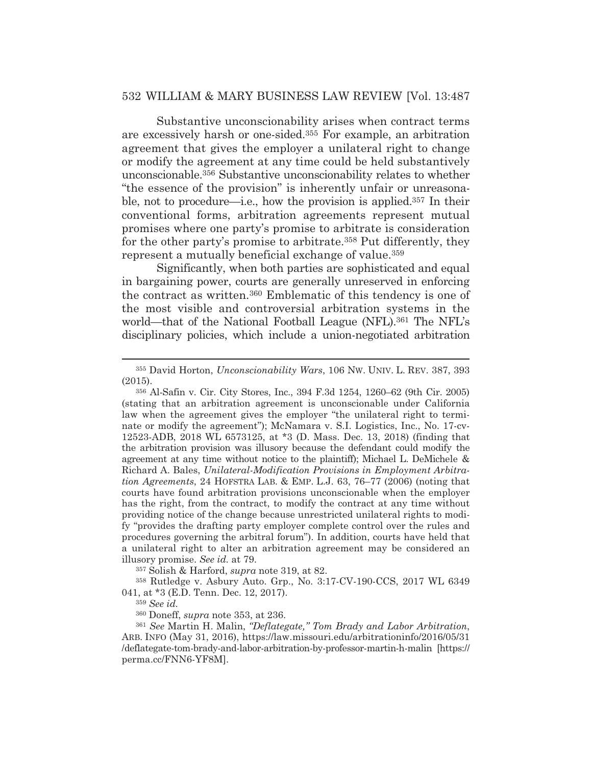Substantive unconscionability arises when contract terms are excessively harsh or one-sided.355 For example, an arbitration agreement that gives the employer a unilateral right to change or modify the agreement at any time could be held substantively unconscionable.356 Substantive unconscionability relates to whether "the essence of the provision" is inherently unfair or unreasonable, not to procedure—i.e., how the provision is applied.357 In their conventional forms, arbitration agreements represent mutual promises where one party's promise to arbitrate is consideration for the other party's promise to arbitrate.358 Put differently, they represent a mutually beneficial exchange of value.359

 Significantly, when both parties are sophisticated and equal in bargaining power, courts are generally unreserved in enforcing the contract as written.360 Emblematic of this tendency is one of the most visible and controversial arbitration systems in the world—that of the National Football League (NFL).<sup>361</sup> The NFL's disciplinary policies, which include a union-negotiated arbitration

357 Solish & Harford, *supra* note 319, at 82.

358 Rutledge v. Asbury Auto. Grp., No. 3:17-CV-190-CCS, 2017 WL 6349 041, at \*3 (E.D. Tenn. Dec. 12, 2017).

<sup>359</sup> *See id.*

360 Doneff, *supra* note 353, at 236.

<sup>361</sup> *See* Martin H. Malin, *"Deflategate," Tom Brady and Labor Arbitration*, ARB. INFO (May 31, 2016), https://law.missouri.edu/arbitrationinfo/2016/05/31 /deflategate-tom-brady-and-labor-arbitration-by-professor-martin-h-malin [https:// perma.cc/FNN6-YF8M].

<sup>355</sup> David Horton, *Unconscionability Wars*, 106 NW. UNIV. L. REV. 387, 393 (2015).

<sup>356</sup> Al-Safin v. Cir. City Stores, Inc., 394 F.3d 1254, 1260–62 (9th Cir. 2005) (stating that an arbitration agreement is unconscionable under California law when the agreement gives the employer "the unilateral right to terminate or modify the agreement"); McNamara v. S.I. Logistics, Inc., No. 17-cv-12523-ADB, 2018 WL 6573125, at \*3 (D. Mass. Dec. 13, 2018) (finding that the arbitration provision was illusory because the defendant could modify the agreement at any time without notice to the plaintiff); Michael L. DeMichele & Richard A. Bales, *Unilateral-Modification Provisions in Employment Arbitration Agreements*, 24 HOFSTRA LAB.&EMP. L.J. 63, 76–77 (2006) (noting that courts have found arbitration provisions unconscionable when the employer has the right, from the contract, to modify the contract at any time without providing notice of the change because unrestricted unilateral rights to modify "provides the drafting party employer complete control over the rules and procedures governing the arbitral forum"). In addition, courts have held that a unilateral right to alter an arbitration agreement may be considered an illusory promise. *See id.* at 79.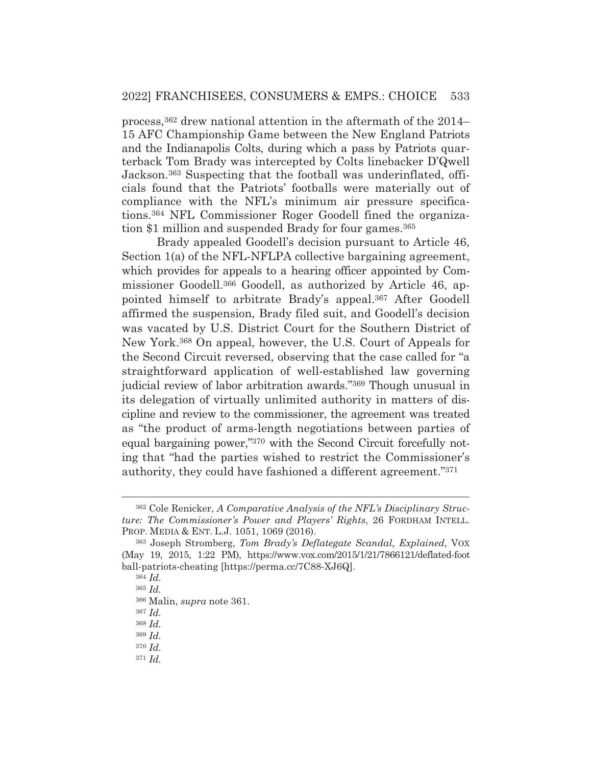process,362 drew national attention in the aftermath of the 2014– 15 AFC Championship Game between the New England Patriots and the Indianapolis Colts, during which a pass by Patriots quarterback Tom Brady was intercepted by Colts linebacker D'Qwell Jackson.363 Suspecting that the football was underinflated, officials found that the Patriots' footballs were materially out of compliance with the NFL's minimum air pressure specifications.364 NFL Commissioner Roger Goodell fined the organization \$1 million and suspended Brady for four games.<sup>365</sup>

 Brady appealed Goodell's decision pursuant to Article 46, Section 1(a) of the NFL-NFLPA collective bargaining agreement, which provides for appeals to a hearing officer appointed by Commissioner Goodell.366 Goodell, as authorized by Article 46, appointed himself to arbitrate Brady's appeal.367 After Goodell affirmed the suspension, Brady filed suit, and Goodell's decision was vacated by U.S. District Court for the Southern District of New York.368 On appeal, however, the U.S. Court of Appeals for the Second Circuit reversed, observing that the case called for "a straightforward application of well-established law governing judicial review of labor arbitration awards."369 Though unusual in its delegation of virtually unlimited authority in matters of discipline and review to the commissioner, the agreement was treated as "the product of arms-length negotiations between parties of equal bargaining power,"370 with the Second Circuit forcefully noting that "had the parties wished to restrict the Commissioner's authority, they could have fashioned a different agreement."371

<sup>362</sup> Cole Renicker, *A Comparative Analysis of the NFL's Disciplinary Structure: The Commissioner's Power and Players' Rights*, 26 FORDHAM INTELL. PROP. MEDIA & ENT. L.J. 1051, 1069 (2016).

<sup>363</sup> Joseph Stromberg, *Tom Brady's Deflategate Scandal, Explained*, VOX (May 19, 2015, 1:22 PM), https://www.vox.com/2015/1/21/7866121/deflated-foot ball-patriots-cheating [https://perma.cc/7C88-XJ6Q].

<sup>364</sup> *Id.*

<sup>365</sup> *Id.*

<sup>366</sup> Malin, *supra* note 361.

<sup>367</sup> *Id.*

<sup>368</sup> *Id.*

<sup>369</sup> *Id.*

<sup>370</sup> *Id.*

<sup>371</sup> *Id.*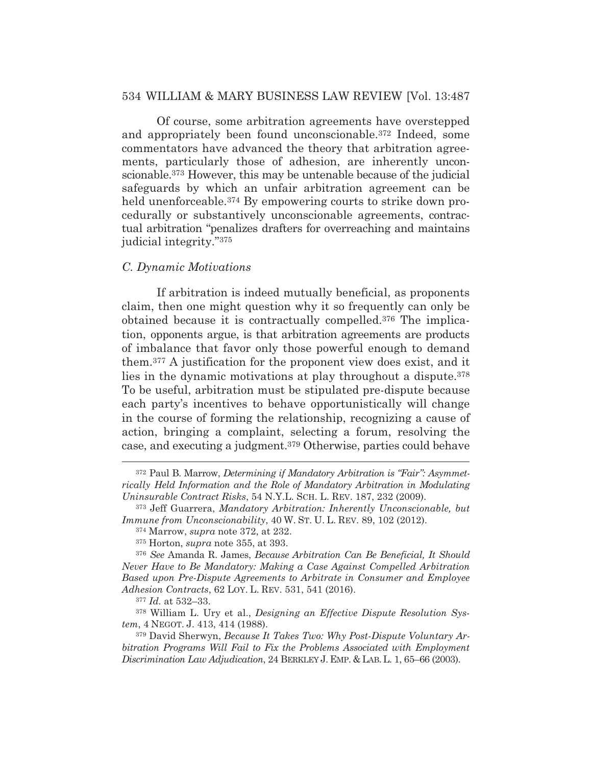Of course, some arbitration agreements have overstepped and appropriately been found unconscionable.372 Indeed, some commentators have advanced the theory that arbitration agreements, particularly those of adhesion, are inherently unconscionable.373 However, this may be untenable because of the judicial safeguards by which an unfair arbitration agreement can be held unenforceable.<sup>374</sup> By empowering courts to strike down procedurally or substantively unconscionable agreements, contractual arbitration "penalizes drafters for overreaching and maintains judicial integrity."375

#### *C. Dynamic Motivations*

 If arbitration is indeed mutually beneficial, as proponents claim, then one might question why it so frequently can only be obtained because it is contractually compelled.376 The implication, opponents argue, is that arbitration agreements are products of imbalance that favor only those powerful enough to demand them.377 A justification for the proponent view does exist, and it lies in the dynamic motivations at play throughout a dispute.378 To be useful, arbitration must be stipulated pre-dispute because each party's incentives to behave opportunistically will change in the course of forming the relationship, recognizing a cause of action, bringing a complaint, selecting a forum, resolving the case, and executing a judgment.379 Otherwise, parties could behave

<sup>377</sup> *Id.* at 532–33.

<sup>372</sup> Paul B. Marrow, *Determining if Mandatory Arbitration is "Fair": Asymmetrically Held Information and the Role of Mandatory Arbitration in Modulating Uninsurable Contract Risks*, 54 N.Y.L. SCH. L. REV. 187, 232 (2009).

<sup>373</sup> Jeff Guarrera, *Mandatory Arbitration: Inherently Unconscionable, but Immune from Unconscionability*, 40 W. ST. U. L. REV. 89, 102 (2012).

<sup>374</sup> Marrow, *supra* note 372, at 232.

<sup>375</sup> Horton, *supra* note 355, at 393.

<sup>376</sup> *See* Amanda R. James, *Because Arbitration Can Be Beneficial, It Should Never Have to Be Mandatory: Making a Case Against Compelled Arbitration Based upon Pre-Dispute Agreements to Arbitrate in Consumer and Employee Adhesion Contracts*, 62 LOY. L. REV. 531, 541 (2016).

<sup>378</sup> William L. Ury et al., *Designing an Effective Dispute Resolution System*, 4 NEGOT. J. 413, 414 (1988).

<sup>379</sup> David Sherwyn, *Because It Takes Two: Why Post-Dispute Voluntary Arbitration Programs Will Fail to Fix the Problems Associated with Employment Discrimination Law Adjudication*, 24 BERKLEY J. EMP.&LAB. L. 1, 65–66 (2003).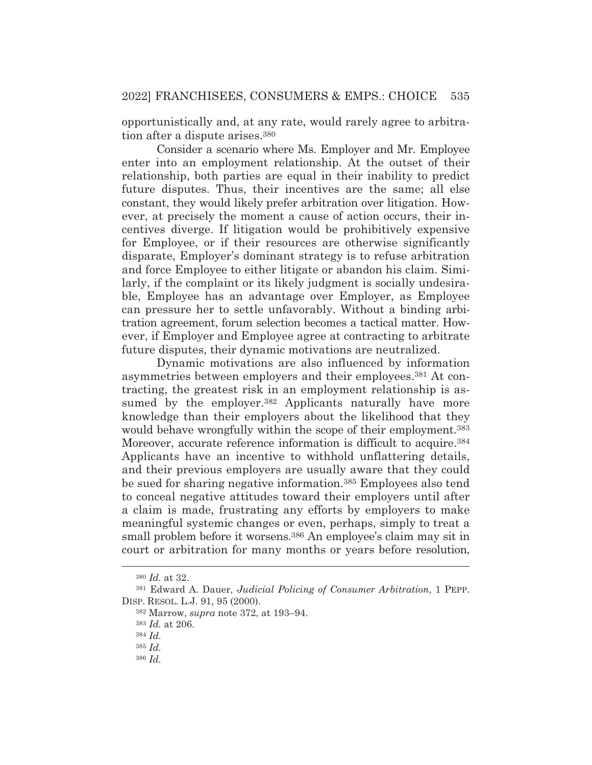opportunistically and, at any rate, would rarely agree to arbitration after a dispute arises.380

 Consider a scenario where Ms. Employer and Mr. Employee enter into an employment relationship. At the outset of their relationship, both parties are equal in their inability to predict future disputes. Thus, their incentives are the same; all else constant, they would likely prefer arbitration over litigation. However, at precisely the moment a cause of action occurs, their incentives diverge. If litigation would be prohibitively expensive for Employee, or if their resources are otherwise significantly disparate, Employer's dominant strategy is to refuse arbitration and force Employee to either litigate or abandon his claim. Similarly, if the complaint or its likely judgment is socially undesirable, Employee has an advantage over Employer, as Employee can pressure her to settle unfavorably. Without a binding arbitration agreement, forum selection becomes a tactical matter. However, if Employer and Employee agree at contracting to arbitrate future disputes, their dynamic motivations are neutralized.

 Dynamic motivations are also influenced by information asymmetries between employers and their employees.381 At contracting, the greatest risk in an employment relationship is assumed by the employer.<sup>382</sup> Applicants naturally have more knowledge than their employers about the likelihood that they would behave wrongfully within the scope of their employment.<sup>383</sup> Moreover, accurate reference information is difficult to acquire.<sup>384</sup> Applicants have an incentive to withhold unflattering details, and their previous employers are usually aware that they could be sued for sharing negative information.385 Employees also tend to conceal negative attitudes toward their employers until after a claim is made, frustrating any efforts by employers to make meaningful systemic changes or even, perhaps, simply to treat a small problem before it worsens.<sup>386</sup> An employee's claim may sit in court or arbitration for many months or years before resolution,

<sup>380</sup> *Id.* at 32.

<sup>381</sup> Edward A. Dauer, *Judicial Policing of Consumer Arbitration*, 1 PEPP. DISP. RESOL. L.J. 91, 95 (2000).

<sup>382</sup> Marrow, *supra* note 372, at 193–94.

<sup>383</sup> *Id.* at 206.

<sup>384</sup> *Id.*

<sup>385</sup> *Id.*

<sup>386</sup> *Id.*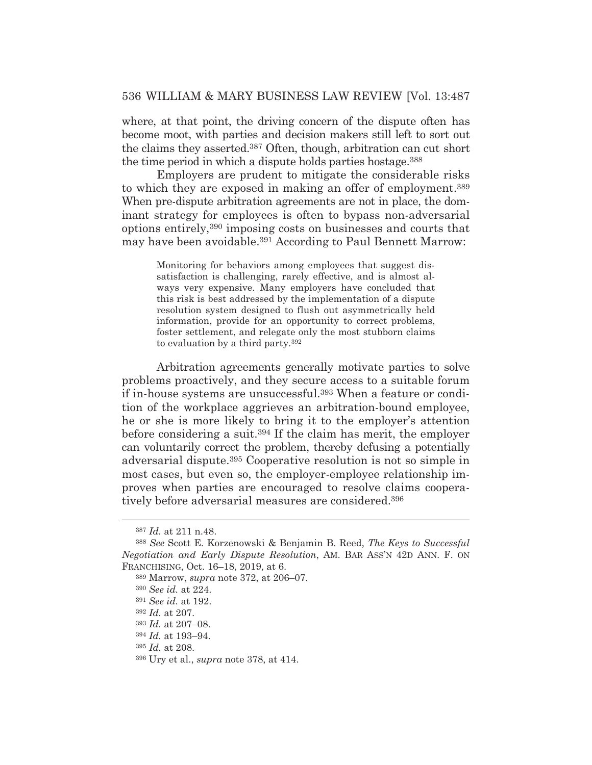where, at that point, the driving concern of the dispute often has become moot, with parties and decision makers still left to sort out the claims they asserted.387 Often, though, arbitration can cut short the time period in which a dispute holds parties hostage.388

 Employers are prudent to mitigate the considerable risks to which they are exposed in making an offer of employment.389 When pre-dispute arbitration agreements are not in place, the dominant strategy for employees is often to bypass non-adversarial options entirely,390 imposing costs on businesses and courts that may have been avoidable.391 According to Paul Bennett Marrow:

Monitoring for behaviors among employees that suggest dissatisfaction is challenging, rarely effective, and is almost always very expensive. Many employers have concluded that this risk is best addressed by the implementation of a dispute resolution system designed to flush out asymmetrically held information, provide for an opportunity to correct problems, foster settlement, and relegate only the most stubborn claims to evaluation by a third party.392

 Arbitration agreements generally motivate parties to solve problems proactively, and they secure access to a suitable forum if in-house systems are unsuccessful.393 When a feature or condition of the workplace aggrieves an arbitration-bound employee, he or she is more likely to bring it to the employer's attention before considering a suit.394 If the claim has merit, the employer can voluntarily correct the problem, thereby defusing a potentially adversarial dispute.395 Cooperative resolution is not so simple in most cases, but even so, the employer-employee relationship improves when parties are encouraged to resolve claims cooperatively before adversarial measures are considered.396

<sup>387</sup> *Id.* at 211 n.48.

<sup>388</sup> *See* Scott E. Korzenowski & Benjamin B. Reed, *The Keys to Successful Negotiation and Early Dispute Resolution*, AM. BAR ASS'N 42D ANN. F. ON FRANCHISING, Oct. 16–18, 2019, at 6.

<sup>389</sup> Marrow, *supra* note 372, at 206–07.

<sup>390</sup> *See id.* at 224.

<sup>391</sup> *See id.* at 192.

<sup>392</sup> *Id.* at 207.

<sup>393</sup> *Id.* at 207–08.

<sup>394</sup> *Id.* at 193–94.

<sup>395</sup> *Id.* at 208.

<sup>396</sup> Ury et al., *supra* note 378, at 414.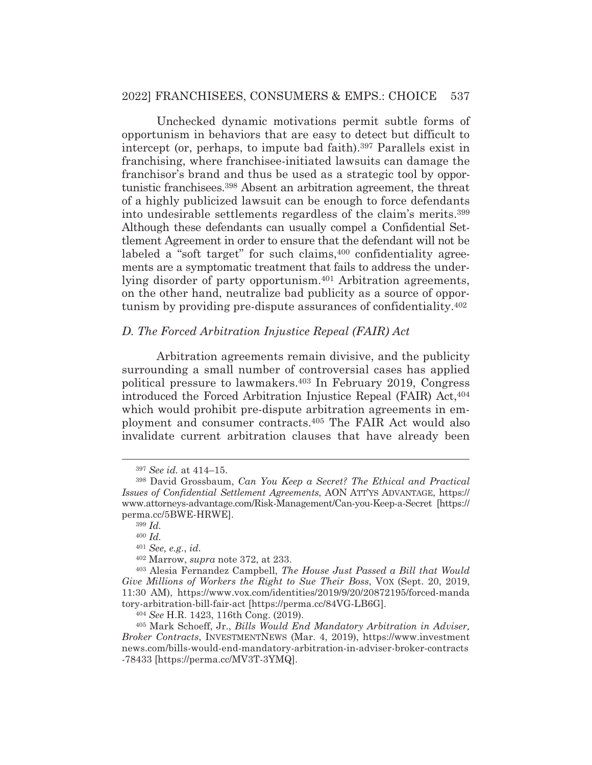### 2022] FRANCHISEES, CONSUMERS & EMPS.: CHOICE 537

 Unchecked dynamic motivations permit subtle forms of opportunism in behaviors that are easy to detect but difficult to intercept (or, perhaps, to impute bad faith).397 Parallels exist in franchising, where franchisee-initiated lawsuits can damage the franchisor's brand and thus be used as a strategic tool by opportunistic franchisees.398 Absent an arbitration agreement, the threat of a highly publicized lawsuit can be enough to force defendants into undesirable settlements regardless of the claim's merits.399 Although these defendants can usually compel a Confidential Settlement Agreement in order to ensure that the defendant will not be labeled a "soft target" for such claims,<sup>400</sup> confidentiality agreements are a symptomatic treatment that fails to address the underlying disorder of party opportunism.401 Arbitration agreements, on the other hand, neutralize bad publicity as a source of opportunism by providing pre-dispute assurances of confidentiality.402

### *D. The Forced Arbitration Injustice Repeal (FAIR) Act*

 Arbitration agreements remain divisive, and the publicity surrounding a small number of controversial cases has applied political pressure to lawmakers.403 In February 2019, Congress introduced the Forced Arbitration Injustice Repeal (FAIR) Act,404 which would prohibit pre-dispute arbitration agreements in employment and consumer contracts.405 The FAIR Act would also invalidate current arbitration clauses that have already been

<sup>397</sup> *See id.* at 414–15.

<sup>398</sup> David Grossbaum, *Can You Keep a Secret? The Ethical and Practical Issues of Confidential Settlement Agreements*, AON ATT'YS ADVANTAGE, https:// www.attorneys-advantage.com/Risk-Management/Can-you-Keep-a-Secret [https:// perma.cc/5BWE-HRWE].

<sup>399</sup> *Id.*

<sup>400</sup> *Id.*

<sup>401</sup> *See, e.g.*, *id.*

<sup>402</sup> Marrow, *supra* note 372, at 233.

<sup>403</sup> Alesia Fernandez Campbell, *The House Just Passed a Bill that Would Give Millions of Workers the Right to Sue Their Boss*, VOX (Sept. 20, 2019, 11:30 AM), https://www.vox.com/identities/2019/9/20/20872195/forced-manda tory-arbitration-bill-fair-act [https://perma.cc/84VG-LB6G].

<sup>404</sup> *See* H.R. 1423, 116th Cong. (2019).

<sup>405</sup> Mark Schoeff, Jr., *Bills Would End Mandatory Arbitration in Adviser, Broker Contracts*, INVESTMENTNEWS (Mar. 4, 2019), https://www.investment news.com/bills-would-end-mandatory-arbitration-in-adviser-broker-contracts -78433 [https://perma.cc/MV3T-3YMQ].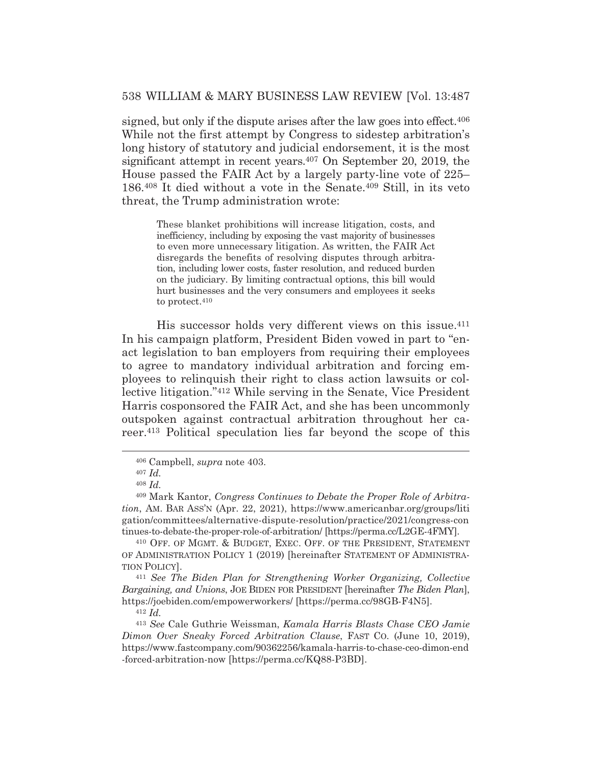signed, but only if the dispute arises after the law goes into effect.<sup>406</sup> While not the first attempt by Congress to sidestep arbitration's long history of statutory and judicial endorsement, it is the most significant attempt in recent years.407 On September 20, 2019, the House passed the FAIR Act by a largely party-line vote of 225– 186.408 It died without a vote in the Senate.409 Still, in its veto threat, the Trump administration wrote:

> These blanket prohibitions will increase litigation, costs, and inefficiency, including by exposing the vast majority of businesses to even more unnecessary litigation. As written, the FAIR Act disregards the benefits of resolving disputes through arbitration, including lower costs, faster resolution, and reduced burden on the judiciary. By limiting contractual options, this bill would hurt businesses and the very consumers and employees it seeks to protect.410

 His successor holds very different views on this issue.411 In his campaign platform, President Biden vowed in part to "enact legislation to ban employers from requiring their employees to agree to mandatory individual arbitration and forcing employees to relinquish their right to class action lawsuits or collective litigation."412 While serving in the Senate, Vice President Harris cosponsored the FAIR Act, and she has been uncommonly outspoken against contractual arbitration throughout her career.413 Political speculation lies far beyond the scope of this

410 OFF. OF MGMT.&BUDGET, EXEC. OFF. OF THE PRESIDENT, STATEMENT OF ADMINISTRATION POLICY 1 (2019) [hereinafter STATEMENT OF ADMINISTRA-TION POLICY].

<sup>411</sup> *See The Biden Plan for Strengthening Worker Organizing, Collective Bargaining, and Unions*, JOE BIDEN FOR PRESIDENT [hereinafter *The Biden Plan*], https://joebiden.com/empowerworkers/ [https://perma.cc/98GB-F4N5]. 412 *Id.*

<sup>413</sup> *See* Cale Guthrie Weissman, *Kamala Harris Blasts Chase CEO Jamie Dimon Over Sneaky Forced Arbitration Clause*, FAST CO. (June 10, 2019), https://www.fastcompany.com/90362256/kamala-harris-to-chase-ceo-dimon-end -forced-arbitration-now [https://perma.cc/KQ88-P3BD].

<sup>406</sup> Campbell, *supra* note 403.

<sup>407</sup> *Id.*

<sup>408</sup> *Id.*

<sup>409</sup> Mark Kantor, *Congress Continues to Debate the Proper Role of Arbitration*, AM. BAR ASS'N (Apr. 22, 2021), https://www.americanbar.org/groups/liti gation/committees/alternative-dispute-resolution/practice/2021/congress-con tinues-to-debate-the-proper-role-of-arbitration/ [https://perma.cc/L2GE-4FMY].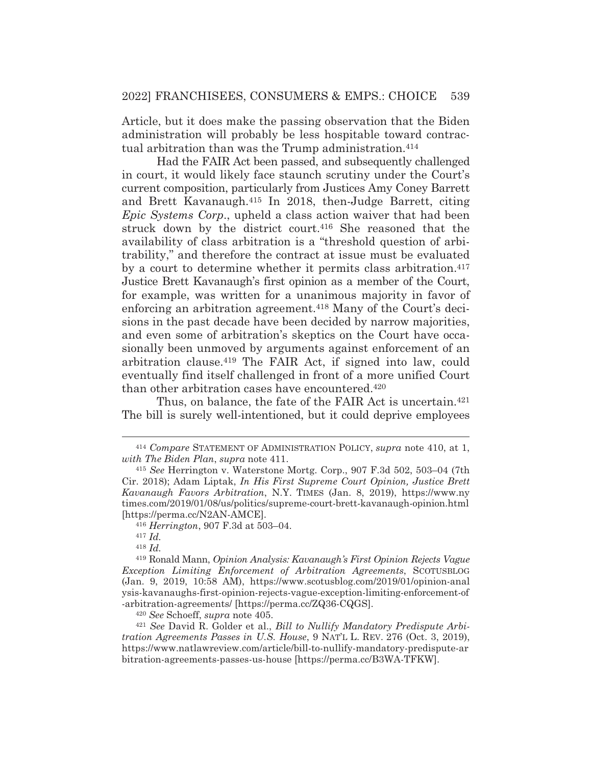Article, but it does make the passing observation that the Biden administration will probably be less hospitable toward contractual arbitration than was the Trump administration.414

 Had the FAIR Act been passed, and subsequently challenged in court, it would likely face staunch scrutiny under the Court's current composition, particularly from Justices Amy Coney Barrett and Brett Kavanaugh.415 In 2018, then-Judge Barrett, citing *Epic Systems Corp*., upheld a class action waiver that had been struck down by the district court.<sup>416</sup> She reasoned that the availability of class arbitration is a "threshold question of arbitrability," and therefore the contract at issue must be evaluated by a court to determine whether it permits class arbitration.417 Justice Brett Kavanaugh's first opinion as a member of the Court, for example, was written for a unanimous majority in favor of enforcing an arbitration agreement.418 Many of the Court's decisions in the past decade have been decided by narrow majorities, and even some of arbitration's skeptics on the Court have occasionally been unmoved by arguments against enforcement of an arbitration clause.419 The FAIR Act, if signed into law, could eventually find itself challenged in front of a more unified Court than other arbitration cases have encountered.420

Thus, on balance, the fate of the FAIR Act is uncertain.<sup>421</sup> The bill is surely well-intentioned, but it could deprive employees

<sup>420</sup> *See* Schoeff, *supra* note 405. 421 *See* David R. Golder et al., *Bill to Nullify Mandatory Predispute Arbitration Agreements Passes in U.S. House*, 9 NAT'L L. REV. 276 (Oct. 3, 2019), https://www.natlawreview.com/article/bill-to-nullify-mandatory-predispute-ar bitration-agreements-passes-us-house [https://perma.cc/B3WA-TFKW].

<sup>414</sup> *Compare* STATEMENT OF ADMINISTRATION POLICY, *supra* note 410, at 1, *with The Biden Plan*, *supra* note 411.

<sup>415</sup> *See* Herrington v. Waterstone Mortg. Corp., 907 F.3d 502, 503–04 (7th Cir. 2018); Adam Liptak, *In His First Supreme Court Opinion, Justice Brett Kavanaugh Favors Arbitration*, N.Y. TIMES (Jan. 8, 2019), https://www.ny times.com/2019/01/08/us/politics/supreme-court-brett-kavanaugh-opinion.html [https://perma.cc/N2AN-AMCE].

<sup>416</sup> *Herrington*, 907 F.3d at 503–04.

<sup>417</sup> *Id.*

<sup>418</sup> *Id.*

<sup>419</sup> Ronald Mann, *Opinion Analysis: Kavanaugh's First Opinion Rejects Vague Exception Limiting Enforcement of Arbitration Agreements*, SCOTUSBLOG (Jan. 9, 2019, 10:58 AM), https://www.scotusblog.com/2019/01/opinion-anal ysis-kavanaughs-first-opinion-rejects-vague-exception-limiting-enforcement-of -arbitration-agreements/ [https://perma.cc/ZQ36-CQGS].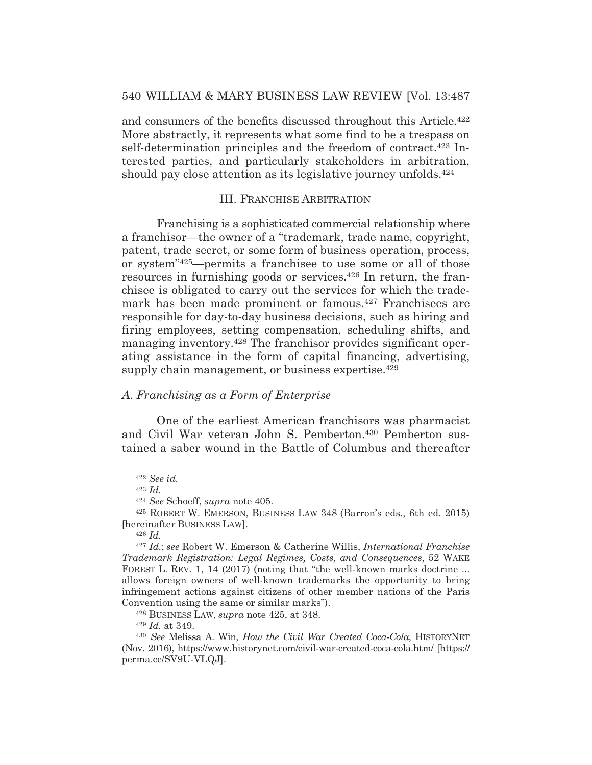and consumers of the benefits discussed throughout this Article.422 More abstractly, it represents what some find to be a trespass on self-determination principles and the freedom of contract.<sup>423</sup> Interested parties, and particularly stakeholders in arbitration, should pay close attention as its legislative journey unfolds.<sup>424</sup>

### III. FRANCHISE ARBITRATION

 Franchising is a sophisticated commercial relationship where a franchisor—the owner of a "trademark, trade name, copyright, patent, trade secret, or some form of business operation, process, or system"425—permits a franchisee to use some or all of those resources in furnishing goods or services.<sup>426</sup> In return, the franchisee is obligated to carry out the services for which the trademark has been made prominent or famous.427 Franchisees are responsible for day-to-day business decisions, such as hiring and firing employees, setting compensation, scheduling shifts, and managing inventory.428 The franchisor provides significant operating assistance in the form of capital financing, advertising, supply chain management, or business expertise.<sup>429</sup>

## *A. Franchising as a Form of Enterprise*

 One of the earliest American franchisors was pharmacist and Civil War veteran John S. Pemberton.430 Pemberton sustained a saber wound in the Battle of Columbus and thereafter

428 BUSINESS LAW, *supra* note 425, at 348.

<sup>422</sup> *See id.*

<sup>423</sup> *Id.*

<sup>424</sup> *See* Schoeff, *supra* note 405.

<sup>425</sup> ROBERT W. EMERSON, BUSINESS LAW 348 (Barron's eds., 6th ed. 2015) [hereinafter BUSINESS LAW].

<sup>426</sup> *Id.*

<sup>427</sup> *Id.*; *see* Robert W. Emerson & Catherine Willis, *International Franchise Trademark Registration: Legal Regimes, Costs, and Consequences*, 52 WAKE FOREST L. REV. 1, 14 (2017) (noting that "the well-known marks doctrine ... allows foreign owners of well-known trademarks the opportunity to bring infringement actions against citizens of other member nations of the Paris Convention using the same or similar marks").

<sup>429</sup> *Id.* at 349.

<sup>430</sup> *See* Melissa A. Win, *How the Civil War Created Coca-Cola*, HISTORYNET (Nov. 2016), https://www.historynet.com/civil-war-created-coca-cola.htm/ [https:// perma.cc/SV9U-VLQJ].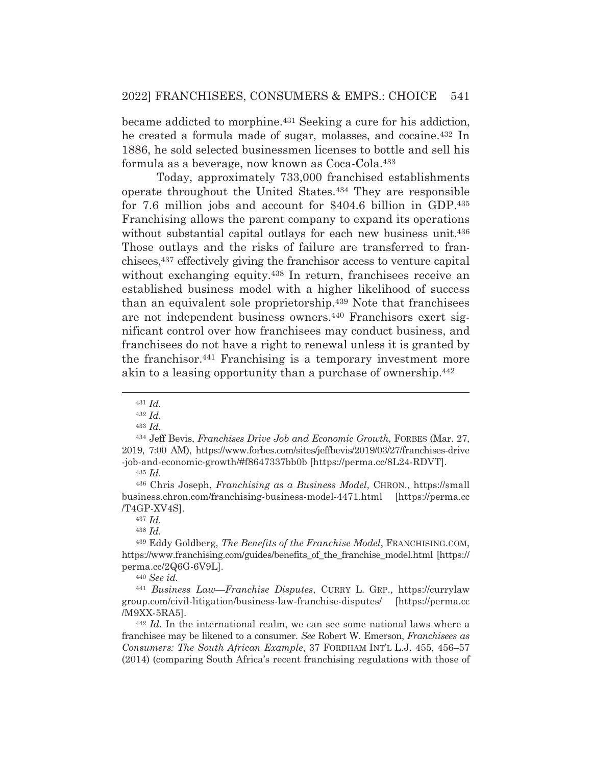became addicted to morphine.431 Seeking a cure for his addiction, he created a formula made of sugar, molasses, and cocaine.432 In 1886, he sold selected businessmen licenses to bottle and sell his formula as a beverage, now known as Coca-Cola.433

 Today, approximately 733,000 franchised establishments operate throughout the United States.434 They are responsible for 7.6 million jobs and account for \$404.6 billion in GDP.435 Franchising allows the parent company to expand its operations without substantial capital outlays for each new business unit.<sup>436</sup> Those outlays and the risks of failure are transferred to franchisees,437 effectively giving the franchisor access to venture capital without exchanging equity.438 In return, franchisees receive an established business model with a higher likelihood of success than an equivalent sole proprietorship.439 Note that franchisees are not independent business owners.440 Franchisors exert significant control over how franchisees may conduct business, and franchisees do not have a right to renewal unless it is granted by the franchisor.441 Franchising is a temporary investment more akin to a leasing opportunity than a purchase of ownership.442

<sup>431</sup> *Id.*

<sup>432</sup> *Id.*

<sup>433</sup> *Id.*

<sup>434</sup> Jeff Bevis, *Franchises Drive Job and Economic Growth*, FORBES (Mar. 27, 2019, 7:00 AM), https://www.forbes.com/sites/jeffbevis/2019/03/27/franchises-drive -job-and-economic-growth/#f8647337bb0b [https://perma.cc/8L24-RDVT].

<sup>435</sup> *Id.*

<sup>436</sup> Chris Joseph, *Franchising as a Business Model*, CHRON., https://small business.chron.com/franchising-business-model-4471.html [https://perma.cc /T4GP-XV4S].

<sup>437</sup> *Id.*

<sup>438</sup> *Id.*

<sup>439</sup> Eddy Goldberg, *The Benefits of the Franchise Model*, FRANCHISING.COM, https://www.franchising.com/guides/benefits\_of\_the\_franchise\_model.html [https:// perma.cc/2Q6G-6V9L].

<sup>440</sup> *See id.*

<sup>441</sup> *Business Law*—*Franchise Disputes*, CURRY L. GRP., https://currylaw group.com/civil-litigation/business-law-franchise-disputes/ [https://perma.cc /M9XX-5RA5].

<sup>442</sup> *Id.* In the international realm, we can see some national laws where a franchisee may be likened to a consumer. *See* Robert W. Emerson, *Franchisees as Consumers: The South African Example*, 37 FORDHAM INT'L L.J. 455, 456–57 (2014) (comparing South Africa's recent franchising regulations with those of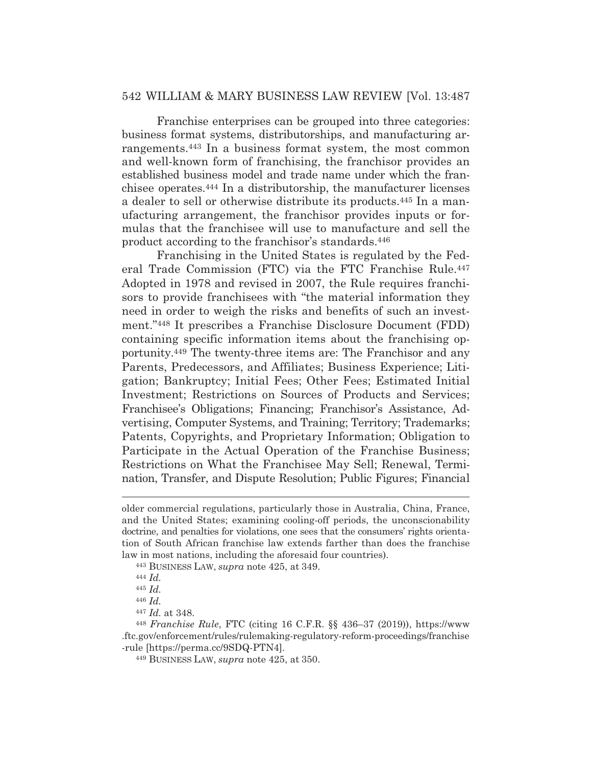Franchise enterprises can be grouped into three categories: business format systems, distributorships, and manufacturing arrangements.443 In a business format system, the most common and well-known form of franchising, the franchisor provides an established business model and trade name under which the franchisee operates.444 In a distributorship, the manufacturer licenses a dealer to sell or otherwise distribute its products.445 In a manufacturing arrangement, the franchisor provides inputs or formulas that the franchisee will use to manufacture and sell the product according to the franchisor's standards.446

 Franchising in the United States is regulated by the Federal Trade Commission (FTC) via the FTC Franchise Rule.447 Adopted in 1978 and revised in 2007, the Rule requires franchisors to provide franchisees with "the material information they need in order to weigh the risks and benefits of such an investment."448 It prescribes a Franchise Disclosure Document (FDD) containing specific information items about the franchising opportunity.449 The twenty-three items are: The Franchisor and any Parents, Predecessors, and Affiliates; Business Experience; Litigation; Bankruptcy; Initial Fees; Other Fees; Estimated Initial Investment; Restrictions on Sources of Products and Services; Franchisee's Obligations; Financing; Franchisor's Assistance, Advertising, Computer Systems, and Training; Territory; Trademarks; Patents, Copyrights, and Proprietary Information; Obligation to Participate in the Actual Operation of the Franchise Business; Restrictions on What the Franchisee May Sell; Renewal, Termination, Transfer, and Dispute Resolution; Public Figures; Financial

443 BUSINESS LAW, *supra* note 425, at 349. 444 *Id.*

older commercial regulations, particularly those in Australia, China, France, and the United States; examining cooling-off periods, the unconscionability doctrine, and penalties for violations, one sees that the consumers' rights orientation of South African franchise law extends farther than does the franchise law in most nations, including the aforesaid four countries).

<sup>445</sup> *Id.*

<sup>446</sup> *Id.*

<sup>447</sup> *Id.* at 348.

<sup>448</sup> *Franchise Rule*, FTC (citing 16 C.F.R. §§ 436–37 (2019)), https://www .ftc.gov/enforcement/rules/rulemaking-regulatory-reform-proceedings/franchise -rule [https://perma.cc/9SDQ-PTN4].

<sup>449</sup> BUSINESS LAW, *supra* note 425, at 350.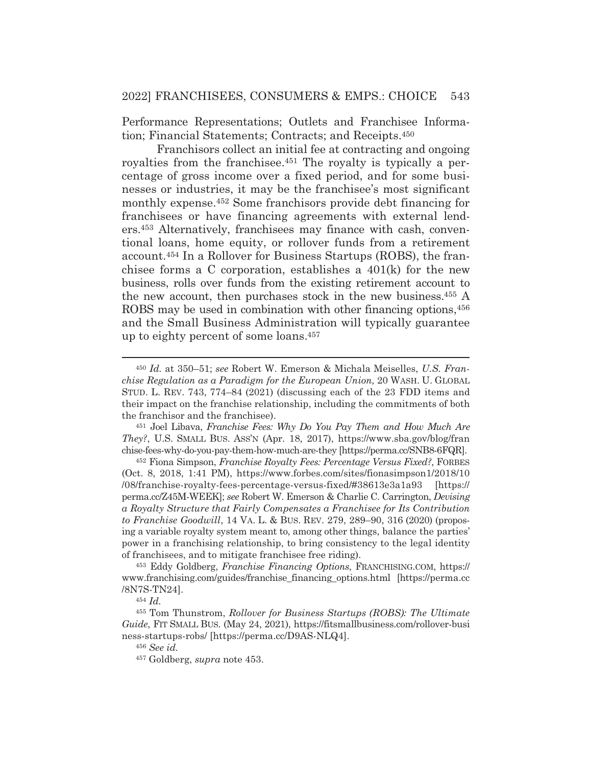### 2022] FRANCHISEES, CONSUMERS & EMPS.: CHOICE 543

Performance Representations; Outlets and Franchisee Information; Financial Statements; Contracts; and Receipts.450

 Franchisors collect an initial fee at contracting and ongoing royalties from the franchisee.451 The royalty is typically a percentage of gross income over a fixed period, and for some businesses or industries, it may be the franchisee's most significant monthly expense.452 Some franchisors provide debt financing for franchisees or have financing agreements with external lenders.453 Alternatively, franchisees may finance with cash, conventional loans, home equity, or rollover funds from a retirement account.454 In a Rollover for Business Startups (ROBS), the franchisee forms a C corporation, establishes a 401(k) for the new business, rolls over funds from the existing retirement account to the new account, then purchases stock in the new business.455 A ROBS may be used in combination with other financing options,  $456$ and the Small Business Administration will typically guarantee up to eighty percent of some loans.457

<sup>454</sup> *Id.*

<sup>450</sup> *Id.* at 350–51; *see* Robert W. Emerson & Michala Meiselles, *U.S. Franchise Regulation as a Paradigm for the European Union*, 20 WASH. U. GLOBAL STUD. L. REV. 743, 774–84 (2021) (discussing each of the 23 FDD items and their impact on the franchise relationship, including the commitments of both the franchisor and the franchisee).

<sup>451</sup> Joel Libava, *Franchise Fees: Why Do You Pay Them and How Much Are They?*, U.S. SMALL BUS. ASS'N (Apr. 18, 2017), https://www.sba.gov/blog/fran chise-fees-why-do-you-pay-them-how-much-are-they [https://perma.cc/SNB8-6FQR].

<sup>452</sup> Fiona Simpson, *Franchise Royalty Fees: Percentage Versus Fixed?*, FORBES (Oct. 8, 2018, 1:41 PM), https://www.forbes.com/sites/fionasimpson1/2018/10 /08/franchise-royalty-fees-percentage-versus-fixed/#38613e3a1a93 [https:// perma.cc/Z45M-WEEK]; *see* Robert W. Emerson & Charlie C. Carrington, *Devising a Royalty Structure that Fairly Compensates a Franchisee for Its Contribution to Franchise Goodwill*, 14 VA. L. & BUS. REV. 279, 289–90, 316 (2020) (proposing a variable royalty system meant to, among other things, balance the parties' power in a franchising relationship, to bring consistency to the legal identity of franchisees, and to mitigate franchisee free riding).

<sup>453</sup> Eddy Goldberg, *Franchise Financing Options*, FRANCHISING.COM, https:// www.franchising.com/guides/franchise\_financing\_options.html [https://perma.cc /8N7S-TN24].

<sup>455</sup> Tom Thunstrom, *Rollover for Business Startups (ROBS): The Ultimate Guide*, FIT SMALL BUS. (May 24, 2021), https://fitsmallbusiness.com/rollover-busi ness-startups-robs/ [https://perma.cc/D9AS-NLQ4].

<sup>456</sup> *See id.*

<sup>457</sup> Goldberg, *supra* note 453.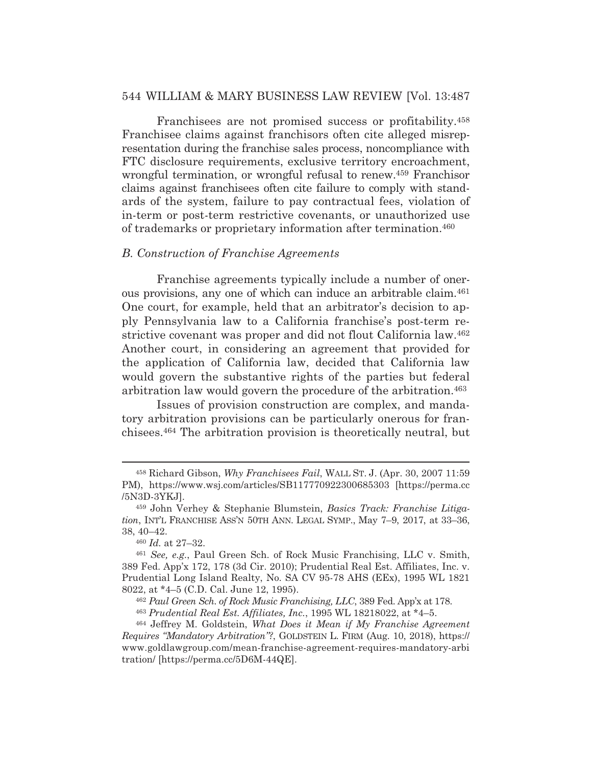Franchisees are not promised success or profitability.458 Franchisee claims against franchisors often cite alleged misrepresentation during the franchise sales process, noncompliance with FTC disclosure requirements, exclusive territory encroachment, wrongful termination, or wrongful refusal to renew.459 Franchisor claims against franchisees often cite failure to comply with standards of the system, failure to pay contractual fees, violation of in-term or post-term restrictive covenants, or unauthorized use of trademarks or proprietary information after termination.460

### *B. Construction of Franchise Agreements*

 Franchise agreements typically include a number of onerous provisions, any one of which can induce an arbitrable claim.461 One court, for example, held that an arbitrator's decision to apply Pennsylvania law to a California franchise's post-term restrictive covenant was proper and did not flout California law.462 Another court, in considering an agreement that provided for the application of California law, decided that California law would govern the substantive rights of the parties but federal arbitration law would govern the procedure of the arbitration.463

 Issues of provision construction are complex, and mandatory arbitration provisions can be particularly onerous for franchisees.464 The arbitration provision is theoretically neutral, but

<sup>458</sup> Richard Gibson, *Why Franchisees Fail*, WALL ST. J. (Apr. 30, 2007 11:59 PM), https://www.wsj.com/articles/SB117770922300685303 [https://perma.cc /5N3D-3YKJ].

<sup>459</sup> John Verhey & Stephanie Blumstein, *Basics Track: Franchise Litigation*, INT'L FRANCHISE ASS'N 50TH ANN. LEGAL SYMP., May 7–9, 2017, at 33–36, 38, 40–42.

<sup>460</sup> *Id.* at 27–32.

<sup>461</sup> *See, e.g.*, Paul Green Sch. of Rock Music Franchising, LLC v. Smith, 389 Fed. App'x 172, 178 (3d Cir. 2010); Prudential Real Est. Affiliates, Inc. v. Prudential Long Island Realty, No. SA CV 95-78 AHS (EEx), 1995 WL 1821 8022, at \*4–5 (C.D. Cal. June 12, 1995).

<sup>462</sup> *Paul Green Sch. of Rock Music Franchising, LLC*, 389 Fed. App'x at 178.

<sup>463</sup> *Prudential Real Est. Affiliates, Inc.*, 1995 WL 18218022, at \*4–5.

<sup>464</sup> Jeffrey M. Goldstein, *What Does it Mean if My Franchise Agreement Requires "Mandatory Arbitration"?*, GOLDSTEIN L. FIRM (Aug. 10, 2018), https:// www.goldlawgroup.com/mean-franchise-agreement-requires-mandatory-arbi tration/ [https://perma.cc/5D6M-44QE].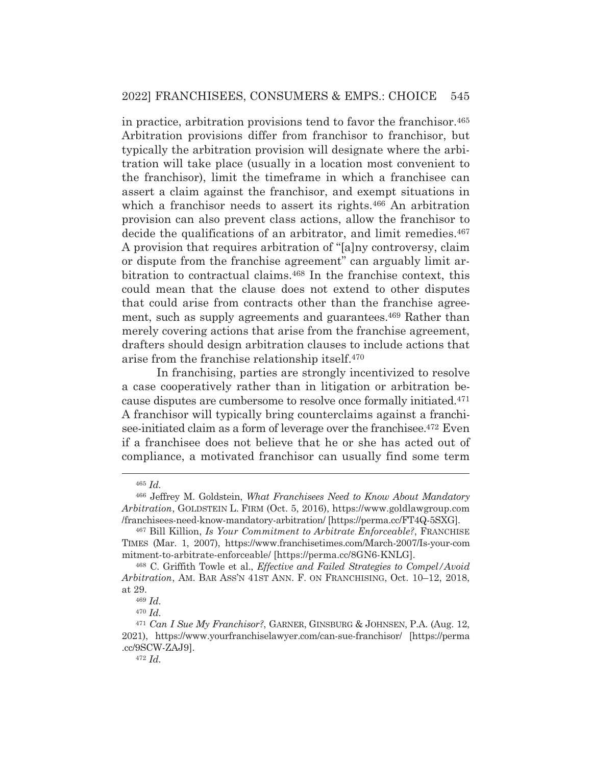in practice, arbitration provisions tend to favor the franchisor.465 Arbitration provisions differ from franchisor to franchisor, but typically the arbitration provision will designate where the arbitration will take place (usually in a location most convenient to the franchisor), limit the timeframe in which a franchisee can assert a claim against the franchisor, and exempt situations in which a franchisor needs to assert its rights.<sup>466</sup> An arbitration provision can also prevent class actions, allow the franchisor to decide the qualifications of an arbitrator, and limit remedies.<sup>467</sup> A provision that requires arbitration of "[a]ny controversy, claim or dispute from the franchise agreement" can arguably limit arbitration to contractual claims.468 In the franchise context, this could mean that the clause does not extend to other disputes that could arise from contracts other than the franchise agreement, such as supply agreements and guarantees.<sup>469</sup> Rather than merely covering actions that arise from the franchise agreement, drafters should design arbitration clauses to include actions that arise from the franchise relationship itself.470

In franchising, parties are strongly incentivized to resolve a case cooperatively rather than in litigation or arbitration because disputes are cumbersome to resolve once formally initiated.471 A franchisor will typically bring counterclaims against a franchisee-initiated claim as a form of leverage over the franchisee.472 Even if a franchisee does not believe that he or she has acted out of compliance, a motivated franchisor can usually find some term

<sup>465</sup> *Id.*

<sup>466</sup> Jeffrey M. Goldstein, *What Franchisees Need to Know About Mandatory Arbitration*, GOLDSTEIN L. FIRM (Oct. 5, 2016), https://www.goldlawgroup.com /franchisees-need-know-mandatory-arbitration/ [https://perma.cc/FT4Q-5SXG].

<sup>467</sup> Bill Killion, *Is Your Commitment to Arbitrate Enforceable?*, FRANCHISE TIMES (Mar. 1, 2007), https://www.franchisetimes.com/March-2007/Is-your-com mitment-to-arbitrate-enforceable/ [https://perma.cc/8GN6-KNLG].

<sup>468</sup> C. Griffith Towle et al., *Effective and Failed Strategies to Compel/Avoid Arbitration*, AM. BAR ASS'N 41ST ANN. F. ON FRANCHISING, Oct. 10–12, 2018, at 29.

<sup>469</sup> *Id.*

<sup>470</sup> *Id.*

<sup>471</sup> *Can I Sue My Franchisor?*, GARNER, GINSBURG & JOHNSEN, P.A. (Aug. 12, 2021), https://www.yourfranchiselawyer.com/can-sue-franchisor/ [https://perma .cc/9SCW-ZAJ9].

<sup>472</sup> *Id.*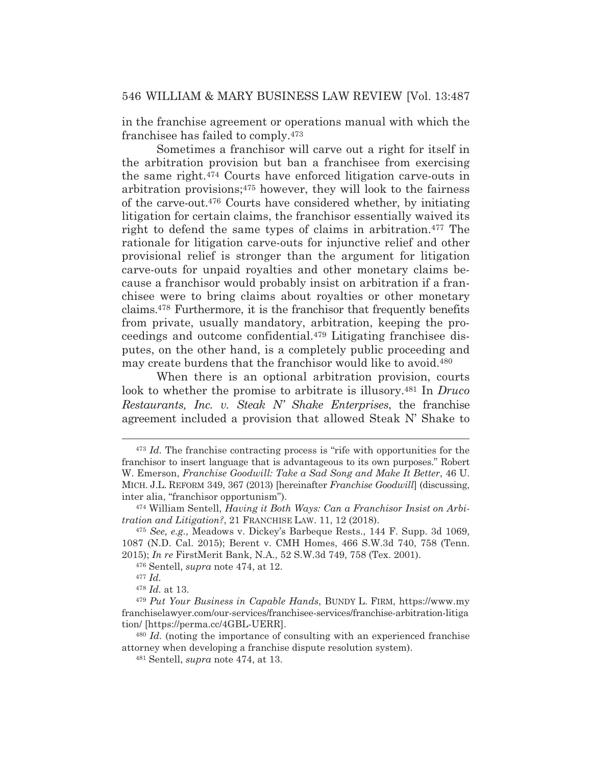in the franchise agreement or operations manual with which the franchisee has failed to comply.473

 Sometimes a franchisor will carve out a right for itself in the arbitration provision but ban a franchisee from exercising the same right.474 Courts have enforced litigation carve-outs in arbitration provisions;475 however, they will look to the fairness of the carve-out.476 Courts have considered whether, by initiating litigation for certain claims, the franchisor essentially waived its right to defend the same types of claims in arbitration.477 The rationale for litigation carve-outs for injunctive relief and other provisional relief is stronger than the argument for litigation carve-outs for unpaid royalties and other monetary claims because a franchisor would probably insist on arbitration if a franchisee were to bring claims about royalties or other monetary claims.478 Furthermore, it is the franchisor that frequently benefits from private, usually mandatory, arbitration, keeping the proceedings and outcome confidential.479 Litigating franchisee disputes, on the other hand, is a completely public proceeding and may create burdens that the franchisor would like to avoid.<sup>480</sup>

 When there is an optional arbitration provision, courts look to whether the promise to arbitrate is illusory.481 In *Druco Restaurants, Inc. v. Steak N' Shake Enterprises*, the franchise agreement included a provision that allowed Steak N' Shake to

<sup>473</sup> *Id.* The franchise contracting process is "rife with opportunities for the franchisor to insert language that is advantageous to its own purposes." Robert W. Emerson, *Franchise Goodwill: Take a Sad Song and Make It Better*, 46 U. MICH. J.L. REFORM 349, 367 (2013) [hereinafter *Franchise Goodwill*] (discussing, inter alia, "franchisor opportunism").

<sup>474</sup> William Sentell, *Having it Both Ways: Can a Franchisor Insist on Arbitration and Litigation?*, 21 FRANCHISE LAW. 11, 12 (2018).

<sup>475</sup> *See, e.g.*, Meadows v. Dickey's Barbeque Rests., 144 F. Supp. 3d 1069, 1087 (N.D. Cal. 2015); Berent v. CMH Homes, 466 S.W.3d 740, 758 (Tenn. 2015); *In re* FirstMerit Bank, N.A., 52 S.W.3d 749, 758 (Tex. 2001).

<sup>476</sup> Sentell, *supra* note 474, at 12.

<sup>477</sup> *Id.*

<sup>478</sup> *Id.* at 13.

<sup>479</sup> *Put Your Business in Capable Hands*, BUNDY L. FIRM, https://www.my franchiselawyer.com/our-services/franchisee-services/franchise-arbitration-litiga tion/ [https://perma.cc/4GBL-UERR].

<sup>480</sup> *Id.* (noting the importance of consulting with an experienced franchise attorney when developing a franchise dispute resolution system).

<sup>481</sup> Sentell, *supra* note 474, at 13.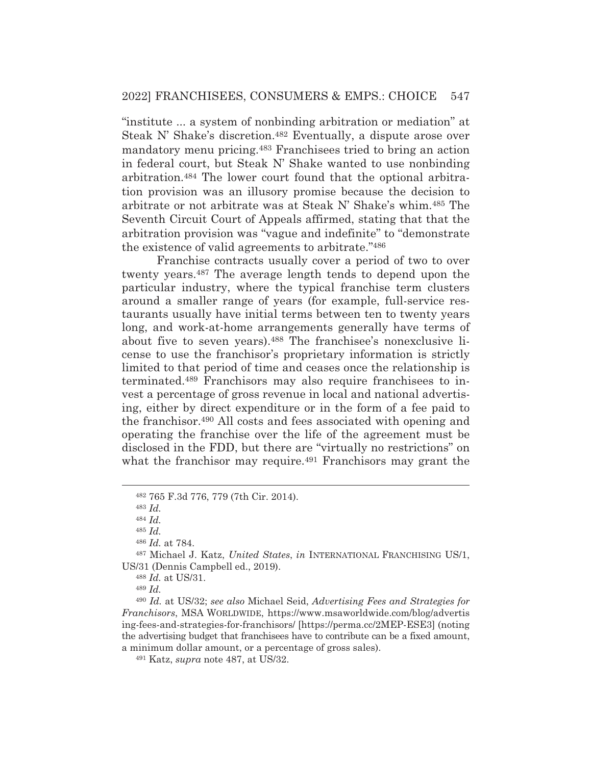"institute ... a system of nonbinding arbitration or mediation" at Steak N' Shake's discretion.482 Eventually, a dispute arose over mandatory menu pricing.483 Franchisees tried to bring an action in federal court, but Steak N' Shake wanted to use nonbinding arbitration.484 The lower court found that the optional arbitration provision was an illusory promise because the decision to arbitrate or not arbitrate was at Steak N' Shake's whim.485 The Seventh Circuit Court of Appeals affirmed, stating that that the arbitration provision was "vague and indefinite" to "demonstrate the existence of valid agreements to arbitrate."486

 Franchise contracts usually cover a period of two to over twenty years.487 The average length tends to depend upon the particular industry, where the typical franchise term clusters around a smaller range of years (for example, full-service restaurants usually have initial terms between ten to twenty years long, and work-at-home arrangements generally have terms of about five to seven years).488 The franchisee's nonexclusive license to use the franchisor's proprietary information is strictly limited to that period of time and ceases once the relationship is terminated.489 Franchisors may also require franchisees to invest a percentage of gross revenue in local and national advertising, either by direct expenditure or in the form of a fee paid to the franchisor.490 All costs and fees associated with opening and operating the franchise over the life of the agreement must be disclosed in the FDD, but there are "virtually no restrictions" on what the franchisor may require.<sup>491</sup> Franchisors may grant the

<sup>484</sup> *Id.*

<sup>488</sup> *Id.* at US/31.

<sup>489</sup> *Id.*

<sup>482 765</sup> F.3d 776, 779 (7th Cir. 2014).

<sup>483</sup> *Id.*

<sup>485</sup> *Id.*

<sup>486</sup> *Id.* at 784.

<sup>487</sup> Michael J. Katz, *United States*, *in* INTERNATIONAL FRANCHISING US/1, US/31 (Dennis Campbell ed., 2019).

<sup>490</sup> *Id.* at US/32; *see also* Michael Seid, *Advertising Fees and Strategies for Franchisors*, MSA WORLDWIDE, https://www.msaworldwide.com/blog/advertis ing-fees-and-strategies-for-franchisors/ [https://perma.cc/2MEP-ESE3] (noting the advertising budget that franchisees have to contribute can be a fixed amount, a minimum dollar amount, or a percentage of gross sales).

<sup>491</sup> Katz, *supra* note 487, at US/32.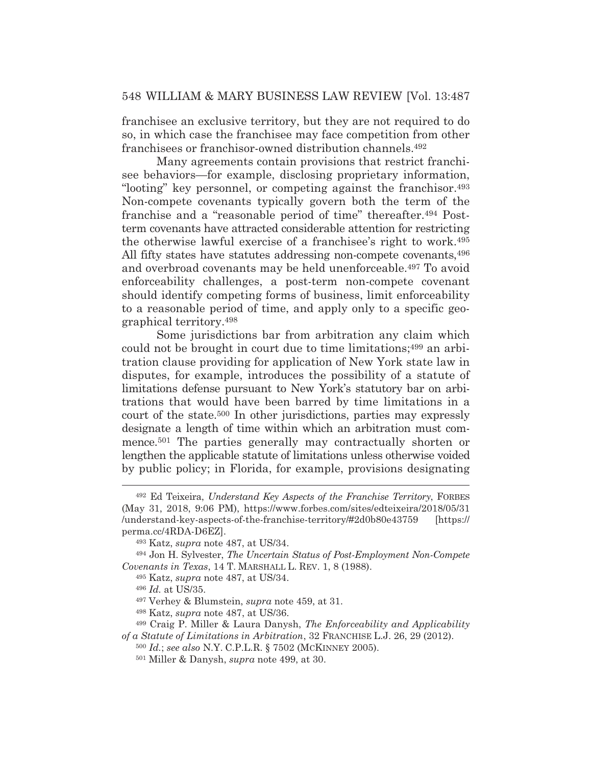franchisee an exclusive territory, but they are not required to do so, in which case the franchisee may face competition from other franchisees or franchisor-owned distribution channels.492

 Many agreements contain provisions that restrict franchisee behaviors—for example, disclosing proprietary information, "looting" key personnel, or competing against the franchisor.493 Non-compete covenants typically govern both the term of the franchise and a "reasonable period of time" thereafter.494 Postterm covenants have attracted considerable attention for restricting the otherwise lawful exercise of a franchisee's right to work.495 All fifty states have statutes addressing non-compete covenants,  $496$ and overbroad covenants may be held unenforceable.497 To avoid enforceability challenges, a post-term non-compete covenant should identify competing forms of business, limit enforceability to a reasonable period of time, and apply only to a specific geographical territory.498

 Some jurisdictions bar from arbitration any claim which could not be brought in court due to time limitations;<sup>499</sup> an arbitration clause providing for application of New York state law in disputes, for example, introduces the possibility of a statute of limitations defense pursuant to New York's statutory bar on arbitrations that would have been barred by time limitations in a court of the state.500 In other jurisdictions, parties may expressly designate a length of time within which an arbitration must commence.501 The parties generally may contractually shorten or lengthen the applicable statute of limitations unless otherwise voided by public policy; in Florida, for example, provisions designating

495 Katz, *supra* note 487, at US/34.

<sup>492</sup> Ed Teixeira, *Understand Key Aspects of the Franchise Territory*, FORBES (May 31, 2018, 9:06 PM), https://www.forbes.com/sites/edteixeira/2018/05/31 /understand-key-aspects-of-the-franchise-territory/#2d0b80e43759 [https:// perma.cc/4RDA-D6EZ].

<sup>493</sup> Katz, *supra* note 487, at US/34.

<sup>494</sup> Jon H. Sylvester, *The Uncertain Status of Post-Employment Non-Compete Covenants in Texas*, 14 T. MARSHALL L. REV. 1, 8 (1988).

<sup>496</sup> *Id.* at US/35.

<sup>497</sup> Verhey & Blumstein, *supra* note 459, at 31.

<sup>498</sup> Katz, *supra* note 487, at US/36.

<sup>499</sup> Craig P. Miller & Laura Danysh, *The Enforceability and Applicability of a Statute of Limitations in Arbitration*, 32 FRANCHISE L.J. 26, 29 (2012).

<sup>500</sup> *Id.*; *see also* N.Y. C.P.L.R. § 7502 (MCKINNEY 2005).

<sup>501</sup> Miller & Danysh, *supra* note 499, at 30.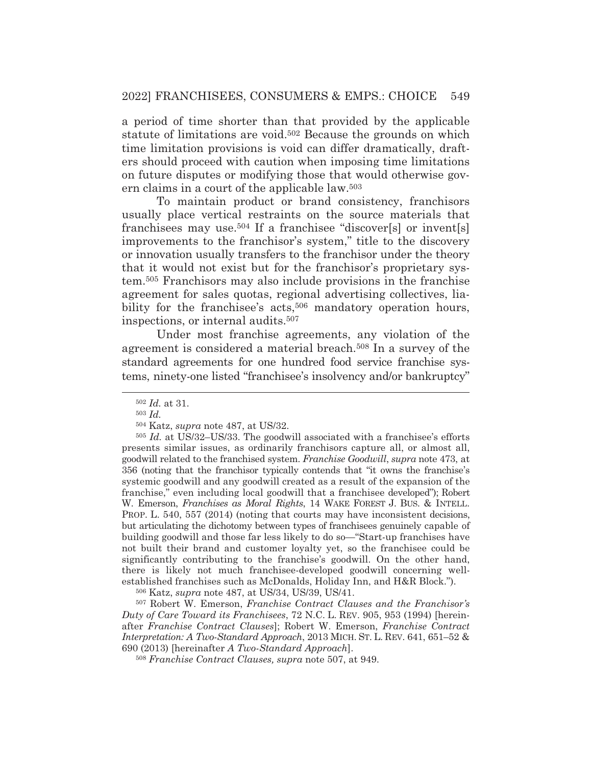a period of time shorter than that provided by the applicable statute of limitations are void.<sup>502</sup> Because the grounds on which time limitation provisions is void can differ dramatically, drafters should proceed with caution when imposing time limitations on future disputes or modifying those that would otherwise govern claims in a court of the applicable law.503

 To maintain product or brand consistency, franchisors usually place vertical restraints on the source materials that franchisees may use.504 If a franchisee "discover[s] or invent[s] improvements to the franchisor's system," title to the discovery or innovation usually transfers to the franchisor under the theory that it would not exist but for the franchisor's proprietary system.505 Franchisors may also include provisions in the franchise agreement for sales quotas, regional advertising collectives, liability for the franchisee's acts,<sup>506</sup> mandatory operation hours, inspections, or internal audits.507

 Under most franchise agreements, any violation of the agreement is considered a material breach.508 In a survey of the standard agreements for one hundred food service franchise systems, ninety-one listed "franchisee's insolvency and/or bankruptcy"

506 Katz, *supra* note 487, at US/34, US/39, US/41.

507 Robert W. Emerson, *Franchise Contract Clauses and the Franchisor's Duty of Care Toward its Franchisees*, 72 N.C. L. REV. 905, 953 (1994) [hereinafter *Franchise Contract Clauses*]; Robert W. Emerson, *Franchise Contract Interpretation: A Two-Standard Approach*, 2013 MICH. ST. L. REV. 641, 651–52 & 690 (2013) [hereinafter *A Two-Standard Approach*].

<sup>508</sup> *Franchise Contract Clauses, supra* note 507, at 949.

<sup>502</sup> *Id.* at 31.

<sup>503</sup> *Id.*

<sup>504</sup> Katz, *supra* note 487, at US/32.

<sup>505</sup> *Id.* at US/32–US/33. The goodwill associated with a franchisee's efforts presents similar issues, as ordinarily franchisors capture all, or almost all, goodwill related to the franchised system. *Franchise Goodwill*, *supra* note 473, at 356 (noting that the franchisor typically contends that "it owns the franchise's systemic goodwill and any goodwill created as a result of the expansion of the franchise," even including local goodwill that a franchisee developed"); Robert W. Emerson, *Franchises as Moral Rights*, 14 WAKE FOREST J. BUS. & INTELL. PROP. L. 540, 557 (2014) (noting that courts may have inconsistent decisions, but articulating the dichotomy between types of franchisees genuinely capable of building goodwill and those far less likely to do so—"Start-up franchises have not built their brand and customer loyalty yet, so the franchisee could be significantly contributing to the franchise's goodwill. On the other hand, there is likely not much franchisee-developed goodwill concerning wellestablished franchises such as McDonalds, Holiday Inn, and H&R Block.").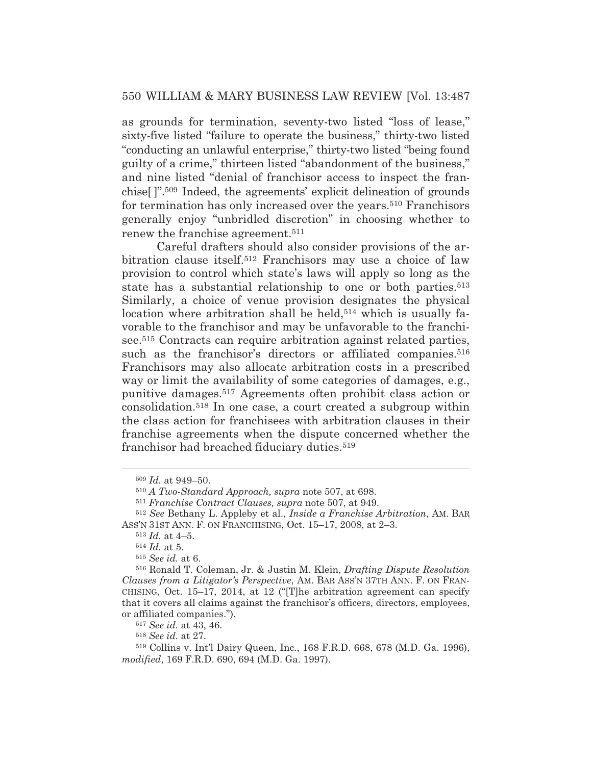as grounds for termination, seventy-two listed "loss of lease," sixty-five listed "failure to operate the business," thirty-two listed "conducting an unlawful enterprise," thirty-two listed "being found guilty of a crime," thirteen listed "abandonment of the business," and nine listed "denial of franchisor access to inspect the franchise[ ]".509 Indeed, the agreements' explicit delineation of grounds for termination has only increased over the years.510 Franchisors generally enjoy "unbridled discretion" in choosing whether to renew the franchise agreement.511

 Careful drafters should also consider provisions of the arbitration clause itself.512 Franchisors may use a choice of law provision to control which state's laws will apply so long as the state has a substantial relationship to one or both parties.<sup>513</sup> Similarly, a choice of venue provision designates the physical location where arbitration shall be held,<sup>514</sup> which is usually favorable to the franchisor and may be unfavorable to the franchisee.515 Contracts can require arbitration against related parties, such as the franchisor's directors or affiliated companies.<sup>516</sup> Franchisors may also allocate arbitration costs in a prescribed way or limit the availability of some categories of damages, e.g., punitive damages.517 Agreements often prohibit class action or consolidation.518 In one case, a court created a subgroup within the class action for franchisees with arbitration clauses in their franchise agreements when the dispute concerned whether the franchisor had breached fiduciary duties.519

<sup>518</sup> *See id.* at 27.

<sup>509</sup> *Id.* at 949–50.

<sup>510</sup> *A Two-Standard Approach, supra* note 507, at 698.

<sup>511</sup> *Franchise Contract Clauses, supra* note 507, at 949.

<sup>512</sup> *See* Bethany L. Appleby et al., *Inside a Franchise Arbitration*, AM. BAR ASS'N 31ST ANN. F. ON FRANCHISING, Oct. 15–17, 2008, at 2–3.

<sup>513</sup> *Id.* at 4–5.

<sup>514</sup> *Id.* at 5.

<sup>515</sup> *See id.* at 6.

<sup>516</sup> Ronald T. Coleman, Jr. & Justin M. Klein, *Drafting Dispute Resolution Clauses from a Litigator's Perspective*, AM. BAR ASS'N 37TH ANN. F. ON FRAN-CHISING, Oct. 15–17, 2014, at 12 ("[T]he arbitration agreement can specify that it covers all claims against the franchisor's officers, directors, employees, or affiliated companies.").

<sup>517</sup> *See id.* at 43, 46.

<sup>519</sup> Collins v. Int'l Dairy Queen, Inc., 168 F.R.D. 668, 678 (M.D. Ga. 1996), *modified*, 169 F.R.D. 690, 694 (M.D. Ga. 1997).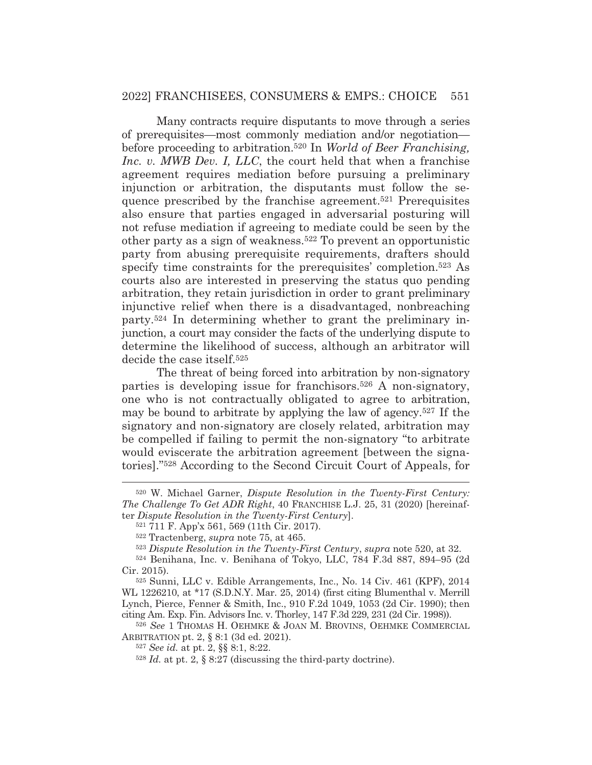## 2022] FRANCHISEES, CONSUMERS & EMPS.: CHOICE 551

 Many contracts require disputants to move through a series of prerequisites—most commonly mediation and/or negotiation before proceeding to arbitration.520 In *World of Beer Franchising, Inc. v. MWB Dev. I, LLC*, the court held that when a franchise agreement requires mediation before pursuing a preliminary injunction or arbitration, the disputants must follow the sequence prescribed by the franchise agreement.521 Prerequisites also ensure that parties engaged in adversarial posturing will not refuse mediation if agreeing to mediate could be seen by the other party as a sign of weakness.522 To prevent an opportunistic party from abusing prerequisite requirements, drafters should specify time constraints for the prerequisites' completion.<sup>523</sup> As courts also are interested in preserving the status quo pending arbitration, they retain jurisdiction in order to grant preliminary injunctive relief when there is a disadvantaged, nonbreaching party.524 In determining whether to grant the preliminary injunction, a court may consider the facts of the underlying dispute to determine the likelihood of success, although an arbitrator will decide the case itself.525

 The threat of being forced into arbitration by non-signatory parties is developing issue for franchisors.526 A non-signatory, one who is not contractually obligated to agree to arbitration, may be bound to arbitrate by applying the law of agency.527 If the signatory and non-signatory are closely related, arbitration may be compelled if failing to permit the non-signatory "to arbitrate would eviscerate the arbitration agreement [between the signatories]."528 According to the Second Circuit Court of Appeals, for

525 Sunni, LLC v. Edible Arrangements, Inc., No. 14 Civ. 461 (KPF), 2014 WL 1226210, at \*17 (S.D.N.Y. Mar. 25, 2014) (first citing Blumenthal v. Merrill Lynch, Pierce, Fenner & Smith, Inc., 910 F.2d 1049, 1053 (2d Cir. 1990); then citing Am. Exp. Fin. Advisors Inc. v. Thorley, 147 F.3d 229, 231 (2d Cir. 1998)).

<sup>526</sup> *See* 1 THOMAS H. OEHMKE & JOAN M. BROVINS, OEHMKE COMMERCIAL ARBITRATION pt. 2, § 8:1 (3d ed. 2021).

<sup>520</sup> W. Michael Garner, *Dispute Resolution in the Twenty-First Century: The Challenge To Get ADR Right*, 40 FRANCHISE L.J. 25, 31 (2020) [hereinafter *Dispute Resolution in the Twenty-First Century*].

<sup>521 711</sup> F. App'x 561, 569 (11th Cir. 2017).

<sup>522</sup> Tractenberg, *supra* note 75, at 465.

<sup>523</sup> *Dispute Resolution in the Twenty-First Century*, *supra* note 520, at 32.

<sup>524</sup> Benihana, Inc. v. Benihana of Tokyo, LLC, 784 F.3d 887, 894–95 (2d Cir. 2015).

<sup>527</sup> *See id.* at pt. 2, §§ 8:1, 8:22.

<sup>528</sup> *Id.* at pt. 2, § 8:27 (discussing the third-party doctrine).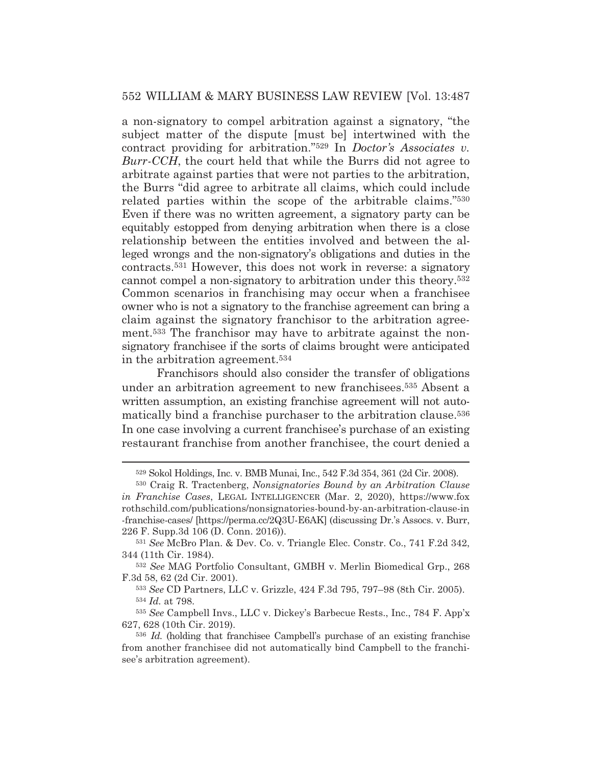a non-signatory to compel arbitration against a signatory, "the subject matter of the dispute [must be] intertwined with the contract providing for arbitration."529 In *Doctor's Associates v. Burr-CCH*, the court held that while the Burrs did not agree to arbitrate against parties that were not parties to the arbitration, the Burrs "did agree to arbitrate all claims, which could include related parties within the scope of the arbitrable claims."530 Even if there was no written agreement, a signatory party can be equitably estopped from denying arbitration when there is a close relationship between the entities involved and between the alleged wrongs and the non-signatory's obligations and duties in the contracts.531 However, this does not work in reverse: a signatory cannot compel a non-signatory to arbitration under this theory.532 Common scenarios in franchising may occur when a franchisee owner who is not a signatory to the franchise agreement can bring a claim against the signatory franchisor to the arbitration agreement.<sup>533</sup> The franchisor may have to arbitrate against the nonsignatory franchisee if the sorts of claims brought were anticipated in the arbitration agreement.534

 Franchisors should also consider the transfer of obligations under an arbitration agreement to new franchisees.535 Absent a written assumption, an existing franchise agreement will not automatically bind a franchise purchaser to the arbitration clause.536 In one case involving a current franchisee's purchase of an existing restaurant franchise from another franchisee, the court denied a

<sup>529</sup> Sokol Holdings, Inc. v. BMB Munai, Inc., 542 F.3d 354, 361 (2d Cir. 2008).

<sup>530</sup> Craig R. Tractenberg, *Nonsignatories Bound by an Arbitration Clause in Franchise Cases*, LEGAL INTELLIGENCER (Mar. 2, 2020), https://www.fox rothschild.com/publications/nonsignatories-bound-by-an-arbitration-clause-in -franchise-cases/ [https://perma.cc/2Q3U-E6AK] (discussing Dr.'s Assocs. v. Burr, 226 F. Supp.3d 106 (D. Conn. 2016)).

<sup>531</sup> *See* McBro Plan. & Dev. Co. v. Triangle Elec. Constr. Co., 741 F.2d 342, 344 (11th Cir. 1984).

<sup>532</sup> *See* MAG Portfolio Consultant, GMBH v. Merlin Biomedical Grp., 268 F.3d 58, 62 (2d Cir. 2001).

<sup>533</sup> *See* CD Partners, LLC v. Grizzle, 424 F.3d 795, 797–98 (8th Cir. 2005). <sup>534</sup> *Id.* at 798.

<sup>535</sup> *See* Campbell Invs., LLC v. Dickey's Barbecue Rests., Inc., 784 F. App'x 627, 628 (10th Cir. 2019).

<sup>536</sup> *Id.* (holding that franchisee Campbell's purchase of an existing franchise from another franchisee did not automatically bind Campbell to the franchisee's arbitration agreement).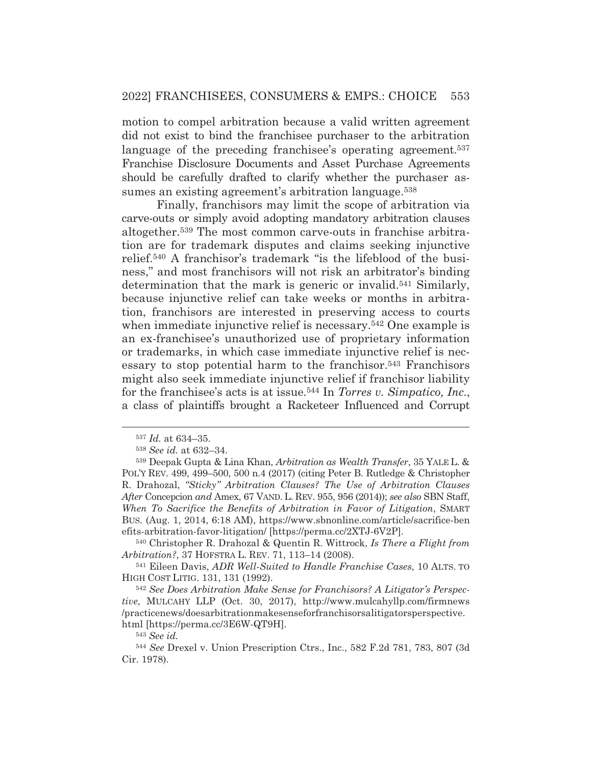motion to compel arbitration because a valid written agreement did not exist to bind the franchisee purchaser to the arbitration language of the preceding franchisee's operating agreement.<sup>537</sup> Franchise Disclosure Documents and Asset Purchase Agreements should be carefully drafted to clarify whether the purchaser assumes an existing agreement's arbitration language.<sup>538</sup>

 Finally, franchisors may limit the scope of arbitration via carve-outs or simply avoid adopting mandatory arbitration clauses altogether.539 The most common carve-outs in franchise arbitration are for trademark disputes and claims seeking injunctive relief.540 A franchisor's trademark "is the lifeblood of the business," and most franchisors will not risk an arbitrator's binding determination that the mark is generic or invalid.<sup>541</sup> Similarly, because injunctive relief can take weeks or months in arbitration, franchisors are interested in preserving access to courts when immediate injunctive relief is necessary.<sup>542</sup> One example is an ex-franchisee's unauthorized use of proprietary information or trademarks, in which case immediate injunctive relief is necessary to stop potential harm to the franchisor.543 Franchisors might also seek immediate injunctive relief if franchisor liability for the franchisee's acts is at issue.544 In *Torres v. Simpatico, Inc.*, a class of plaintiffs brought a Racketeer Influenced and Corrupt

540 Christopher R. Drahozal & Quentin R. Wittrock, *Is There a Flight from Arbitration?*, 37 HOFSTRA L. REV. 71, 113–14 (2008).

541 Eileen Davis, *ADR Well-Suited to Handle Franchise Cases*, 10 ALTS. TO HIGH COST LITIG. 131, 131 (1992).

<sup>542</sup> *See Does Arbitration Make Sense for Franchisors? A Litigator's Perspective*, MULCAHY LLP (Oct. 30, 2017), http://www.mulcahyllp.com/firmnews /practicenews/doesarbitrationmakesenseforfranchisorsalitigatorsperspective. html [https://perma.cc/3E6W-QT9H].

<sup>543</sup> *See id.*

<sup>537</sup> *Id.* at 634–35.

<sup>538</sup> *See id.* at 632–34.

<sup>539</sup> Deepak Gupta & Lina Khan, *Arbitration as Wealth Transfer*, 35 YALE L. & POL'Y REV. 499, 499–500, 500 n.4 (2017) (citing Peter B. Rutledge & Christopher R. Drahozal, *"Sticky" Arbitration Clauses? The Use of Arbitration Clauses After* Concepcion *and* Amex, 67 VAND. L. REV. 955, 956 (2014)); *see also* SBN Staff, *When To Sacrifice the Benefits of Arbitration in Favor of Litigation*, SMART BUS. (Aug. 1, 2014, 6:18 AM), https://www.sbnonline.com/article/sacrifice-ben efits-arbitration-favor-litigation/ [https://perma.cc/2XTJ-6V2P].

<sup>544</sup> *See* Drexel v. Union Prescription Ctrs., Inc., 582 F.2d 781, 783, 807 (3d Cir. 1978).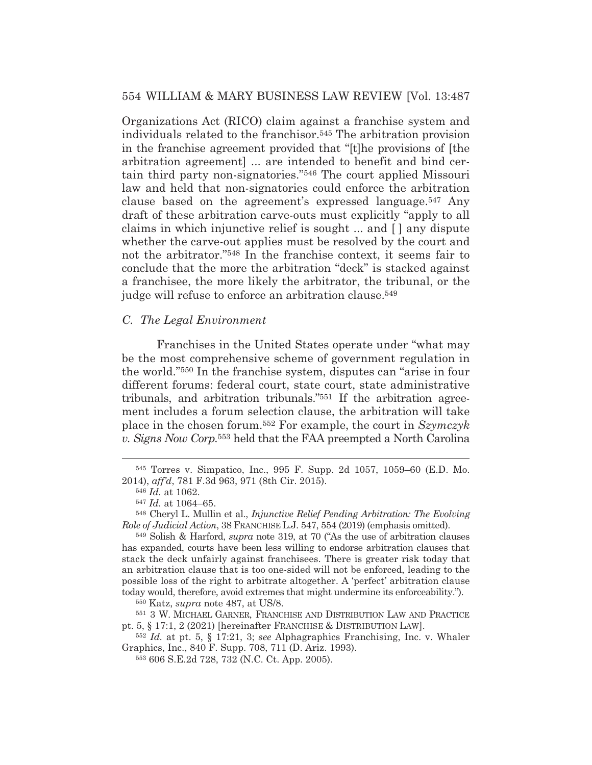Organizations Act (RICO) claim against a franchise system and individuals related to the franchisor.545 The arbitration provision in the franchise agreement provided that "[t]he provisions of [the arbitration agreement] ... are intended to benefit and bind certain third party non-signatories."546 The court applied Missouri law and held that non-signatories could enforce the arbitration clause based on the agreement's expressed language.547 Any draft of these arbitration carve-outs must explicitly "apply to all claims in which injunctive relief is sought ... and [ ] any dispute whether the carve-out applies must be resolved by the court and not the arbitrator."548 In the franchise context, it seems fair to conclude that the more the arbitration "deck" is stacked against a franchisee, the more likely the arbitrator, the tribunal, or the judge will refuse to enforce an arbitration clause.<sup>549</sup>

### *C. The Legal Environment*

 Franchises in the United States operate under "what may be the most comprehensive scheme of government regulation in the world."550 In the franchise system, disputes can "arise in four different forums: federal court, state court, state administrative tribunals, and arbitration tribunals."551 If the arbitration agreement includes a forum selection clause, the arbitration will take place in the chosen forum.552 For example, the court in *Szymczyk v. Signs Now Corp.*553 held that the FAA preempted a North Carolina

550 Katz, *supra* note 487, at US/8.

551 3 W. MICHAEL GARNER, FRANCHISE AND DISTRIBUTION LAW AND PRACTICE pt. 5, § 17:1, 2 (2021) [hereinafter FRANCHISE & DISTRIBUTION LAW].

<sup>552</sup> *Id.* at pt. 5, § 17:21, 3; *see* Alphagraphics Franchising, Inc. v. Whaler Graphics, Inc., 840 F. Supp. 708, 711 (D. Ariz. 1993).

<sup>545</sup> Torres v. Simpatico, Inc., 995 F. Supp. 2d 1057, 1059–60 (E.D. Mo. 2014), *aff'd*, 781 F.3d 963, 971 (8th Cir. 2015).

<sup>546</sup> *Id.* at 1062.

<sup>547</sup> *Id.* at 1064–65.

<sup>548</sup> Cheryl L. Mullin et al., *Injunctive Relief Pending Arbitration: The Evolving Role of Judicial Action*, 38 FRANCHISE L.J. 547, 554 (2019) (emphasis omitted).

<sup>549</sup> Solish & Harford, *supra* note 319, at 70 ("As the use of arbitration clauses has expanded, courts have been less willing to endorse arbitration clauses that stack the deck unfairly against franchisees. There is greater risk today that an arbitration clause that is too one-sided will not be enforced, leading to the possible loss of the right to arbitrate altogether. A 'perfect' arbitration clause today would, therefore, avoid extremes that might undermine its enforceability.").

<sup>553 606</sup> S.E.2d 728, 732 (N.C. Ct. App. 2005).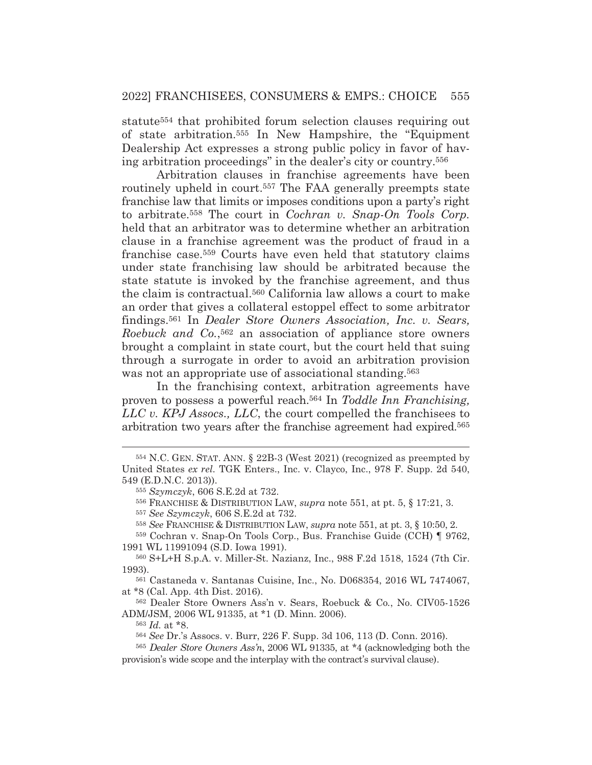statute554 that prohibited forum selection clauses requiring out of state arbitration.555 In New Hampshire, the "Equipment Dealership Act expresses a strong public policy in favor of having arbitration proceedings" in the dealer's city or country.556

 Arbitration clauses in franchise agreements have been routinely upheld in court.<sup>557</sup> The FAA generally preempts state franchise law that limits or imposes conditions upon a party's right to arbitrate.558 The court in *Cochran v. Snap-On Tools Corp.* held that an arbitrator was to determine whether an arbitration clause in a franchise agreement was the product of fraud in a franchise case.559 Courts have even held that statutory claims under state franchising law should be arbitrated because the state statute is invoked by the franchise agreement, and thus the claim is contractual.560 California law allows a court to make an order that gives a collateral estoppel effect to some arbitrator findings.561 In *Dealer Store Owners Association, Inc. v. Sears, Roebuck and Co.*,562 an association of appliance store owners brought a complaint in state court, but the court held that suing through a surrogate in order to avoid an arbitration provision was not an appropriate use of associational standing.<sup>563</sup>

 In the franchising context, arbitration agreements have proven to possess a powerful reach.564 In *Toddle Inn Franchising, LLC v. KPJ Assocs., LLC*, the court compelled the franchisees to arbitration two years after the franchise agreement had expired.565

562 Dealer Store Owners Ass'n v. Sears, Roebuck & Co*.*, No. CIV05-1526 ADM/JSM, 2006 WL 91335, at \*1 (D. Minn. 2006).

<sup>563</sup> *Id.* at \*8.

<sup>564</sup> *See* Dr.'s Assocs. v. Burr, 226 F. Supp. 3d 106, 113 (D. Conn. 2016).

<sup>554</sup> N.C. GEN. STAT. ANN. § 22B-3 (West 2021) (recognized as preempted by United States *ex rel.* TGK Enters., Inc. v. Clayco, Inc., 978 F. Supp. 2d 540, 549 (E.D.N.C. 2013)).

<sup>555</sup> *Szymczyk*, 606 S.E.2d at 732.

<sup>556</sup> FRANCHISE & DISTRIBUTION LAW, *supra* note 551, at pt. 5, § 17:21, 3.

<sup>557</sup> *See Szymczyk*, 606 S.E.2d at 732.

<sup>558</sup> *See* FRANCHISE & DISTRIBUTION LAW, *supra* note 551, at pt. 3, § 10:50, 2.

<sup>559</sup> Cochran v. Snap-On Tools Corp., Bus. Franchise Guide (CCH) ¶ 9762, 1991 WL 11991094 (S.D. Iowa 1991).

<sup>560</sup> S+L+H S.p.A. v. Miller-St. Nazianz, Inc., 988 F.2d 1518, 1524 (7th Cir. 1993).

<sup>561</sup> Castaneda v. Santanas Cuisine, Inc., No. D068354, 2016 WL 7474067, at \*8 (Cal. App. 4th Dist. 2016).

<sup>565</sup> *Dealer Store Owners Ass'n*, 2006 WL 91335, at \*4 (acknowledging both the provision's wide scope and the interplay with the contract's survival clause).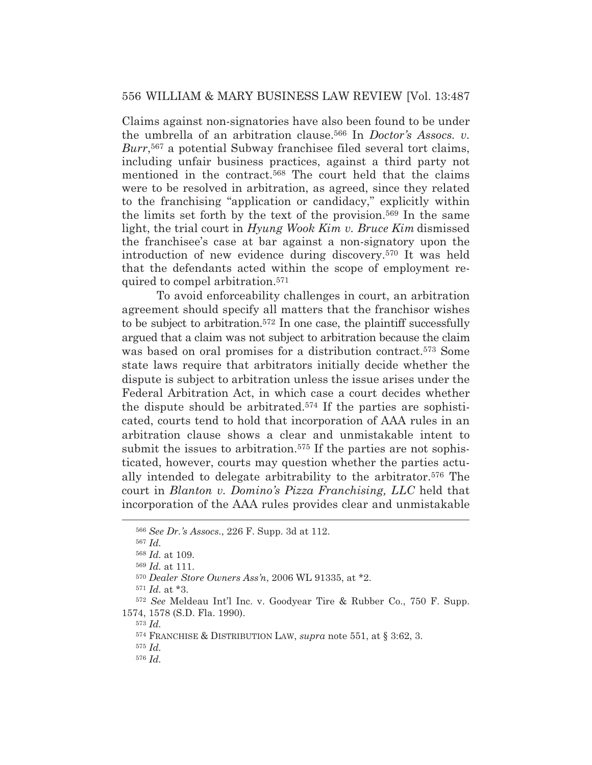Claims against non-signatories have also been found to be under the umbrella of an arbitration clause.566 In *Doctor's Assocs. v. Burr*,567 a potential Subway franchisee filed several tort claims, including unfair business practices, against a third party not mentioned in the contract.568 The court held that the claims were to be resolved in arbitration, as agreed, since they related to the franchising "application or candidacy," explicitly within the limits set forth by the text of the provision.569 In the same light, the trial court in *Hyung Wook Kim v. Bruce Kim* dismissed the franchisee's case at bar against a non-signatory upon the introduction of new evidence during discovery.570 It was held that the defendants acted within the scope of employment required to compel arbitration.571

 To avoid enforceability challenges in court, an arbitration agreement should specify all matters that the franchisor wishes to be subject to arbitration.572 In one case, the plaintiff successfully argued that a claim was not subject to arbitration because the claim was based on oral promises for a distribution contract.<sup>573</sup> Some state laws require that arbitrators initially decide whether the dispute is subject to arbitration unless the issue arises under the Federal Arbitration Act, in which case a court decides whether the dispute should be arbitrated.574 If the parties are sophisticated, courts tend to hold that incorporation of AAA rules in an arbitration clause shows a clear and unmistakable intent to submit the issues to arbitration.<sup>575</sup> If the parties are not sophisticated, however, courts may question whether the parties actually intended to delegate arbitrability to the arbitrator.576 The court in *Blanton v. Domino's Pizza Franchising, LLC* held that incorporation of the AAA rules provides clear and unmistakable

<sup>573</sup> *Id.*

<sup>566</sup> *See Dr.'s Assocs.*, 226 F. Supp. 3d at 112.

<sup>567</sup> *Id.*

<sup>568</sup> *Id.* at 109.

<sup>569</sup> *Id.* at 111.

<sup>570</sup> *Dealer Store Owners Ass'n*, 2006 WL 91335, at \*2.

<sup>571</sup> *Id.* at \*3.

<sup>572</sup> *See* Meldeau Int'l Inc. v. Goodyear Tire & Rubber Co., 750 F. Supp. 1574, 1578 (S.D. Fla. 1990).

<sup>574</sup> FRANCHISE & DISTRIBUTION LAW, *supra* note 551, at § 3:62, 3.

<sup>575</sup> *Id.*

<sup>576</sup> *Id.*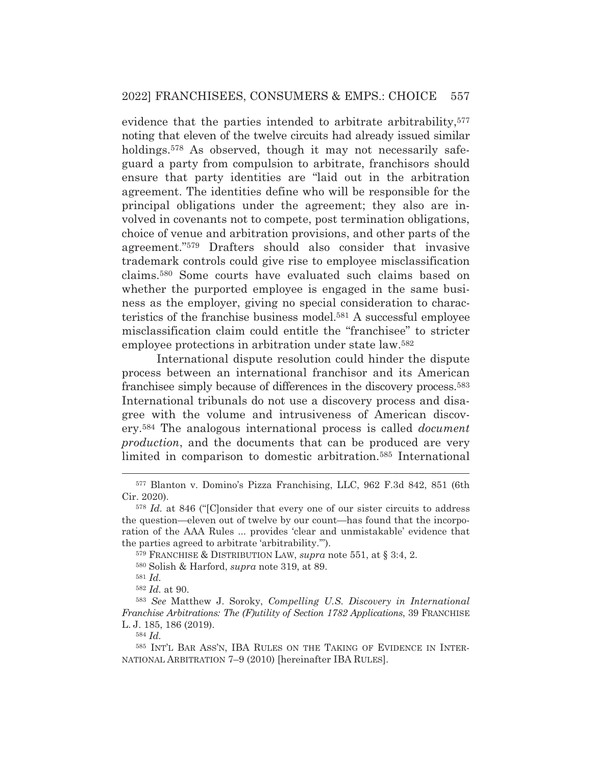evidence that the parties intended to arbitrate arbitrability,<sup>577</sup> noting that eleven of the twelve circuits had already issued similar holdings.<sup>578</sup> As observed, though it may not necessarily safeguard a party from compulsion to arbitrate, franchisors should ensure that party identities are "laid out in the arbitration agreement. The identities define who will be responsible for the principal obligations under the agreement; they also are involved in covenants not to compete, post termination obligations, choice of venue and arbitration provisions, and other parts of the agreement."579 Drafters should also consider that invasive trademark controls could give rise to employee misclassification claims.580 Some courts have evaluated such claims based on whether the purported employee is engaged in the same business as the employer, giving no special consideration to characteristics of the franchise business model.581 A successful employee misclassification claim could entitle the "franchisee" to stricter employee protections in arbitration under state law.582

 International dispute resolution could hinder the dispute process between an international franchisor and its American franchisee simply because of differences in the discovery process.583 International tribunals do not use a discovery process and disagree with the volume and intrusiveness of American discovery.584 The analogous international process is called *document production*, and the documents that can be produced are very limited in comparison to domestic arbitration.585 International

579 FRANCHISE & DISTRIBUTION LAW, *supra* note 551, at § 3:4, 2.

580 Solish & Harford, *supra* note 319, at 89.

<sup>582</sup> *Id.* at 90.

<sup>584</sup> *Id.*

<sup>577</sup> Blanton v. Domino's Pizza Franchising, LLC, 962 F.3d 842, 851 (6th Cir. 2020).

<sup>578</sup> *Id.* at 846 ("[C]onsider that every one of our sister circuits to address the question—eleven out of twelve by our count—has found that the incorporation of the AAA Rules ... provides 'clear and unmistakable' evidence that the parties agreed to arbitrate 'arbitrability.'").

<sup>581</sup> *Id.*

<sup>583</sup> *See* Matthew J. Soroky, *Compelling U.S. Discovery in International Franchise Arbitrations: The (F)utility of Section 1782 Applications*, 39 FRANCHISE L. J. 185, 186 (2019).

<sup>585</sup> INT'L BAR ASS'N, IBA RULES ON THE TAKING OF EVIDENCE IN INTER-NATIONAL ARBITRATION 7–9 (2010) [hereinafter IBA RULES].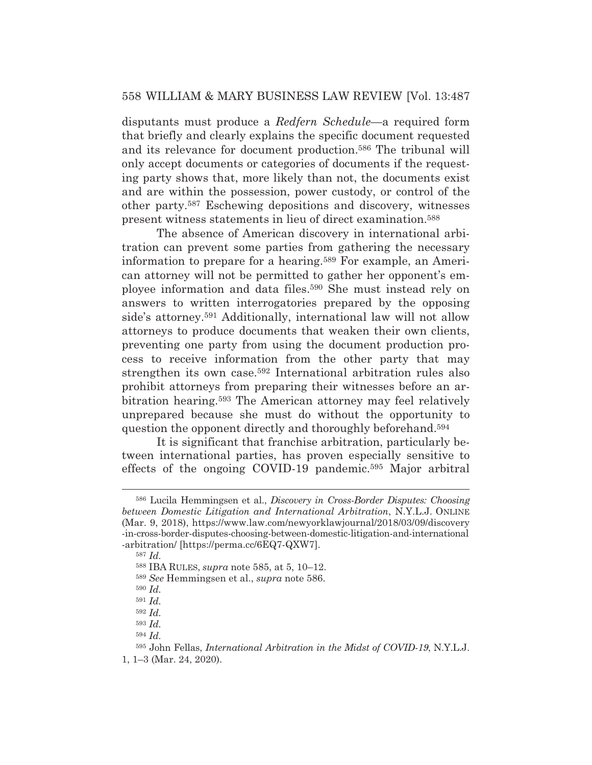# 558 WILLIAM & MARY BUSINESS LAW REVIEW [Vol. 13:487

disputants must produce a *Redfern Schedule*—a required form that briefly and clearly explains the specific document requested and its relevance for document production.586 The tribunal will only accept documents or categories of documents if the requesting party shows that, more likely than not, the documents exist and are within the possession, power custody, or control of the other party.587 Eschewing depositions and discovery, witnesses present witness statements in lieu of direct examination.588

 The absence of American discovery in international arbitration can prevent some parties from gathering the necessary information to prepare for a hearing.589 For example, an American attorney will not be permitted to gather her opponent's employee information and data files.590 She must instead rely on answers to written interrogatories prepared by the opposing side's attorney.591 Additionally, international law will not allow attorneys to produce documents that weaken their own clients, preventing one party from using the document production process to receive information from the other party that may strengthen its own case.592 International arbitration rules also prohibit attorneys from preparing their witnesses before an arbitration hearing.593 The American attorney may feel relatively unprepared because she must do without the opportunity to question the opponent directly and thoroughly beforehand.594

 It is significant that franchise arbitration, particularly between international parties, has proven especially sensitive to effects of the ongoing COVID-19 pandemic.595 Major arbitral

<sup>587</sup> *Id.*

<sup>586</sup> Lucila Hemmingsen et al., *Discovery in Cross-Border Disputes: Choosing between Domestic Litigation and International Arbitration*, N.Y.L.J. ONLINE (Mar. 9, 2018), https://www.law.com/newyorklawjournal/2018/03/09/discovery -in-cross-border-disputes-choosing-between-domestic-litigation-and-international -arbitration/ [https://perma.cc/6EQ7-QXW7].

<sup>588</sup> IBA RULES, *supra* note 585, at 5, 10–12.

<sup>589</sup> *See* Hemmingsen et al., *supra* note 586.

<sup>590</sup> *Id.*

<sup>591</sup> *Id.*

<sup>592</sup> *Id.*

<sup>593</sup> *Id.*

<sup>594</sup> *Id.*

<sup>595</sup> John Fellas, *International Arbitration in the Midst of COVID-19*, N.Y.L.J. 1, 1–3 (Mar. 24, 2020).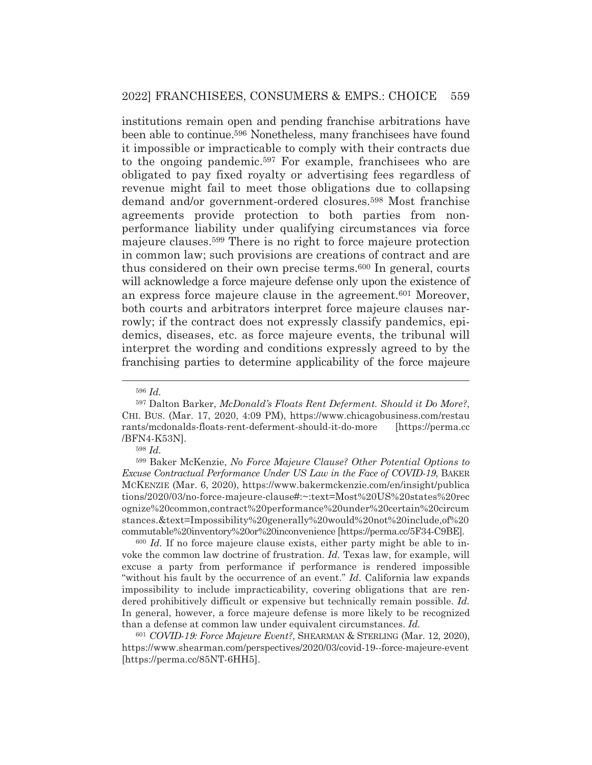institutions remain open and pending franchise arbitrations have been able to continue.596 Nonetheless, many franchisees have found it impossible or impracticable to comply with their contracts due to the ongoing pandemic.597 For example, franchisees who are obligated to pay fixed royalty or advertising fees regardless of revenue might fail to meet those obligations due to collapsing demand and/or government-ordered closures.598 Most franchise agreements provide protection to both parties from nonperformance liability under qualifying circumstances via force majeure clauses.599 There is no right to force majeure protection in common law; such provisions are creations of contract and are thus considered on their own precise terms.600 In general, courts will acknowledge a force majeure defense only upon the existence of an express force majeure clause in the agreement.601 Moreover, both courts and arbitrators interpret force majeure clauses narrowly; if the contract does not expressly classify pandemics, epidemics, diseases, etc. as force majeure events, the tribunal will interpret the wording and conditions expressly agreed to by the franchising parties to determine applicability of the force majeure

597 Dalton Barker, *McDonald's Floats Rent Deferment. Should it Do More?*, CHI. BUS. (Mar. 17, 2020, 4:09 PM), https://www.chicagobusiness.com/restau rants/mcdonalds-floats-rent-deferment-should-it-do-more [https://perma.cc /BFN4-K53N].

599 Baker McKenzie, *No Force Majeure Clause? Other Potential Options to Excuse Contractual Performance Under US Law in the Face of COVID-19*, BAKER MCKENZIE (Mar. 6, 2020), https://www.bakermckenzie.com/en/insight/publica tions/2020/03/no-force-majeure-clause#:~:text=Most%20US%20states%20rec ognize%20common,contract%20performance%20under%20certain%20circum stances.&text=Impossibility%20generally%20would%20not%20include,of%20 commutable%20inventory%20or%20inconvenience [https://perma.cc/5F34-C9BE].

<sup>600</sup> *Id.* If no force majeure clause exists, either party might be able to invoke the common law doctrine of frustration. *Id.* Texas law, for example, will excuse a party from performance if performance is rendered impossible "without his fault by the occurrence of an event." *Id.* California law expands impossibility to include impracticability, covering obligations that are rendered prohibitively difficult or expensive but technically remain possible. *Id.* In general, however, a force majeure defense is more likely to be recognized than a defense at common law under equivalent circumstances. *Id.*

<sup>601</sup> *COVID-19: Force Majeure Event?*, SHEARMAN & STERLING (Mar. 12, 2020), https://www.shearman.com/perspectives/2020/03/covid-19--force-majeure-event [https://perma.cc/85NT-6HH5].

<sup>596</sup> *Id.*

<sup>598</sup> *Id.*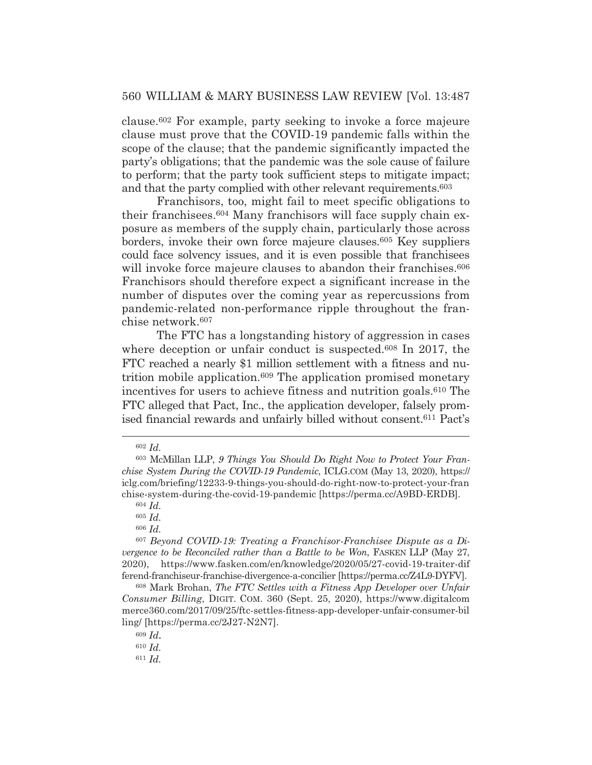clause.602 For example, party seeking to invoke a force majeure clause must prove that the COVID-19 pandemic falls within the scope of the clause; that the pandemic significantly impacted the party's obligations; that the pandemic was the sole cause of failure to perform; that the party took sufficient steps to mitigate impact; and that the party complied with other relevant requirements.603

 Franchisors, too, might fail to meet specific obligations to their franchisees.604 Many franchisors will face supply chain exposure as members of the supply chain, particularly those across borders, invoke their own force majeure clauses.605 Key suppliers could face solvency issues, and it is even possible that franchisees will invoke force majeure clauses to abandon their franchises.<sup>606</sup> Franchisors should therefore expect a significant increase in the number of disputes over the coming year as repercussions from pandemic-related non-performance ripple throughout the franchise network.607

 The FTC has a longstanding history of aggression in cases where deception or unfair conduct is suspected.<sup>608</sup> In 2017, the FTC reached a nearly \$1 million settlement with a fitness and nutrition mobile application.609 The application promised monetary incentives for users to achieve fitness and nutrition goals.610 The FTC alleged that Pact, Inc., the application developer, falsely promised financial rewards and unfairly billed without consent.611 Pact's

<sup>602</sup> *Id.*

<sup>603</sup> McMillan LLP, *9 Things You Should Do Right Now to Protect Your Franchise System During the COVID-19 Pandemic*, ICLG.COM (May 13, 2020), https:// iclg.com/briefing/12233-9-things-you-should-do-right-now-to-protect-your-fran chise-system-during-the-covid-19-pandemic [https://perma.cc/A9BD-ERDB].

<sup>604</sup> *Id.*

<sup>605</sup> *Id.*

<sup>606</sup> *Id.*

<sup>607</sup> *Beyond COVID-19: Treating a Franchisor-Franchisee Dispute as a Divergence to be Reconciled rather than a Battle to be Won*, FASKEN LLP (May 27, 2020), https://www.fasken.com/en/knowledge/2020/05/27-covid-19-traiter-dif ferend-franchiseur-franchise-divergence-a-concilier [https://perma.cc/Z4L9-DYFV].

<sup>608</sup> Mark Brohan, *The FTC Settles with a Fitness App Developer over Unfair Consumer Billing*, DIGIT. COM. 360 (Sept. 25, 2020), https://www.digitalcom merce360.com/2017/09/25/ftc-settles-fitness-app-developer-unfair-consumer-bil ling/ [https://perma.cc/2J27-N2N7].

<sup>609</sup> *Id.*

<sup>610</sup> *Id.*

<sup>611</sup> *Id.*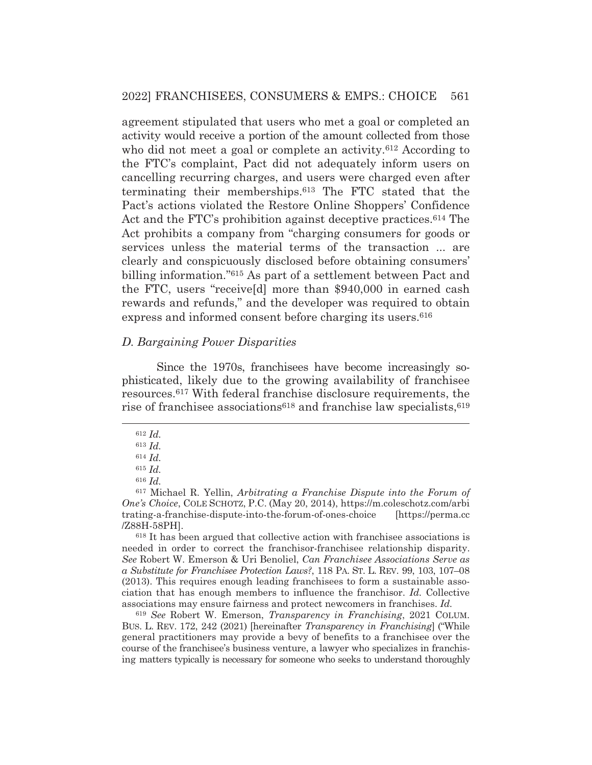agreement stipulated that users who met a goal or completed an activity would receive a portion of the amount collected from those who did not meet a goal or complete an activity.<sup>612</sup> According to the FTC's complaint, Pact did not adequately inform users on cancelling recurring charges, and users were charged even after terminating their memberships.613 The FTC stated that the Pact's actions violated the Restore Online Shoppers' Confidence Act and the FTC's prohibition against deceptive practices.<sup>614</sup> The Act prohibits a company from "charging consumers for goods or services unless the material terms of the transaction ... are clearly and conspicuously disclosed before obtaining consumers' billing information."615 As part of a settlement between Pact and the FTC, users "receive[d] more than \$940,000 in earned cash rewards and refunds," and the developer was required to obtain express and informed consent before charging its users.<sup>616</sup>

### *D. Bargaining Power Disparities*

 Since the 1970s, franchisees have become increasingly sophisticated, likely due to the growing availability of franchisee resources.617 With federal franchise disclosure requirements, the rise of franchisee associations<sup>618</sup> and franchise law specialists,  $619$ 

618 It has been argued that collective action with franchisee associations is needed in order to correct the franchisor-franchisee relationship disparity. *See* Robert W. Emerson & Uri Benoliel, *Can Franchisee Associations Serve as a Substitute for Franchisee Protection Laws?*, 118 PA. ST. L. REV. 99, 103, 107–08 (2013). This requires enough leading franchisees to form a sustainable association that has enough members to influence the franchisor. *Id.* Collective associations may ensure fairness and protect newcomers in franchises. *Id.* 

<sup>619</sup> *See* Robert W. Emerson, *Transparency in Franchising*, 2021 COLUM. BUS. L. REV. 172, 242 (2021) [hereinafter *Transparency in Franchising*] ("While general practitioners may provide a bevy of benefits to a franchisee over the course of the franchisee's business venture, a lawyer who specializes in franchising matters typically is necessary for someone who seeks to understand thoroughly

<sup>612</sup> *Id.*

<sup>613</sup> *Id.*

<sup>614</sup> *Id.*

<sup>615</sup> *Id.*

<sup>616</sup> *Id.*

<sup>617</sup> Michael R. Yellin, *Arbitrating a Franchise Dispute into the Forum of One's Choice*, COLE SCHOTZ, P.C. (May 20, 2014), https://m.coleschotz.com/arbi trating-a-franchise-dispute-into-the-forum-of-ones-choice [https://perma.cc /Z88H-58PH].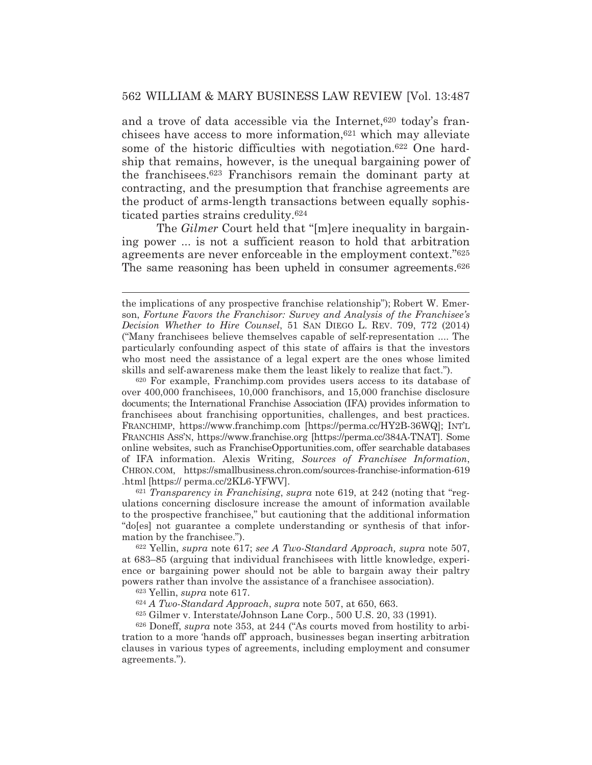and a trove of data accessible via the Internet,<sup>620</sup> today's franchisees have access to more information,  $621$  which may alleviate some of the historic difficulties with negotiation.<sup>622</sup> One hardship that remains, however, is the unequal bargaining power of the franchisees.623 Franchisors remain the dominant party at contracting, and the presumption that franchise agreements are the product of arms-length transactions between equally sophisticated parties strains credulity.624

 The *Gilmer* Court held that "[m]ere inequality in bargaining power ... is not a sufficient reason to hold that arbitration agreements are never enforceable in the employment context."625 The same reasoning has been upheld in consumer agreements.<sup>626</sup>

620 For example, Franchimp.com provides users access to its database of over 400,000 franchisees, 10,000 franchisors, and 15,000 franchise disclosure documents; the International Franchise Association (IFA) provides information to franchisees about franchising opportunities, challenges, and best practices. FRANCHIMP, https://www.franchimp.com [https://perma.cc/HY2B-36WQ]; INT'L FRANCHIS ASS'N, https://www.franchise.org [https://perma.cc/384A-TNAT]. Some online websites, such as FranchiseOpportunities.com, offer searchable databases of IFA information. Alexis Writing, *Sources of Franchisee Information*, CHRON.COM, https://smallbusiness.chron.com/sources-franchise-information-619 .html [https:// perma.cc/2KL6-YFWV].

<sup>621</sup> *Transparency in Franchising*, *supra* note 619, at 242 (noting that "regulations concerning disclosure increase the amount of information available to the prospective franchisee," but cautioning that the additional information "do[es] not guarantee a complete understanding or synthesis of that information by the franchisee.").

622 Yellin, *supra* note 617; *see A Two-Standard Approach, supra* note 507, at 683–85 (arguing that individual franchisees with little knowledge, experience or bargaining power should not be able to bargain away their paltry powers rather than involve the assistance of a franchisee association).

623 Yellin, *supra* note 617.

<sup>624</sup> *A Two-Standard Approach*, *supra* note 507, at 650, 663.

625 Gilmer v. Interstate/Johnson Lane Corp*.*, 500 U.S. 20, 33 (1991).

626 Doneff, *supra* note 353, at 244 ("As courts moved from hostility to arbitration to a more 'hands off' approach, businesses began inserting arbitration clauses in various types of agreements, including employment and consumer agreements.").

the implications of any prospective franchise relationship"); Robert W. Emerson, *Fortune Favors the Franchisor: Survey and Analysis of the Franchisee's Decision Whether to Hire Counsel*, 51 SAN DIEGO L. REV. 709, 772 (2014) ("Many franchisees believe themselves capable of self-representation .... The particularly confounding aspect of this state of affairs is that the investors who most need the assistance of a legal expert are the ones whose limited skills and self-awareness make them the least likely to realize that fact.").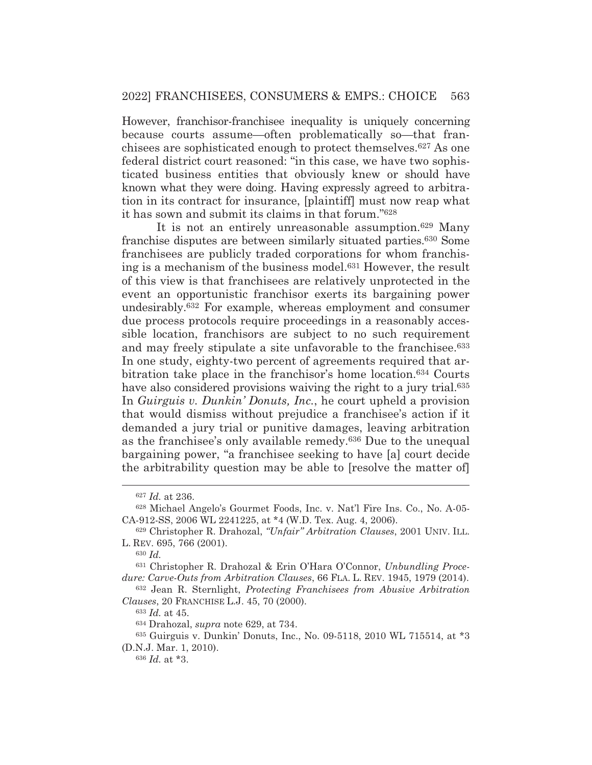However, franchisor-franchisee inequality is uniquely concerning because courts assume—often problematically so—that franchisees are sophisticated enough to protect themselves.627 As one federal district court reasoned: "in this case, we have two sophisticated business entities that obviously knew or should have known what they were doing. Having expressly agreed to arbitration in its contract for insurance, [plaintiff] must now reap what it has sown and submit its claims in that forum."628

 It is not an entirely unreasonable assumption.629 Many franchise disputes are between similarly situated parties.630 Some franchisees are publicly traded corporations for whom franchising is a mechanism of the business model.631 However, the result of this view is that franchisees are relatively unprotected in the event an opportunistic franchisor exerts its bargaining power undesirably.632 For example, whereas employment and consumer due process protocols require proceedings in a reasonably accessible location, franchisors are subject to no such requirement and may freely stipulate a site unfavorable to the franchisee.<sup>633</sup> In one study, eighty-two percent of agreements required that arbitration take place in the franchisor's home location.634 Courts have also considered provisions waiving the right to a jury trial.<sup>635</sup> In *Guirguis v. Dunkin' Donuts, Inc.*, he court upheld a provision that would dismiss without prejudice a franchisee's action if it demanded a jury trial or punitive damages, leaving arbitration as the franchisee's only available remedy.636 Due to the unequal bargaining power, "a franchisee seeking to have [a] court decide the arbitrability question may be able to [resolve the matter of]

<sup>627</sup> *Id.* at 236.

<sup>628</sup> Michael Angelo's Gourmet Foods, Inc. v. Nat'l Fire Ins. Co., No. A-05- CA-912-SS, 2006 WL 2241225, at \*4 (W.D. Tex. Aug. 4, 2006).

<sup>629</sup> Christopher R. Drahozal, *"Unfair" Arbitration Clauses*, 2001 UNIV. ILL. L. REV. 695, 766 (2001).

<sup>630</sup> *Id.*

<sup>631</sup> Christopher R. Drahozal & Erin O'Hara O'Connor, *Unbundling Procedure: Carve-Outs from Arbitration Clauses*, 66 FLA. L. REV. 1945, 1979 (2014).

<sup>632</sup> Jean R. Sternlight, *Protecting Franchisees from Abusive Arbitration Clauses*, 20 FRANCHISE L.J. 45, 70 (2000).

<sup>633</sup> *Id.* at 45.

<sup>634</sup> Drahozal, *supra* note 629, at 734.

<sup>635</sup> Guirguis v. Dunkin' Donuts, Inc., No. 09-5118, 2010 WL 715514, at \*3 (D.N.J. Mar. 1, 2010).

<sup>636</sup> *Id.* at \*3.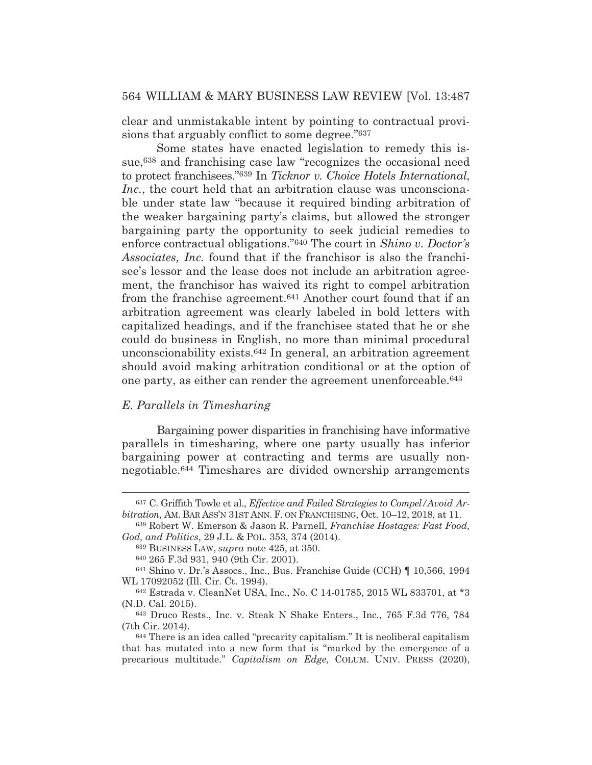## 564 WILLIAM & MARY BUSINESS LAW REVIEW [Vol. 13:487

clear and unmistakable intent by pointing to contractual provisions that arguably conflict to some degree."<sup>637</sup>

 Some states have enacted legislation to remedy this issue,638 and franchising case law "recognizes the occasional need to protect franchisees."639 In *Ticknor v. Choice Hotels International*, *Inc.*, the court held that an arbitration clause was unconscionable under state law "because it required binding arbitration of the weaker bargaining party's claims, but allowed the stronger bargaining party the opportunity to seek judicial remedies to enforce contractual obligations."640 The court in *Shino v. Doctor's Associates, Inc.* found that if the franchisor is also the franchisee's lessor and the lease does not include an arbitration agreement, the franchisor has waived its right to compel arbitration from the franchise agreement.641 Another court found that if an arbitration agreement was clearly labeled in bold letters with capitalized headings, and if the franchisee stated that he or she could do business in English, no more than minimal procedural unconscionability exists.642 In general, an arbitration agreement should avoid making arbitration conditional or at the option of one party, as either can render the agreement unenforceable.643

### *E. Parallels in Timesharing*

 Bargaining power disparities in franchising have informative parallels in timesharing, where one party usually has inferior bargaining power at contracting and terms are usually nonnegotiable.644 Timeshares are divided ownership arrangements

<sup>637</sup> C. Griffith Towle et al., *Effective and Failed Strategies to Compel/Avoid Arbitration*, AM. BAR ASS'N 31ST ANN. F. ON FRANCHISING, Oct. 10–12, 2018, at 11.

<sup>638</sup> Robert W. Emerson & Jason R. Parnell, *Franchise Hostages: Fast Food, God, and Politics*, 29 J.L. & POL. 353, 374 (2014).

<sup>639</sup> BUSINESS LAW, *supra* note 425, at 350.

<sup>640 265</sup> F.3d 931, 940 (9th Cir. 2001).

 $641$  Shino v. Dr.'s Assocs., Inc., Bus. Franchise Guide (CCH)  $\parallel$  10,566, 1994 WL 17092052 (Ill. Cir. Ct. 1994).

<sup>642</sup> Estrada v. CleanNet USA, Inc*.*, No. C 14-01785, 2015 WL 833701, at \*3 (N.D. Cal. 2015).

<sup>643</sup> Druco Rests., Inc. v. Steak N Shake Enters., Inc*.*, 765 F.3d 776, 784 (7th Cir. 2014).

<sup>644</sup> There is an idea called "precarity capitalism." It is neoliberal capitalism that has mutated into a new form that is "marked by the emergence of a precarious multitude." *Capitalism on Edge*, COLUM. UNIV. PRESS (2020),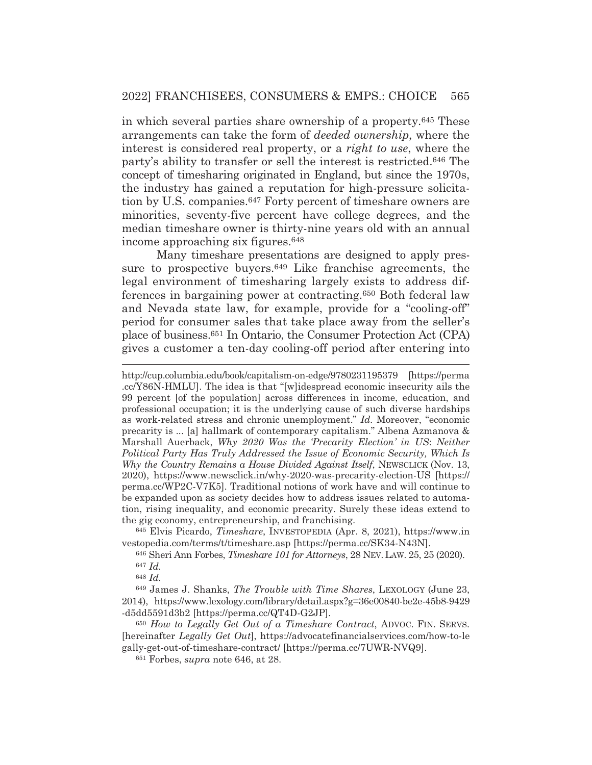in which several parties share ownership of a property.645 These arrangements can take the form of *deeded ownership*, where the interest is considered real property, or a *right to use*, where the party's ability to transfer or sell the interest is restricted.646 The concept of timesharing originated in England, but since the 1970s, the industry has gained a reputation for high-pressure solicitation by U.S. companies.647 Forty percent of timeshare owners are minorities, seventy-five percent have college degrees, and the median timeshare owner is thirty-nine years old with an annual income approaching six figures.648

 Many timeshare presentations are designed to apply pressure to prospective buyers.649 Like franchise agreements, the legal environment of timesharing largely exists to address differences in bargaining power at contracting.650 Both federal law and Nevada state law, for example, provide for a "cooling-off" period for consumer sales that take place away from the seller's place of business.651 In Ontario, the Consumer Protection Act (CPA) gives a customer a ten-day cooling-off period after entering into

645 Elvis Picardo, *Timeshare*, INVESTOPEDIA (Apr. 8, 2021), https://www.in vestopedia.com/terms/t/timeshare.asp [https://perma.cc/SK34-N43N].

646 Sheri Ann Forbes, *Timeshare 101 for Attorneys*, 28 NEV. LAW. 25, 25 (2020). <sup>647</sup> *Id.*

<sup>648</sup> *Id.*

649 James J. Shanks, *The Trouble with Time Shares*, LEXOLOGY (June 23, 2014), https://www.lexology.com/library/detail.aspx?g=36e00840-be2e-45b8-9429 -d5dd5591d3b2 [https://perma.cc/QT4D-G2JP].

<sup>650</sup> *How to Legally Get Out of a Timeshare Contract*, ADVOC. FIN. SERVS. [hereinafter *Legally Get Out*], https://advocatefinancialservices.com/how-to-le gally-get-out-of-timeshare-contract/ [https://perma.cc/7UWR-NVQ9].

651 Forbes, *supra* note 646, at 28.

http://cup.columbia.edu/book/capitalism-on-edge/9780231195379 [https://perma .cc/Y86N-HMLU]. The idea is that "[w]idespread economic insecurity ails the 99 percent [of the population] across differences in income, education, and professional occupation; it is the underlying cause of such diverse hardships as work-related stress and chronic unemployment." *Id.* Moreover, "economic precarity is ... [a] hallmark of contemporary capitalism." Albena Azmanova & Marshall Auerback, *Why 2020 Was the 'Precarity Election' in US*: *Neither Political Party Has Truly Addressed the Issue of Economic Security, Which Is Why the Country Remains a House Divided Against Itself*, NEWSCLICK (Nov. 13, 2020), https://www.newsclick.in/why-2020-was-precarity-election-US [https:// perma.cc/WP2C-V7K5]. Traditional notions of work have and will continue to be expanded upon as society decides how to address issues related to automation, rising inequality, and economic precarity. Surely these ideas extend to the gig economy, entrepreneurship, and franchising.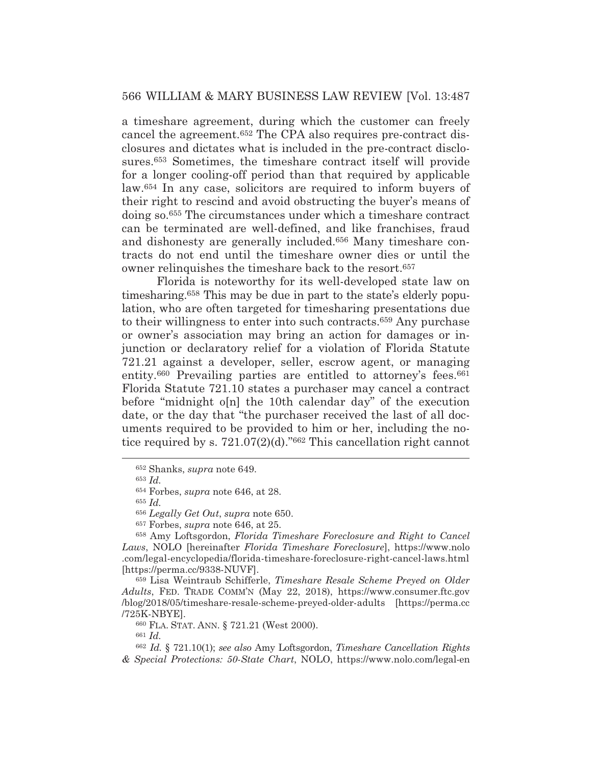a timeshare agreement, during which the customer can freely cancel the agreement.652 The CPA also requires pre-contract disclosures and dictates what is included in the pre-contract disclosures.653 Sometimes, the timeshare contract itself will provide for a longer cooling-off period than that required by applicable law.654 In any case, solicitors are required to inform buyers of their right to rescind and avoid obstructing the buyer's means of doing so.655 The circumstances under which a timeshare contract can be terminated are well-defined, and like franchises, fraud and dishonesty are generally included.656 Many timeshare contracts do not end until the timeshare owner dies or until the owner relinquishes the timeshare back to the resort.657

 Florida is noteworthy for its well-developed state law on timesharing.658 This may be due in part to the state's elderly population, who are often targeted for timesharing presentations due to their willingness to enter into such contracts.659 Any purchase or owner's association may bring an action for damages or injunction or declaratory relief for a violation of Florida Statute 721.21 against a developer, seller, escrow agent, or managing entity.<sup>660</sup> Prevailing parties are entitled to attorney's fees.<sup>661</sup> Florida Statute 721.10 states a purchaser may cancel a contract before "midnight o[n] the 10th calendar day" of the execution date, or the day that "the purchaser received the last of all documents required to be provided to him or her, including the notice required by s. 721.07(2)(d)."662 This cancellation right cannot

<sup>653</sup> *Id.*

<sup>655</sup> *Id.*

659 Lisa Weintraub Schifferle, *Timeshare Resale Scheme Preyed on Older Adults*, FED. TRADE COMM'N (May 22, 2018), https://www.consumer.ftc.gov /blog/2018/05/timeshare-resale-scheme-preyed-older-adults [https://perma.cc /725K-NBYE].

660 FLA. STAT. ANN. § 721.21 (West 2000).

<sup>661</sup> *Id.*

<sup>652</sup> Shanks, *supra* note 649.

<sup>654</sup> Forbes, *supra* note 646, at 28.

<sup>656</sup> *Legally Get Out*, *supra* note 650.

<sup>657</sup> Forbes, *supra* note 646, at 25.

<sup>658</sup> Amy Loftsgordon, *Florida Timeshare Foreclosure and Right to Cancel Laws*, NOLO [hereinafter *Florida Timeshare Foreclosure*], https://www.nolo .com/legal-encyclopedia/florida-timeshare-foreclosure-right-cancel-laws.html [https://perma.cc/9338-NUVF].

<sup>662</sup> *Id.* § 721.10(1); *see also* Amy Loftsgordon, *Timeshare Cancellation Rights & Special Protections: 50-State Chart*, NOLO, https://www.nolo.com/legal-en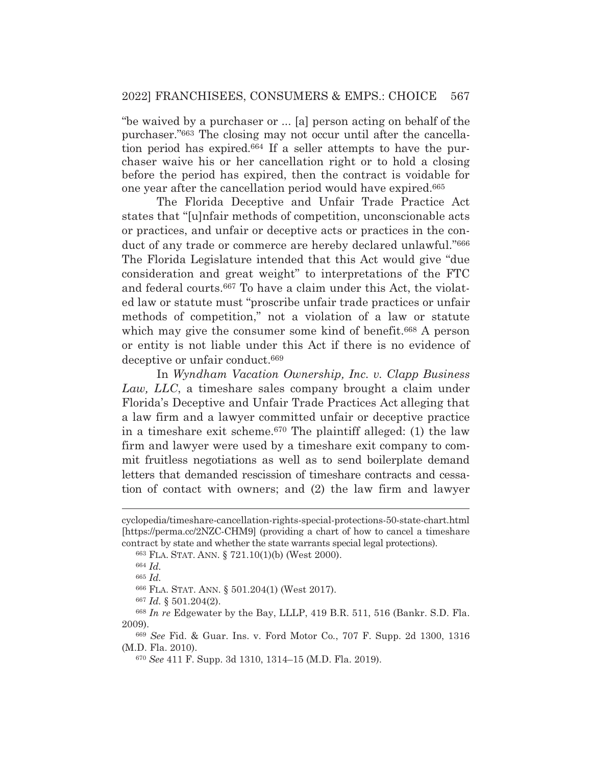"be waived by a purchaser or ... [a] person acting on behalf of the purchaser."663 The closing may not occur until after the cancellation period has expired.664 If a seller attempts to have the purchaser waive his or her cancellation right or to hold a closing before the period has expired, then the contract is voidable for one year after the cancellation period would have expired.665

 The Florida Deceptive and Unfair Trade Practice Act states that "[u]nfair methods of competition, unconscionable acts or practices, and unfair or deceptive acts or practices in the conduct of any trade or commerce are hereby declared unlawful."666 The Florida Legislature intended that this Act would give "due consideration and great weight" to interpretations of the FTC and federal courts.667 To have a claim under this Act, the violated law or statute must "proscribe unfair trade practices or unfair methods of competition," not a violation of a law or statute which may give the consumer some kind of benefit.<sup>668</sup> A person or entity is not liable under this Act if there is no evidence of deceptive or unfair conduct.<sup>669</sup>

 In *Wyndham Vacation Ownership, Inc. v. Clapp Business Law, LLC*, a timeshare sales company brought a claim under Florida's Deceptive and Unfair Trade Practices Act alleging that a law firm and a lawyer committed unfair or deceptive practice in a timeshare exit scheme.670 The plaintiff alleged: (1) the law firm and lawyer were used by a timeshare exit company to commit fruitless negotiations as well as to send boilerplate demand letters that demanded rescission of timeshare contracts and cessation of contact with owners; and (2) the law firm and lawyer

cyclopedia/timeshare-cancellation-rights-special-protections-50-state-chart.html [https://perma.cc/2NZC-CHM9] (providing a chart of how to cancel a timeshare contract by state and whether the state warrants special legal protections).

<sup>663</sup> FLA. STAT. ANN. § 721.10(1)(b) (West 2000).

<sup>664</sup> *Id.*

<sup>665</sup> *Id.*

<sup>666</sup> FLA. STAT. ANN. § 501.204(1) (West 2017).

<sup>667</sup> *Id.* § 501.204(2).

<sup>668</sup> *In re* Edgewater by the Bay, LLLP, 419 B.R. 511, 516 (Bankr. S.D. Fla. 2009).

<sup>669</sup> *See* Fid. & Guar. Ins. v. Ford Motor Co*.*, 707 F. Supp. 2d 1300, 1316 (M.D. Fla. 2010).

<sup>670</sup> *See* 411 F. Supp. 3d 1310, 1314–15 (M.D. Fla. 2019).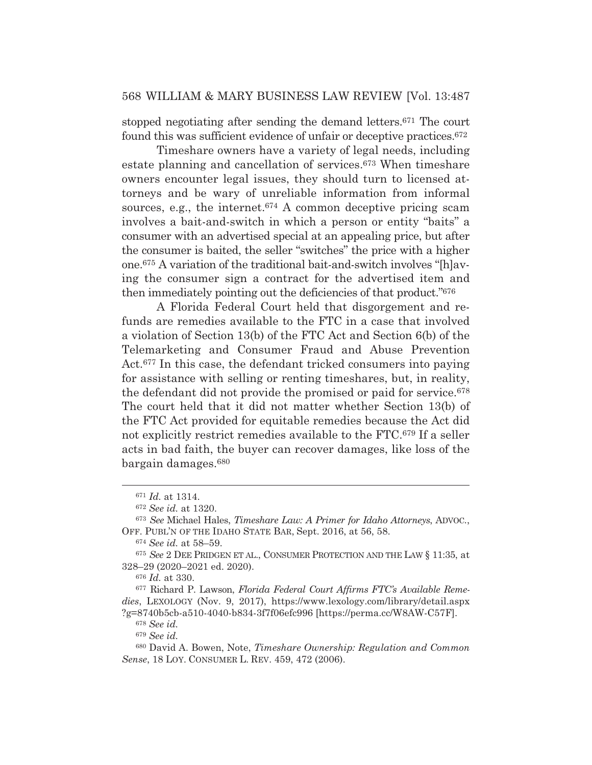stopped negotiating after sending the demand letters.671 The court found this was sufficient evidence of unfair or deceptive practices.672

 Timeshare owners have a variety of legal needs, including estate planning and cancellation of services.673 When timeshare owners encounter legal issues, they should turn to licensed attorneys and be wary of unreliable information from informal sources, e.g., the internet.<sup>674</sup> A common deceptive pricing scam involves a bait-and-switch in which a person or entity "baits" a consumer with an advertised special at an appealing price, but after the consumer is baited, the seller "switches" the price with a higher one.675 A variation of the traditional bait-and-switch involves "[h]aving the consumer sign a contract for the advertised item and then immediately pointing out the deficiencies of that product."676

 A Florida Federal Court held that disgorgement and refunds are remedies available to the FTC in a case that involved a violation of Section 13(b) of the FTC Act and Section 6(b) of the Telemarketing and Consumer Fraud and Abuse Prevention Act.677 In this case, the defendant tricked consumers into paying for assistance with selling or renting timeshares, but, in reality, the defendant did not provide the promised or paid for service.678 The court held that it did not matter whether Section 13(b) of the FTC Act provided for equitable remedies because the Act did not explicitly restrict remedies available to the FTC.679 If a seller acts in bad faith, the buyer can recover damages, like loss of the bargain damages.680

<sup>679</sup> *See id.*

<sup>671</sup> *Id.* at 1314.

<sup>672</sup> *See id.* at 1320.

<sup>673</sup> *See* Michael Hales, *Timeshare Law: A Primer for Idaho Attorneys*, ADVOC., OFF. PUBL'N OF THE IDAHO STATE BAR, Sept. 2016, at 56, 58.

<sup>674</sup> *See id.* at 58–59.

<sup>675</sup> *See* 2 DEE PRIDGEN ET AL., CONSUMER PROTECTION AND THE LAW § 11:35, at 328–29 (2020–2021 ed. 2020).

<sup>676</sup> *Id.* at 330.

<sup>677</sup> Richard P. Lawson, *Florida Federal Court Affirms FTC's Available Remedies*, LEXOLOGY (Nov. 9, 2017), https://www.lexology.com/library/detail.aspx ?g=8740b5cb-a510-4040-b834-3f7f06efc996 [https://perma.cc/W8AW-C57F].

<sup>678</sup> *See id.*

<sup>680</sup> David A. Bowen, Note, *Timeshare Ownership: Regulation and Common Sense*, 18 LOY. CONSUMER L. REV. 459, 472 (2006).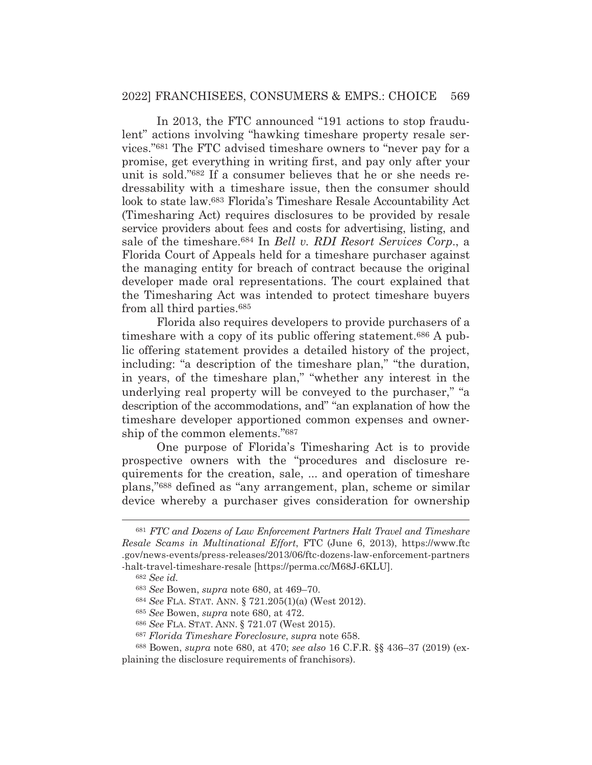## 2022] FRANCHISEES, CONSUMERS & EMPS.: CHOICE 569

 In 2013, the FTC announced "191 actions to stop fraudulent" actions involving "hawking timeshare property resale services."681 The FTC advised timeshare owners to "never pay for a promise, get everything in writing first, and pay only after your unit is sold."682 If a consumer believes that he or she needs redressability with a timeshare issue, then the consumer should look to state law.683 Florida's Timeshare Resale Accountability Act (Timesharing Act) requires disclosures to be provided by resale service providers about fees and costs for advertising, listing, and sale of the timeshare.684 In *Bell v. RDI Resort Services Corp*., a Florida Court of Appeals held for a timeshare purchaser against the managing entity for breach of contract because the original developer made oral representations. The court explained that the Timesharing Act was intended to protect timeshare buyers from all third parties.685

 Florida also requires developers to provide purchasers of a timeshare with a copy of its public offering statement.686 A public offering statement provides a detailed history of the project, including: "a description of the timeshare plan," "the duration, in years, of the timeshare plan," "whether any interest in the underlying real property will be conveyed to the purchaser," "a description of the accommodations, and" "an explanation of how the timeshare developer apportioned common expenses and ownership of the common elements."687

 One purpose of Florida's Timesharing Act is to provide prospective owners with the "procedures and disclosure requirements for the creation, sale, ... and operation of timeshare plans,"688 defined as "any arrangement, plan, scheme or similar device whereby a purchaser gives consideration for ownership

<sup>681</sup> *FTC and Dozens of Law Enforcement Partners Halt Travel and Timeshare Resale Scams in Multinational Effort*, FTC (June 6, 2013), https://www.ftc .gov/news-events/press-releases/2013/06/ftc-dozens-law-enforcement-partners -halt-travel-timeshare-resale [https://perma.cc/M68J-6KLU].

<sup>682</sup> *See id.*

<sup>683</sup> *See* Bowen, *supra* note 680, at 469–70.

<sup>684</sup> *See* FLA. STAT. ANN. § 721.205(1)(a) (West 2012).

<sup>685</sup> *See* Bowen, *supra* note 680, at 472.

<sup>686</sup> *See* FLA. STAT. ANN. § 721.07 (West 2015).

<sup>687</sup> *Florida Timeshare Foreclosure*, *supra* note 658.

<sup>688</sup> Bowen, *supra* note 680, at 470; *see also* 16 C.F.R. §§ 436–37 (2019) (explaining the disclosure requirements of franchisors).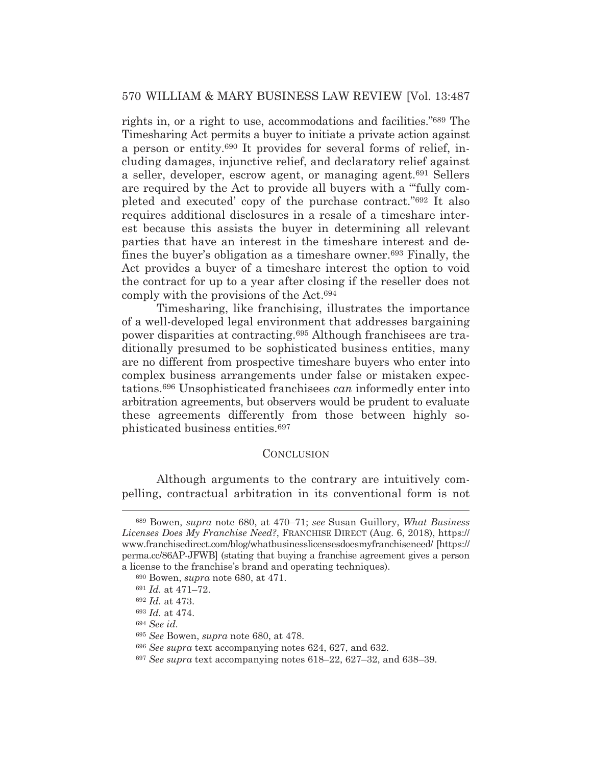rights in, or a right to use, accommodations and facilities."689 The Timesharing Act permits a buyer to initiate a private action against a person or entity.690 It provides for several forms of relief, including damages, injunctive relief, and declaratory relief against a seller, developer, escrow agent, or managing agent.691 Sellers are required by the Act to provide all buyers with a "'fully completed and executed' copy of the purchase contract."692 It also requires additional disclosures in a resale of a timeshare interest because this assists the buyer in determining all relevant parties that have an interest in the timeshare interest and defines the buyer's obligation as a timeshare owner.693 Finally, the Act provides a buyer of a timeshare interest the option to void the contract for up to a year after closing if the reseller does not comply with the provisions of the Act.694

 Timesharing, like franchising, illustrates the importance of a well-developed legal environment that addresses bargaining power disparities at contracting.695 Although franchisees are traditionally presumed to be sophisticated business entities, many are no different from prospective timeshare buyers who enter into complex business arrangements under false or mistaken expectations.696 Unsophisticated franchisees *can* informedly enter into arbitration agreements, but observers would be prudent to evaluate these agreements differently from those between highly sophisticated business entities.697

#### **CONCLUSION**

Although arguments to the contrary are intuitively compelling, contractual arbitration in its conventional form is not

<sup>689</sup> Bowen, *supra* note 680, at 470–71; *see* Susan Guillory, *What Business Licenses Does My Franchise Need?*, FRANCHISE DIRECT (Aug. 6, 2018), https:// www.franchisedirect.com/blog/whatbusinesslicensesdoesmyfranchiseneed/ [https:// perma.cc/86AP-JFWB] (stating that buying a franchise agreement gives a person a license to the franchise's brand and operating techniques).

<sup>690</sup> Bowen, *supra* note 680, at 471.

<sup>691</sup> *Id.* at 471–72.

<sup>692</sup> *Id.* at 473.

<sup>693</sup> *Id.* at 474.

<sup>694</sup> *See id.*

<sup>695</sup> *See* Bowen, *supra* note 680, at 478.

<sup>696</sup> *See supra* text accompanying notes 624, 627, and 632.

<sup>697</sup> *See supra* text accompanying notes 618–22, 627–32, and 638–39.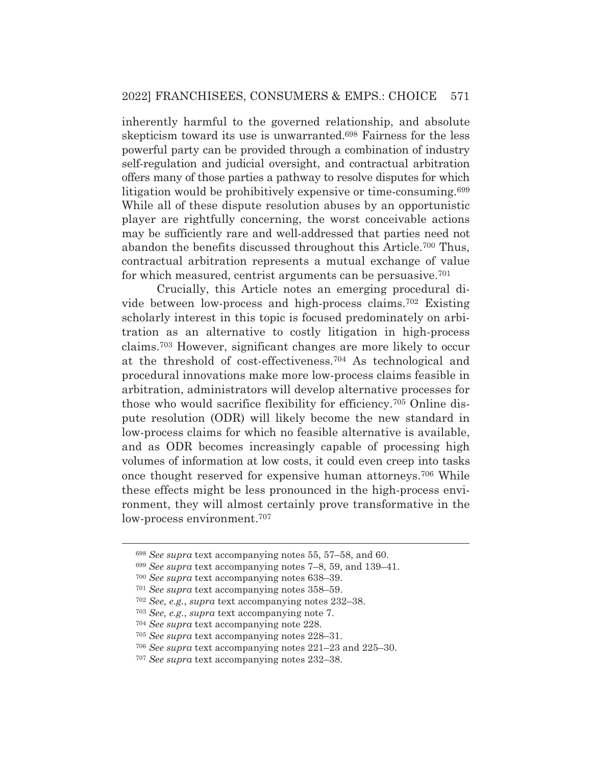inherently harmful to the governed relationship, and absolute skepticism toward its use is unwarranted.698 Fairness for the less powerful party can be provided through a combination of industry self-regulation and judicial oversight, and contractual arbitration offers many of those parties a pathway to resolve disputes for which litigation would be prohibitively expensive or time-consuming.699 While all of these dispute resolution abuses by an opportunistic player are rightfully concerning, the worst conceivable actions may be sufficiently rare and well-addressed that parties need not abandon the benefits discussed throughout this Article.700 Thus, contractual arbitration represents a mutual exchange of value for which measured, centrist arguments can be persuasive.701

 Crucially, this Article notes an emerging procedural divide between low-process and high-process claims.702 Existing scholarly interest in this topic is focused predominately on arbitration as an alternative to costly litigation in high-process claims.703 However, significant changes are more likely to occur at the threshold of cost-effectiveness.704 As technological and procedural innovations make more low-process claims feasible in arbitration, administrators will develop alternative processes for those who would sacrifice flexibility for efficiency.705 Online dispute resolution (ODR) will likely become the new standard in low-process claims for which no feasible alternative is available, and as ODR becomes increasingly capable of processing high volumes of information at low costs, it could even creep into tasks once thought reserved for expensive human attorneys.706 While these effects might be less pronounced in the high-process environment, they will almost certainly prove transformative in the low-process environment.707

<sup>698</sup> *See supra* text accompanying notes 55, 57–58, and 60.

<sup>699</sup> *See supra* text accompanying notes 7–8, 59, and 139–41.

<sup>700</sup> *See supra* text accompanying notes 638–39.

<sup>701</sup> *See supra* text accompanying notes 358–59.

<sup>702</sup> *See, e.g.*, *supra* text accompanying notes 232–38.

<sup>703</sup> *See, e.g.*, *supra* text accompanying note 7.

<sup>704</sup> *See supra* text accompanying note 228.

<sup>705</sup> *See supra* text accompanying notes 228–31.

<sup>706</sup> *See supra* text accompanying notes 221–23 and 225–30.

<sup>707</sup> *See supra* text accompanying notes 232–38.